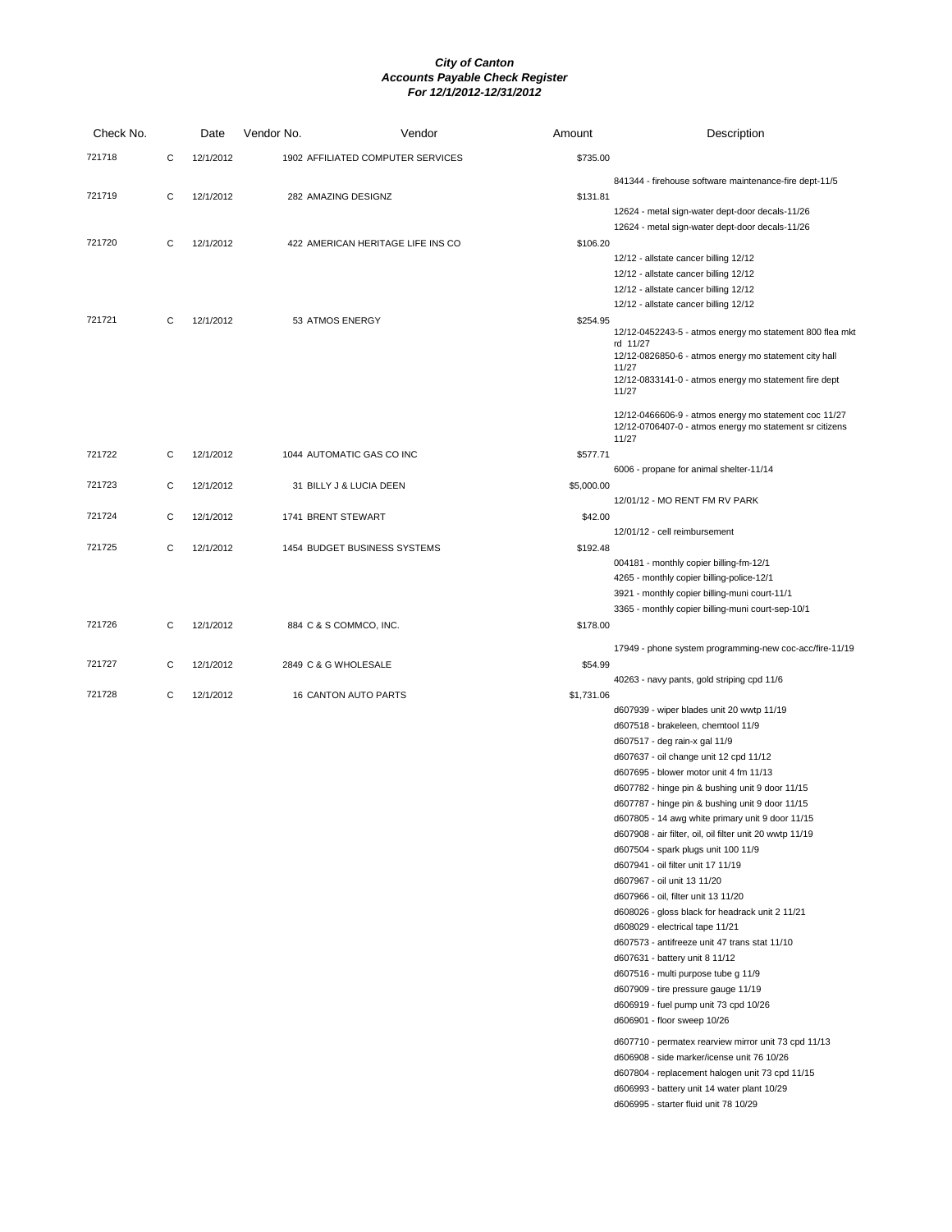| Check No. |   | Date      | Vendor No.           | Vendor                            | Amount     | Description                                                                                        |
|-----------|---|-----------|----------------------|-----------------------------------|------------|----------------------------------------------------------------------------------------------------|
| 721718    | C | 12/1/2012 |                      | 1902 AFFILIATED COMPUTER SERVICES | \$735.00   |                                                                                                    |
|           |   |           |                      |                                   |            | 841344 - firehouse software maintenance-fire dept-11/5                                             |
| 721719    | C | 12/1/2012 | 282 AMAZING DESIGNZ  |                                   | \$131.81   |                                                                                                    |
|           |   |           |                      |                                   |            | 12624 - metal sign-water dept-door decals-11/26                                                    |
|           |   |           |                      |                                   |            | 12624 - metal sign-water dept-door decals-11/26                                                    |
| 721720    | C | 12/1/2012 |                      | 422 AMERICAN HERITAGE LIFE INS CO | \$106.20   |                                                                                                    |
|           |   |           |                      |                                   |            | 12/12 - allstate cancer billing 12/12<br>12/12 - allstate cancer billing 12/12                     |
|           |   |           |                      |                                   |            | 12/12 - allstate cancer billing 12/12                                                              |
|           |   |           |                      |                                   |            | 12/12 - allstate cancer billing 12/12                                                              |
| 721721    | C | 12/1/2012 | 53 ATMOS ENERGY      |                                   | \$254.95   | 12/12-0452243-5 - atmos energy mo statement 800 flea mkt                                           |
|           |   |           |                      |                                   |            | rd 11/27                                                                                           |
|           |   |           |                      |                                   |            | 12/12-0826850-6 - atmos energy mo statement city hall<br>11/27                                     |
|           |   |           |                      |                                   |            | 12/12-0833141-0 - atmos energy mo statement fire dept                                              |
|           |   |           |                      |                                   |            | 11/27                                                                                              |
|           |   |           |                      |                                   |            | 12/12-0466606-9 - atmos energy mo statement coc 11/27                                              |
|           |   |           |                      |                                   |            | 12/12-0706407-0 - atmos energy mo statement sr citizens<br>11/27                                   |
| 721722    | C | 12/1/2012 |                      | 1044 AUTOMATIC GAS CO INC         | \$577.71   |                                                                                                    |
|           |   |           |                      |                                   |            | 6006 - propane for animal shelter-11/14                                                            |
| 721723    | C | 12/1/2012 |                      | 31 BILLY J & LUCIA DEEN           | \$5,000.00 |                                                                                                    |
| 721724    | C | 12/1/2012 | 1741 BRENT STEWART   |                                   | \$42.00    | 12/01/12 - MO RENT FM RV PARK                                                                      |
|           |   |           |                      |                                   |            | 12/01/12 - cell reimbursement                                                                      |
| 721725    | C | 12/1/2012 |                      | 1454 BUDGET BUSINESS SYSTEMS      | \$192.48   |                                                                                                    |
|           |   |           |                      |                                   |            | 004181 - monthly copier billing-fm-12/1                                                            |
|           |   |           |                      |                                   |            | 4265 - monthly copier billing-police-12/1                                                          |
|           |   |           |                      |                                   |            | 3921 - monthly copier billing-muni court-11/1<br>3365 - monthly copier billing-muni court-sep-10/1 |
| 721726    | C | 12/1/2012 |                      | 884 C & S COMMCO, INC.            | \$178.00   |                                                                                                    |
|           |   |           |                      |                                   |            |                                                                                                    |
| 721727    | C | 12/1/2012 | 2849 C & G WHOLESALE |                                   | \$54.99    | 17949 - phone system programming-new coc-acc/fire-11/19                                            |
|           |   |           |                      |                                   |            | 40263 - navy pants, gold striping cpd 11/6                                                         |
| 721728    | C | 12/1/2012 |                      | 16 CANTON AUTO PARTS              | \$1,731.06 |                                                                                                    |
|           |   |           |                      |                                   |            | d607939 - wiper blades unit 20 wwtp 11/19                                                          |
|           |   |           |                      |                                   |            | d607518 - brakeleen, chemtool 11/9                                                                 |
|           |   |           |                      |                                   |            | d607517 - deg rain-x gal 11/9                                                                      |
|           |   |           |                      |                                   |            | d607637 - oil change unit 12 cpd 11/12<br>d607695 - blower motor unit 4 fm 11/13                   |
|           |   |           |                      |                                   |            | d607782 - hinge pin & bushing unit 9 door 11/15                                                    |
|           |   |           |                      |                                   |            | d607787 - hinge pin & bushing unit 9 door 11/15                                                    |
|           |   |           |                      |                                   |            | d607805 - 14 awg white primary unit 9 door 11/15                                                   |
|           |   |           |                      |                                   |            | d607908 - air filter, oil, oil filter unit 20 wwtp 11/19                                           |
|           |   |           |                      |                                   |            | d607504 - spark plugs unit 100 11/9                                                                |
|           |   |           |                      |                                   |            | d607941 - oil filter unit 17 11/19                                                                 |
|           |   |           |                      |                                   |            | d607967 - oil unit 13 11/20                                                                        |
|           |   |           |                      |                                   |            | d607966 - oil, filter unit 13 11/20                                                                |
|           |   |           |                      |                                   |            | d608026 - gloss black for headrack unit 2 11/21                                                    |
|           |   |           |                      |                                   |            | d608029 - electrical tape 11/21                                                                    |
|           |   |           |                      |                                   |            | d607573 - antifreeze unit 47 trans stat 11/10                                                      |
|           |   |           |                      |                                   |            | d607631 - battery unit 8 11/12                                                                     |
|           |   |           |                      |                                   |            | d607516 - multi purpose tube g 11/9                                                                |
|           |   |           |                      |                                   |            | d607909 - tire pressure gauge 11/19                                                                |
|           |   |           |                      |                                   |            | d606919 - fuel pump unit 73 cpd 10/26                                                              |
|           |   |           |                      |                                   |            | d606901 - floor sweep 10/26                                                                        |
|           |   |           |                      |                                   |            | d607710 - permatex rearview mirror unit 73 cpd 11/13                                               |
|           |   |           |                      |                                   |            | d606908 - side marker/icense unit 76 10/26                                                         |
|           |   |           |                      |                                   |            | d607804 - replacement halogen unit 73 cpd 11/15                                                    |
|           |   |           |                      |                                   |            | d606993 - battery unit 14 water plant 10/29                                                        |
|           |   |           |                      |                                   |            | d606995 - starter fluid unit 78 10/29                                                              |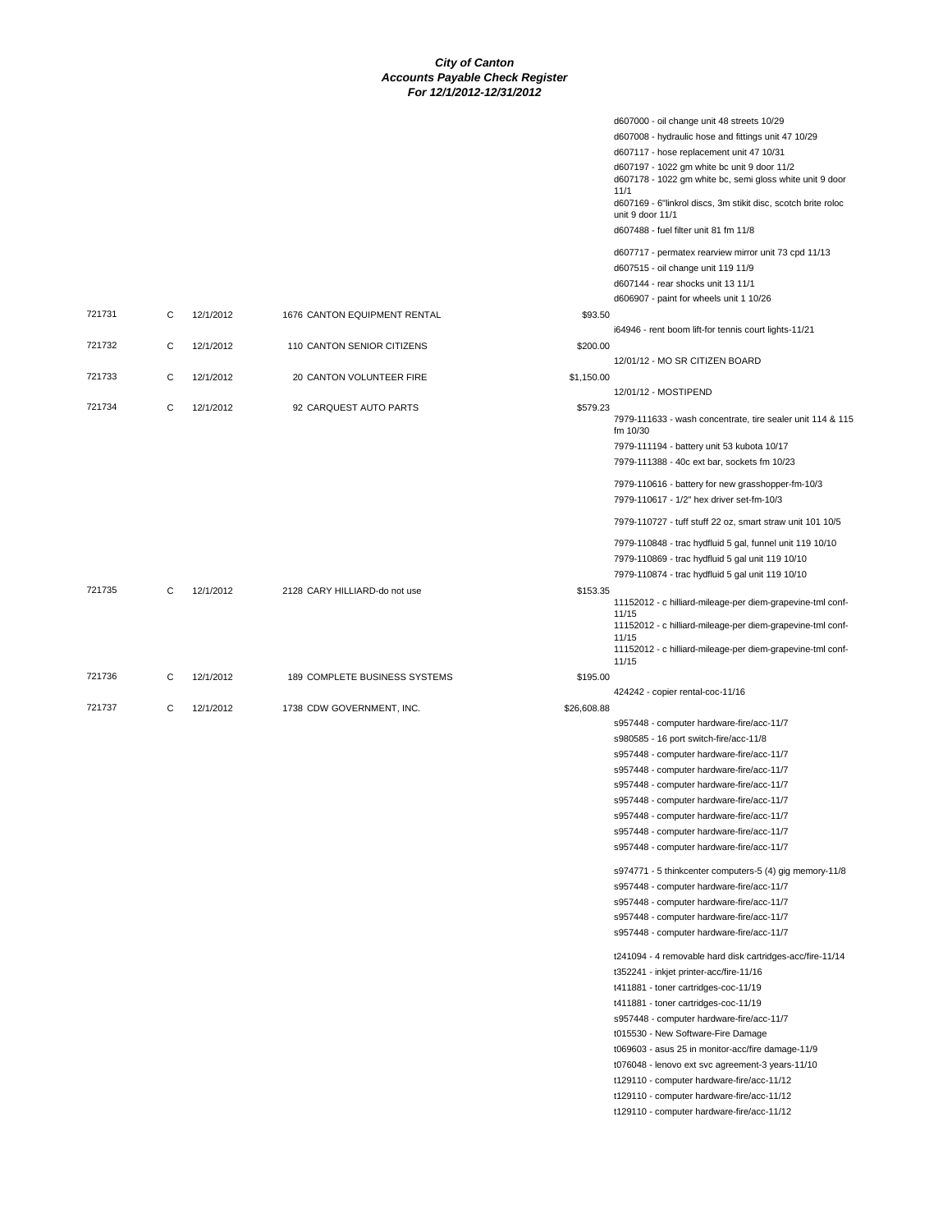|        |   |           |                               |             | d607000 - oil change unit 48 streets 10/29                                                              |
|--------|---|-----------|-------------------------------|-------------|---------------------------------------------------------------------------------------------------------|
|        |   |           |                               |             | d607008 - hydraulic hose and fittings unit 47 10/29                                                     |
|        |   |           |                               |             | d607117 - hose replacement unit 47 10/31                                                                |
|        |   |           |                               |             | d607197 - 1022 gm white bc unit 9 door 11/2<br>d607178 - 1022 gm white bc, semi gloss white unit 9 door |
|        |   |           |                               |             | 11/1<br>d607169 - 6"linkrol discs, 3m stikit disc, scotch brite roloc                                   |
|        |   |           |                               |             | unit 9 door 11/1<br>d607488 - fuel filter unit 81 fm 11/8                                               |
|        |   |           |                               |             | d607717 - permatex rearview mirror unit 73 cpd 11/13                                                    |
|        |   |           |                               |             | d607515 - oil change unit 119 11/9                                                                      |
|        |   |           |                               |             | d607144 - rear shocks unit 13 11/1                                                                      |
|        |   |           |                               |             | d606907 - paint for wheels unit 1 10/26                                                                 |
| 721731 | С | 12/1/2012 | 1676 CANTON EQUIPMENT RENTAL  | \$93.50     |                                                                                                         |
|        |   |           |                               |             | i64946 - rent boom lift-for tennis court lights-11/21                                                   |
| 721732 | С | 12/1/2012 | 110 CANTON SENIOR CITIZENS    | \$200.00    | 12/01/12 - MO SR CITIZEN BOARD                                                                          |
| 721733 | C | 12/1/2012 | 20 CANTON VOLUNTEER FIRE      | \$1,150.00  |                                                                                                         |
|        |   |           |                               |             | 12/01/12 - MOSTIPEND                                                                                    |
| 721734 | С | 12/1/2012 | 92 CARQUEST AUTO PARTS        | \$579.23    | 7979-111633 - wash concentrate, tire sealer unit 114 & 115                                              |
|        |   |           |                               |             | fm 10/30                                                                                                |
|        |   |           |                               |             | 7979-111194 - battery unit 53 kubota 10/17<br>7979-111388 - 40c ext bar, sockets fm 10/23               |
|        |   |           |                               |             |                                                                                                         |
|        |   |           |                               |             | 7979-110616 - battery for new grasshopper-fm-10/3<br>7979-110617 - 1/2" hex driver set-fm-10/3          |
|        |   |           |                               |             | 7979-110727 - tuff stuff 22 oz, smart straw unit 101 10/5                                               |
|        |   |           |                               |             | 7979-110848 - trac hydfluid 5 gal, funnel unit 119 10/10                                                |
|        |   |           |                               |             | 7979-110869 - trac hydfluid 5 gal unit 119 10/10                                                        |
|        |   |           |                               |             |                                                                                                         |
|        |   |           |                               |             | 7979-110874 - trac hydfluid 5 gal unit 119 10/10                                                        |
| 721735 | С | 12/1/2012 | 2128 CARY HILLIARD-do not use | \$153.35    | 11152012 - c hilliard-mileage-per diem-grapevine-tml conf-                                              |
|        |   |           |                               |             | 11/15<br>11152012 - c hilliard-mileage-per diem-grapevine-tml conf-                                     |
|        |   |           |                               |             | 11/15                                                                                                   |
|        |   |           |                               |             | 11152012 - c hilliard-mileage-per diem-grapevine-tml conf-<br>11/15                                     |
| 721736 | C | 12/1/2012 | 189 COMPLETE BUSINESS SYSTEMS | \$195.00    |                                                                                                         |
|        |   |           |                               |             | 424242 - copier rental-coc-11/16                                                                        |
| 721737 | С | 12/1/2012 | 1738 CDW GOVERNMENT, INC.     | \$26,608.88 |                                                                                                         |
|        |   |           |                               |             | s957448 - computer hardware-fire/acc-11/7                                                               |
|        |   |           |                               |             | s980585 - 16 port switch-fire/acc-11/8                                                                  |
|        |   |           |                               |             | s957448 - computer hardware-fire/acc-11/7                                                               |
|        |   |           |                               |             |                                                                                                         |
|        |   |           |                               |             | s957448 - computer hardware-fire/acc-11/7                                                               |
|        |   |           |                               |             | s957448 - computer hardware-fire/acc-11/7                                                               |
|        |   |           |                               |             | s957448 - computer hardware-fire/acc-11/7                                                               |
|        |   |           |                               |             | s957448 - computer hardware-fire/acc-11/7                                                               |
|        |   |           |                               |             | s957448 - computer hardware-fire/acc-11/7                                                               |
|        |   |           |                               |             | s957448 - computer hardware-fire/acc-11/7                                                               |
|        |   |           |                               |             | s974771 - 5 thinkcenter computers-5 (4) gig memory-11/8                                                 |
|        |   |           |                               |             | s957448 - computer hardware-fire/acc-11/7                                                               |
|        |   |           |                               |             | s957448 - computer hardware-fire/acc-11/7                                                               |
|        |   |           |                               |             | s957448 - computer hardware-fire/acc-11/7                                                               |
|        |   |           |                               |             | s957448 - computer hardware-fire/acc-11/7                                                               |
|        |   |           |                               |             | t241094 - 4 removable hard disk cartridges-acc/fire-11/14                                               |
|        |   |           |                               |             | t352241 - inkjet printer-acc/fire-11/16                                                                 |
|        |   |           |                               |             |                                                                                                         |
|        |   |           |                               |             | t411881 - toner cartridges-coc-11/19                                                                    |
|        |   |           |                               |             | t411881 - toner cartridges-coc-11/19                                                                    |
|        |   |           |                               |             | s957448 - computer hardware-fire/acc-11/7                                                               |
|        |   |           |                               |             | t015530 - New Software-Fire Damage                                                                      |
|        |   |           |                               |             | t069603 - asus 25 in monitor-acc/fire damage-11/9                                                       |
|        |   |           |                               |             | t076048 - lenovo ext svc agreement-3 years-11/10                                                        |
|        |   |           |                               |             | t129110 - computer hardware-fire/acc-11/12                                                              |
|        |   |           |                               |             | t129110 - computer hardware-fire/acc-11/12                                                              |
|        |   |           |                               |             | t129110 - computer hardware-fire/acc-11/12                                                              |
|        |   |           |                               |             |                                                                                                         |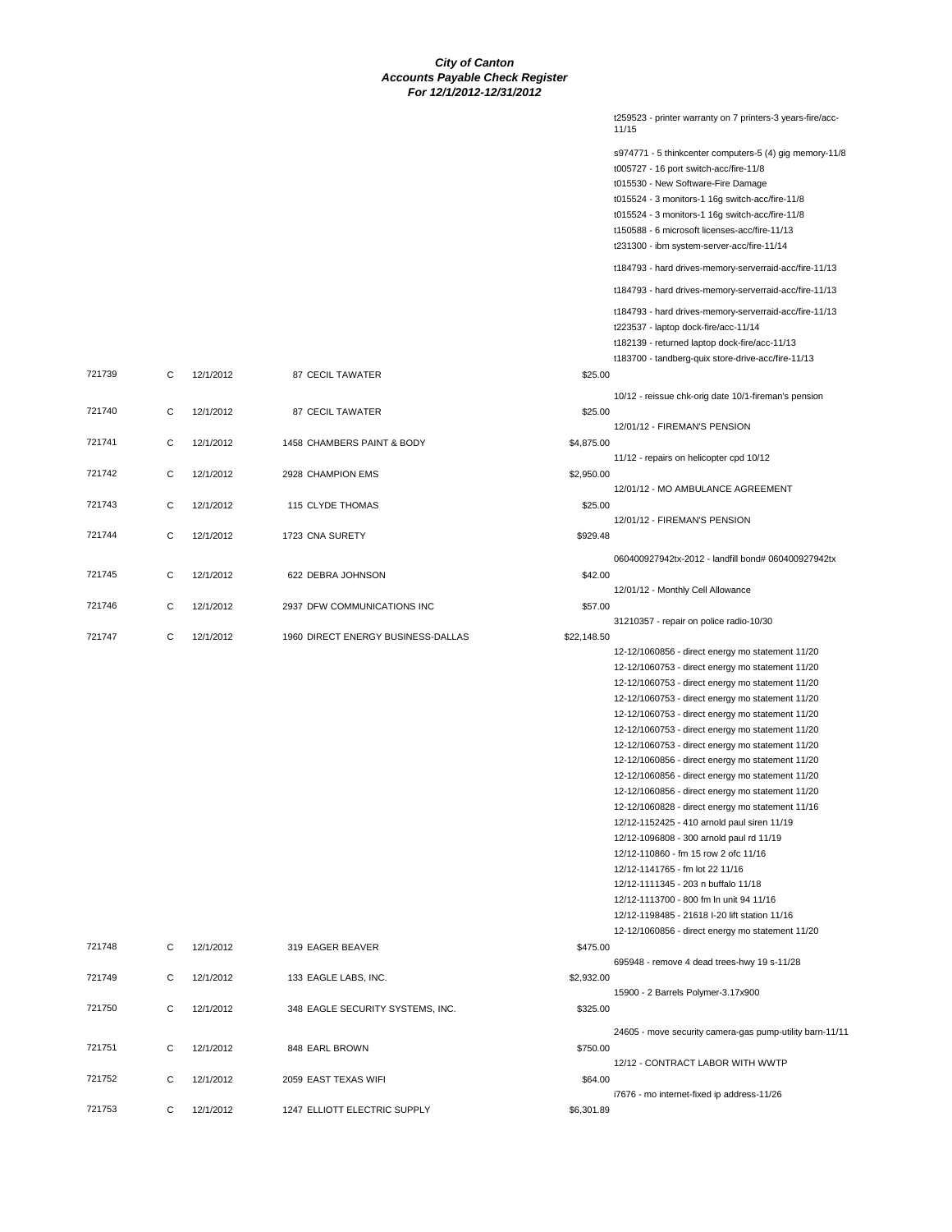|        |   |           |                                    |             | t259523 - printer warranty on 7 printers-3 years-fire/acc-<br>11/15                                                                                                                                                                                                                                                                          |
|--------|---|-----------|------------------------------------|-------------|----------------------------------------------------------------------------------------------------------------------------------------------------------------------------------------------------------------------------------------------------------------------------------------------------------------------------------------------|
|        |   |           |                                    |             | s974771 - 5 thinkcenter computers-5 (4) gig memory-11/8<br>t005727 - 16 port switch-acc/fire-11/8<br>t015530 - New Software-Fire Damage<br>t015524 - 3 monitors-1 16g switch-acc/fire-11/8<br>t015524 - 3 monitors-1 16g switch-acc/fire-11/8<br>t150588 - 6 microsoft licenses-acc/fire-11/13<br>t231300 - ibm system-server-acc/fire-11/14 |
|        |   |           |                                    |             | t184793 - hard drives-memory-serverraid-acc/fire-11/13                                                                                                                                                                                                                                                                                       |
|        |   |           |                                    |             | t184793 - hard drives-memory-serverraid-acc/fire-11/13                                                                                                                                                                                                                                                                                       |
|        |   |           |                                    |             | t184793 - hard drives-memory-serverraid-acc/fire-11/13<br>t223537 - laptop dock-fire/acc-11/14<br>t182139 - returned laptop dock-fire/acc-11/13<br>t183700 - tandberg-quix store-drive-acc/fire-11/13                                                                                                                                        |
| 721739 | С | 12/1/2012 | 87 CECIL TAWATER                   | \$25.00     |                                                                                                                                                                                                                                                                                                                                              |
| 721740 | C | 12/1/2012 | 87 CECIL TAWATER                   | \$25.00     | 10/12 - reissue chk-orig date 10/1-fireman's pension<br>12/01/12 - FIREMAN'S PENSION                                                                                                                                                                                                                                                         |
| 721741 | C | 12/1/2012 | 1458 CHAMBERS PAINT & BODY         | \$4,875.00  |                                                                                                                                                                                                                                                                                                                                              |
| 721742 | C | 12/1/2012 | 2928 CHAMPION EMS                  | \$2,950.00  | 11/12 - repairs on helicopter cpd 10/12                                                                                                                                                                                                                                                                                                      |
|        |   |           |                                    |             | 12/01/12 - MO AMBULANCE AGREEMENT                                                                                                                                                                                                                                                                                                            |
| 721743 | C | 12/1/2012 | 115 CLYDE THOMAS                   | \$25.00     | 12/01/12 - FIREMAN'S PENSION                                                                                                                                                                                                                                                                                                                 |
| 721744 | С | 12/1/2012 | 1723 CNA SURETY                    | \$929.48    |                                                                                                                                                                                                                                                                                                                                              |
|        |   |           |                                    |             | 060400927942tx-2012 - landfill bond# 060400927942tx                                                                                                                                                                                                                                                                                          |
| 721745 | С | 12/1/2012 | 622 DEBRA JOHNSON                  | \$42.00     | 12/01/12 - Monthly Cell Allowance                                                                                                                                                                                                                                                                                                            |
| 721746 | C | 12/1/2012 | 2937 DFW COMMUNICATIONS INC        | \$57.00     |                                                                                                                                                                                                                                                                                                                                              |
| 721747 | C | 12/1/2012 | 1960 DIRECT ENERGY BUSINESS-DALLAS | \$22,148.50 | 31210357 - repair on police radio-10/30                                                                                                                                                                                                                                                                                                      |
|        |   |           |                                    |             | 12-12/1060856 - direct energy mo statement 11/20                                                                                                                                                                                                                                                                                             |
|        |   |           |                                    |             | 12-12/1060753 - direct energy mo statement 11/20<br>12-12/1060753 - direct energy mo statement 11/20                                                                                                                                                                                                                                         |
|        |   |           |                                    |             | 12-12/1060753 - direct energy mo statement 11/20                                                                                                                                                                                                                                                                                             |
|        |   |           |                                    |             | 12-12/1060753 - direct energy mo statement 11/20                                                                                                                                                                                                                                                                                             |
|        |   |           |                                    |             | 12-12/1060753 - direct energy mo statement 11/20                                                                                                                                                                                                                                                                                             |
|        |   |           |                                    |             | 12-12/1060753 - direct energy mo statement 11/20<br>12-12/1060856 - direct energy mo statement 11/20                                                                                                                                                                                                                                         |
|        |   |           |                                    |             | 12-12/1060856 - direct energy mo statement 11/20                                                                                                                                                                                                                                                                                             |
|        |   |           |                                    |             | 12-12/1060856 - direct energy mo statement 11/20                                                                                                                                                                                                                                                                                             |
|        |   |           |                                    |             | 12-12/1060828 - direct energy mo statement 11/16                                                                                                                                                                                                                                                                                             |
|        |   |           |                                    |             | 12/12-1152425 - 410 arnold paul siren 11/19                                                                                                                                                                                                                                                                                                  |
|        |   |           |                                    |             | 12/12-1096808 - 300 arnold paul rd 11/19<br>12/12-110860 - fm 15 row 2 ofc 11/16                                                                                                                                                                                                                                                             |
|        |   |           |                                    |             | 12/12-1141765 - fm lot 22 11/16                                                                                                                                                                                                                                                                                                              |
|        |   |           |                                    |             | 12/12-1111345 - 203 n buffalo 11/18                                                                                                                                                                                                                                                                                                          |
|        |   |           |                                    |             | 12/12-1113700 - 800 fm ln unit 94 11/16                                                                                                                                                                                                                                                                                                      |
|        |   |           |                                    |             | 12/12-1198485 - 21618 I-20 lift station 11/16                                                                                                                                                                                                                                                                                                |
| 721748 | C | 12/1/2012 |                                    |             | 12-12/1060856 - direct energy mo statement 11/20                                                                                                                                                                                                                                                                                             |
|        |   |           | 319 EAGER BEAVER                   | \$475.00    | 695948 - remove 4 dead trees-hwy 19 s-11/28                                                                                                                                                                                                                                                                                                  |
| 721749 | C | 12/1/2012 | 133 EAGLE LABS, INC.               | \$2,932.00  | 15900 - 2 Barrels Polymer-3.17x900                                                                                                                                                                                                                                                                                                           |
| 721750 | C | 12/1/2012 | 348 EAGLE SECURITY SYSTEMS, INC.   | \$325.00    |                                                                                                                                                                                                                                                                                                                                              |
|        |   |           |                                    |             | 24605 - move security camera-gas pump-utility barn-11/11                                                                                                                                                                                                                                                                                     |
| 721751 | C | 12/1/2012 | 848 EARL BROWN                     | \$750.00    | 12/12 - CONTRACT LABOR WITH WWTP                                                                                                                                                                                                                                                                                                             |
| 721752 | С | 12/1/2012 | 2059 EAST TEXAS WIFI               | \$64.00     |                                                                                                                                                                                                                                                                                                                                              |
| 721753 | C | 12/1/2012 | 1247 ELLIOTT ELECTRIC SUPPLY       | \$6,301.89  | i7676 - mo internet-fixed ip address-11/26                                                                                                                                                                                                                                                                                                   |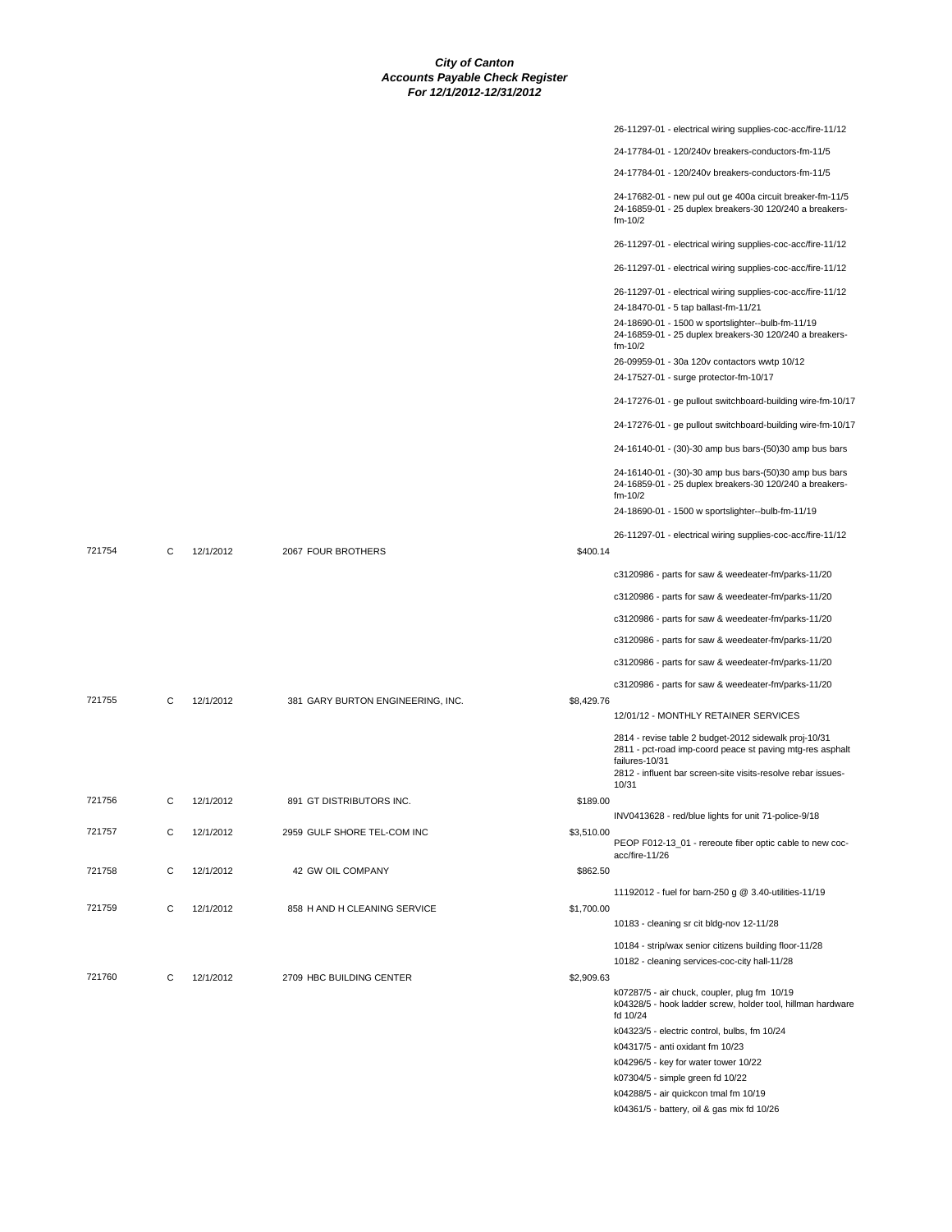|        |   |           |                                   |            | 26-11297-01 - electrical wiring supplies-coc-acc/fire-11/12                                                                                                                                                   |
|--------|---|-----------|-----------------------------------|------------|---------------------------------------------------------------------------------------------------------------------------------------------------------------------------------------------------------------|
|        |   |           |                                   |            | 24-17784-01 - 120/240v breakers-conductors-fm-11/5                                                                                                                                                            |
|        |   |           |                                   |            | 24-17784-01 - 120/240v breakers-conductors-fm-11/5                                                                                                                                                            |
|        |   |           |                                   |            | 24-17682-01 - new pul out ge 400a circuit breaker-fm-11/5<br>24-16859-01 - 25 duplex breakers-30 120/240 a breakers-<br>fm-10/2                                                                               |
|        |   |           |                                   |            | 26-11297-01 - electrical wiring supplies-coc-acc/fire-11/12                                                                                                                                                   |
|        |   |           |                                   |            | 26-11297-01 - electrical wiring supplies-coc-acc/fire-11/12                                                                                                                                                   |
|        |   |           |                                   |            | 26-11297-01 - electrical wiring supplies-coc-acc/fire-11/12                                                                                                                                                   |
|        |   |           |                                   |            | 24-18470-01 - 5 tap ballast-fm-11/21                                                                                                                                                                          |
|        |   |           |                                   |            | 24-18690-01 - 1500 w sportslighter--bulb-fm-11/19<br>24-16859-01 - 25 duplex breakers-30 120/240 a breakers-<br>fm-10/2                                                                                       |
|        |   |           |                                   |            | 26-09959-01 - 30a 120v contactors wwtp 10/12<br>24-17527-01 - surge protector-fm-10/17                                                                                                                        |
|        |   |           |                                   |            | 24-17276-01 - ge pullout switchboard-building wire-fm-10/17                                                                                                                                                   |
|        |   |           |                                   |            | 24-17276-01 - ge pullout switchboard-building wire-fm-10/17                                                                                                                                                   |
|        |   |           |                                   |            | 24-16140-01 - (30)-30 amp bus bars-(50)30 amp bus bars                                                                                                                                                        |
|        |   |           |                                   |            | 24-16140-01 - (30)-30 amp bus bars-(50)30 amp bus bars<br>24-16859-01 - 25 duplex breakers-30 120/240 a breakers-<br>$fm-10/2$                                                                                |
|        |   |           |                                   |            | 24-18690-01 - 1500 w sportslighter--bulb-fm-11/19                                                                                                                                                             |
|        |   |           |                                   |            | 26-11297-01 - electrical wiring supplies-coc-acc/fire-11/12                                                                                                                                                   |
| 721754 | C | 12/1/2012 | 2067 FOUR BROTHERS                | \$400.14   |                                                                                                                                                                                                               |
|        |   |           |                                   |            | c3120986 - parts for saw & weedeater-fm/parks-11/20                                                                                                                                                           |
|        |   |           |                                   |            | c3120986 - parts for saw & weedeater-fm/parks-11/20                                                                                                                                                           |
|        |   |           |                                   |            | c3120986 - parts for saw & weedeater-fm/parks-11/20                                                                                                                                                           |
|        |   |           |                                   |            | c3120986 - parts for saw & weedeater-fm/parks-11/20                                                                                                                                                           |
|        |   |           |                                   |            | c3120986 - parts for saw & weedeater-fm/parks-11/20                                                                                                                                                           |
|        |   |           |                                   |            | c3120986 - parts for saw & weedeater-fm/parks-11/20                                                                                                                                                           |
| 721755 | C | 12/1/2012 | 381 GARY BURTON ENGINEERING, INC. | \$8,429.76 | 12/01/12 - MONTHLY RETAINER SERVICES                                                                                                                                                                          |
|        |   |           |                                   |            | 2814 - revise table 2 budget-2012 sidewalk proj-10/31<br>2811 - pct-road imp-coord peace st paving mtg-res asphalt<br>failures-10/31<br>2812 - influent bar screen-site visits-resolve rebar issues-<br>10/31 |
| 721756 | C | 12/1/2012 | 891 GT DISTRIBUTORS INC.          | \$189.00   |                                                                                                                                                                                                               |
|        |   |           |                                   |            | INV0413628 - red/blue lights for unit 71-police-9/18                                                                                                                                                          |
| 721757 | С | 12/1/2012 | 2959 GULF SHORE TEL-COM INC       | \$3,510.00 | PEOP F012-13_01 - rereoute fiber optic cable to new coc-<br>acc/fire-11/26                                                                                                                                    |
| 721758 | С | 12/1/2012 | 42 GW OIL COMPANY                 | \$862.50   |                                                                                                                                                                                                               |
| 721759 | C | 12/1/2012 | 858 H AND H CLEANING SERVICE      | \$1,700.00 | 11192012 - fuel for barn-250 g @ 3.40-utilities-11/19                                                                                                                                                         |
|        |   |           |                                   |            | 10183 - cleaning sr cit bldg-nov 12-11/28                                                                                                                                                                     |
|        |   |           |                                   |            | 10184 - strip/wax senior citizens building floor-11/28                                                                                                                                                        |
| 721760 | C | 12/1/2012 | 2709 HBC BUILDING CENTER          | \$2,909.63 | 10182 - cleaning services-coc-city hall-11/28                                                                                                                                                                 |
|        |   |           |                                   |            | k07287/5 - air chuck, coupler, plug fm 10/19<br>k04328/5 - hook ladder screw, holder tool, hillman hardware<br>fd 10/24                                                                                       |
|        |   |           |                                   |            | k04323/5 - electric control, bulbs, fm 10/24                                                                                                                                                                  |
|        |   |           |                                   |            | k04317/5 - anti oxidant fm 10/23                                                                                                                                                                              |
|        |   |           |                                   |            | k04296/5 - key for water tower 10/22<br>k07304/5 - simple green fd 10/22                                                                                                                                      |
|        |   |           |                                   |            | k04288/5 - air quickcon tmal fm 10/19                                                                                                                                                                         |
|        |   |           |                                   |            | k04361/5 - battery, oil & gas mix fd 10/26                                                                                                                                                                    |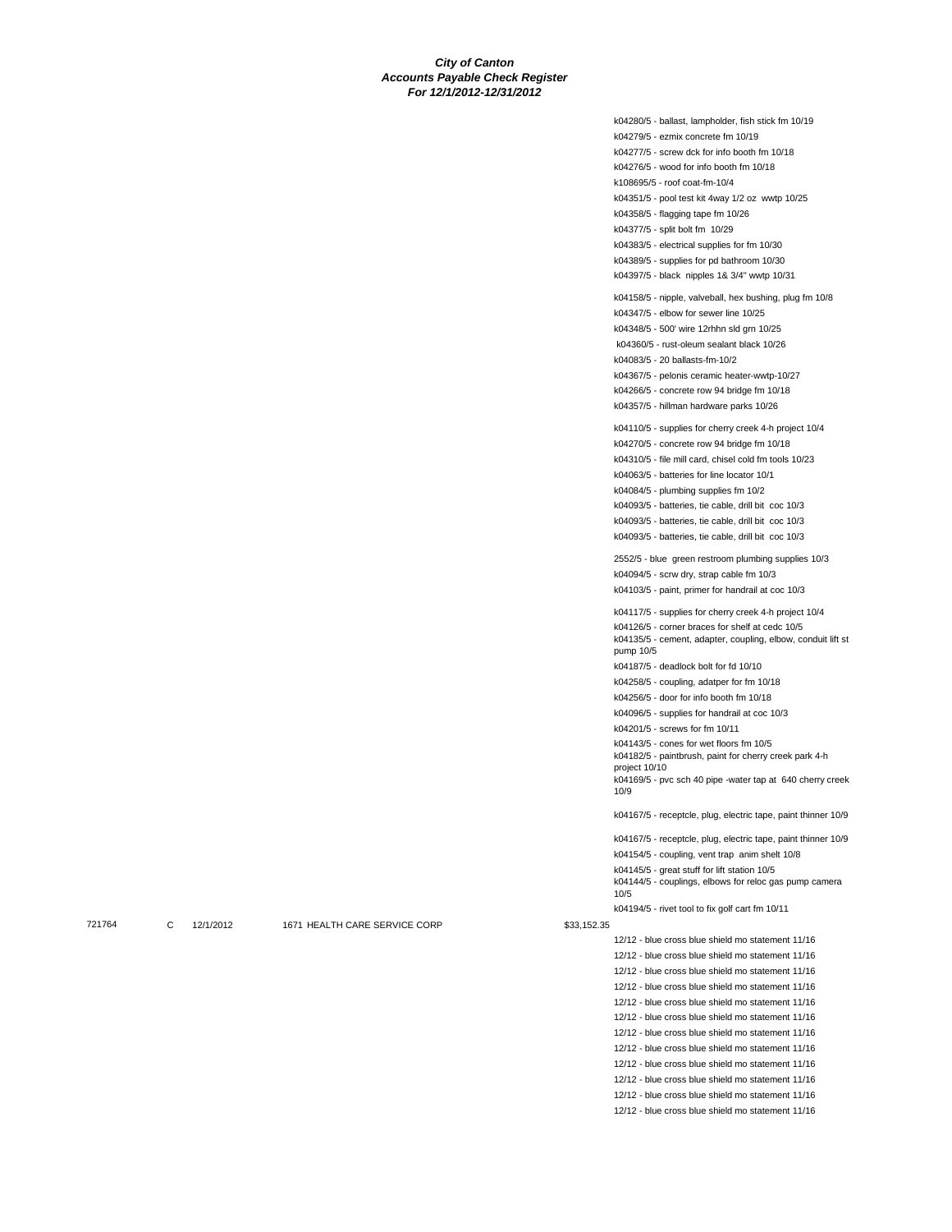k04280/5 - ballast, lampholder, fish stick fm 10/19 k04279/5 - ezmix concrete fm 10/19 k04277/5 - screw dck for info booth fm 10/18 k04276/5 - wood for info booth fm 10/18 k108695/5 - roof coat-fm-10/4 k04351/5 - pool test kit 4way 1/2 oz wwtp 10/25 k04358/5 - flagging tape fm 10/26 k04377/5 - split bolt fm 10/29 k04383/5 - electrical supplies for fm 10/30 k04389/5 - supplies for pd bathroom 10/30 k04397/5 - black nipples 1& 3/4" wwtp 10/31 k04158/5 - nipple, valveball, hex bushing, plug fm 10/8 k04347/5 - elbow for sewer line 10/25 k04348/5 - 500' wire 12rhhn sld grn 10/25 k04360/5 - rust-oleum sealant black 10/26 k04083/5 - 20 ballasts-fm-10/2 k04367/5 - pelonis ceramic heater-wwtp-10/27 k04266/5 - concrete row 94 bridge fm 10/18 k04357/5 - hillman hardware parks 10/26 k04110/5 - supplies for cherry creek 4-h project 10/4 k04270/5 - concrete row 94 bridge fm 10/18 k04310/5 - file mill card, chisel cold fm tools 10/23 k04063/5 - batteries for line locator 10/1 k04084/5 - plumbing supplies fm 10/2 k04093/5 - batteries, tie cable, drill bit coc 10/3 k04093/5 - batteries, tie cable, drill bit coc 10/3 k04093/5 - batteries, tie cable, drill bit coc 10/3 2552/5 - blue green restroom plumbing supplies 10/3 k04094/5 - scrw dry, strap cable fm 10/3 k04103/5 - paint, primer for handrail at coc 10/3 k04117/5 - supplies for cherry creek 4-h project 10/4 k04126/5 - corner braces for shelf at cedc 10/5 k04135/5 - cement, adapter, coupling, elbow, conduit lift st pump 10/5 k04187/5 - deadlock bolt for fd 10/10 k04258/5 - coupling, adatper for fm 10/18 k04256/5 - door for info booth fm 10/18 k04096/5 - supplies for handrail at coc 10/3 k04201/5 - screws for fm 10/11 k04143/5 - cones for wet floors fm 10/5 k04182/5 - paintbrush, paint for cherry creek park 4-h project 10/10 k04169/5 - pvc sch 40 pipe -water tap at 640 cherry creek 10/9 k04167/5 - receptcle, plug, electric tape, paint thinner 10/9 k04167/5 - receptcle, plug, electric tape, paint thinner 10/9 k04154/5 - coupling, vent trap anim shelt 10/8 k04145/5 - great stuff for lift station 10/5 k04144/5 - couplings, elbows for reloc gas pump camera 10/5 k04194/5 - rivet tool to fix golf cart fm 10/11 12/12 - blue cross blue shield mo statement 11/16 12/12 - blue cross blue shield mo statement 11/16 12/12 - blue cross blue shield mo statement 11/16 12/12 - blue cross blue shield mo statement 11/16 12/12 - blue cross blue shield mo statement 11/16 12/12 - blue cross blue shield mo statement 11/16 12/12 - blue cross blue shield mo statement 11/16 12/12 - blue cross blue shield mo statement 11/16

12/12 - blue cross blue shield mo statement 11/16

12/12 - blue cross blue shield mo statement 11/16 12/12 - blue cross blue shield mo statement 11/16

12/12 - blue cross blue shield mo statement 11/16

721764 C 12/1/2012 1671 HEALTH CARE SERVICE CORP \$33,152.35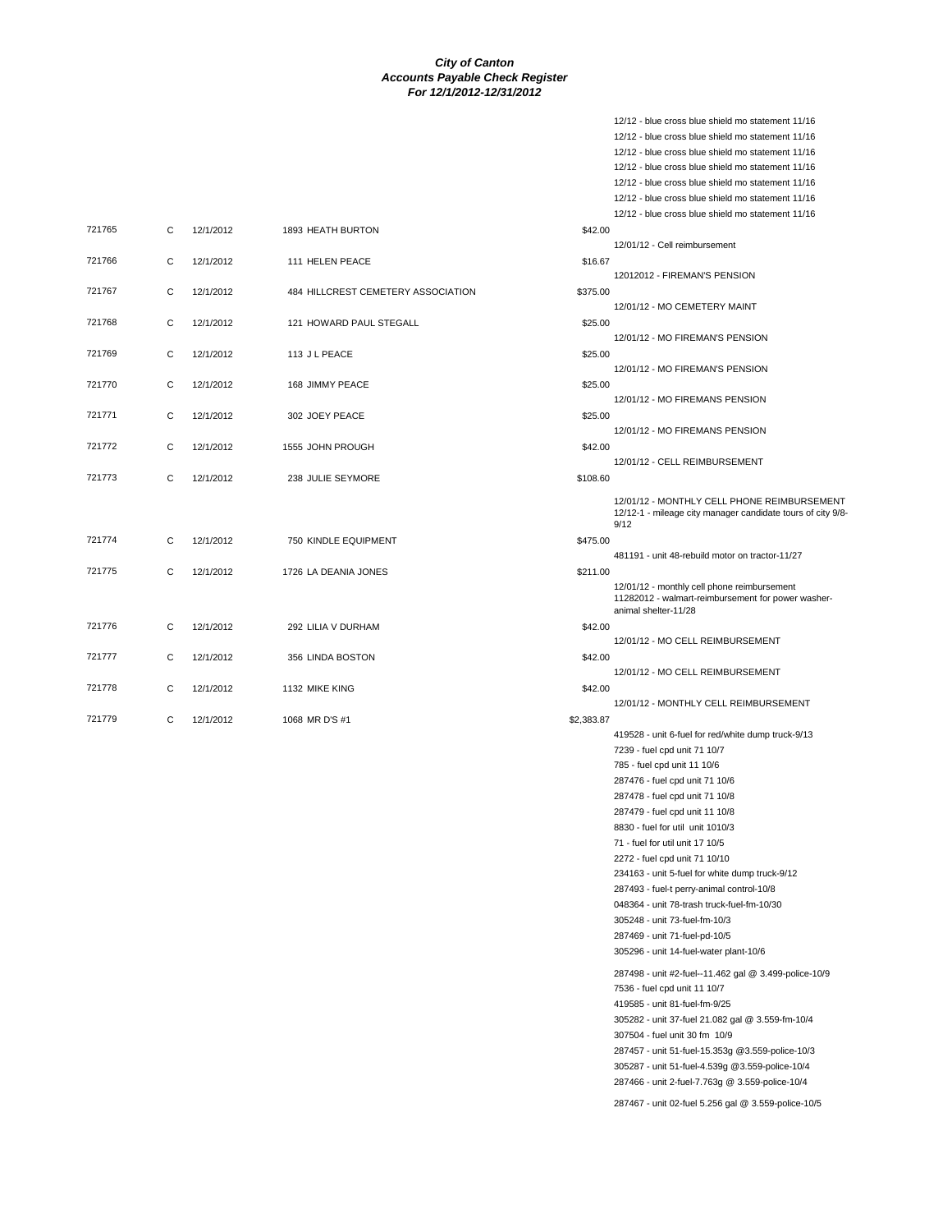| 721765 | $\mathsf{C}$ | 12/1/2012 | 1893 HEATH BURTON                  | \$42.00    |
|--------|--------------|-----------|------------------------------------|------------|
| 721766 | C            | 12/1/2012 | 111 HELEN PEACE                    | \$16.67    |
| 721767 | C            | 12/1/2012 | 484 HILLCREST CEMETERY ASSOCIATION | \$375.00   |
| 721768 | C            | 12/1/2012 | 121 HOWARD PAUL STEGALL            | \$25.00    |
| 721769 | C            | 12/1/2012 | 113 J L PEACE                      | \$25.00    |
| 721770 | $\mathbf C$  | 12/1/2012 | 168 JIMMY PEACE                    | \$25.00    |
| 721771 | $\mathsf{C}$ | 12/1/2012 | 302 JOEY PEACE                     | \$25.00    |
| 721772 | C            | 12/1/2012 | 1555 JOHN PROUGH                   | \$42.00    |
| 721773 | C            | 12/1/2012 | 238 JULIE SEYMORE                  | \$108.60   |
|        |              |           |                                    |            |
| 721774 | C            | 12/1/2012 | 750 KINDLE EQUIPMENT               | \$475.00   |
| 721775 | C            | 12/1/2012 | 1726 LA DEANIA JONES               | \$211.00   |
|        |              |           |                                    |            |
| 721776 | C            | 12/1/2012 | 292 LILIA V DURHAM                 | \$42.00    |
| 721777 | C            | 12/1/2012 | 356 LINDA BOSTON                   | \$42.00    |
| 721778 | C            | 12/1/2012 | 1132 MIKE KING                     | \$42.00    |
| 721779 | C            | 12/1/2012 | 1068 MR D'S #1                     | \$2,383.87 |

12/12 - blue cross blue shield mo statement 11/16 12/12 - blue cross blue shield mo statement 11/16 12/12 - blue cross blue shield mo statement 11/16 12/12 - blue cross blue shield mo statement 11/16 12/12 - blue cross blue shield mo statement 11/16 12/12 - blue cross blue shield mo statement 11/16 12/12 - blue cross blue shield mo statement 11/16 12/01/12 - Cell reimbursement 12012012 - FIREMAN'S PENSION 12/01/12 - MO CEMETERY MAINT 12/01/12 - MO FIREMAN'S PENSION 12/01/12 - MO FIREMAN'S PENSION 12/01/12 - MO FIREMANS PENSION 12/01/12 - MO FIREMANS PENSION 12/01/12 - CELL REIMBURSEMENT 12/01/12 - MONTHLY CELL PHONE REIMBURSEMENT 12/12-1 - mileage city manager candidate tours of city 9/8- 9/12 481191 - unit 48-rebuild motor on tractor-11/27 12/01/12 - monthly cell phone reimbursement 11282012 - walmart-reimbursement for power washeranimal shelter-11/28 12/01/12 - MO CELL REIMBURSEMENT 12/01/12 - MO CELL REIMBURSEMENT 12/01/12 - MONTHLY CELL REIMBURSEMENT 419528 - unit 6-fuel for red/white dump truck-9/13 7239 - fuel cpd unit 71 10/7 785 - fuel cpd unit 11 10/6 287476 - fuel cpd unit 71 10/6 287478 - fuel cpd unit 71 10/8 287479 - fuel cpd unit 11 10/8 8830 - fuel for util unit 1010/3 71 - fuel for util unit 17 10/5 2272 - fuel cpd unit 71 10/10 234163 - unit 5-fuel for white dump truck-9/12 287493 - fuel-t perry-animal control-10/8 048364 - unit 78-trash truck-fuel-fm-10/30 305248 - unit 73-fuel-fm-10/3 287469 - unit 71-fuel-pd-10/5 305296 - unit 14-fuel-water plant-10/6 287498 - unit #2-fuel--11.462 gal @ 3.499-police-10/9 7536 - fuel cpd unit 11 10/7 419585 - unit 81-fuel-fm-9/25 305282 - unit 37-fuel 21.082 gal @ 3.559-fm-10/4 307504 - fuel unit 30 fm 10/9 287457 - unit 51-fuel-15.353g @3.559-police-10/3 305287 - unit 51-fuel-4.539g @3.559-police-10/4 287466 - unit 2-fuel-7.763g @ 3.559-police-10/4 287467 - unit 02-fuel 5.256 gal @ 3.559-police-10/5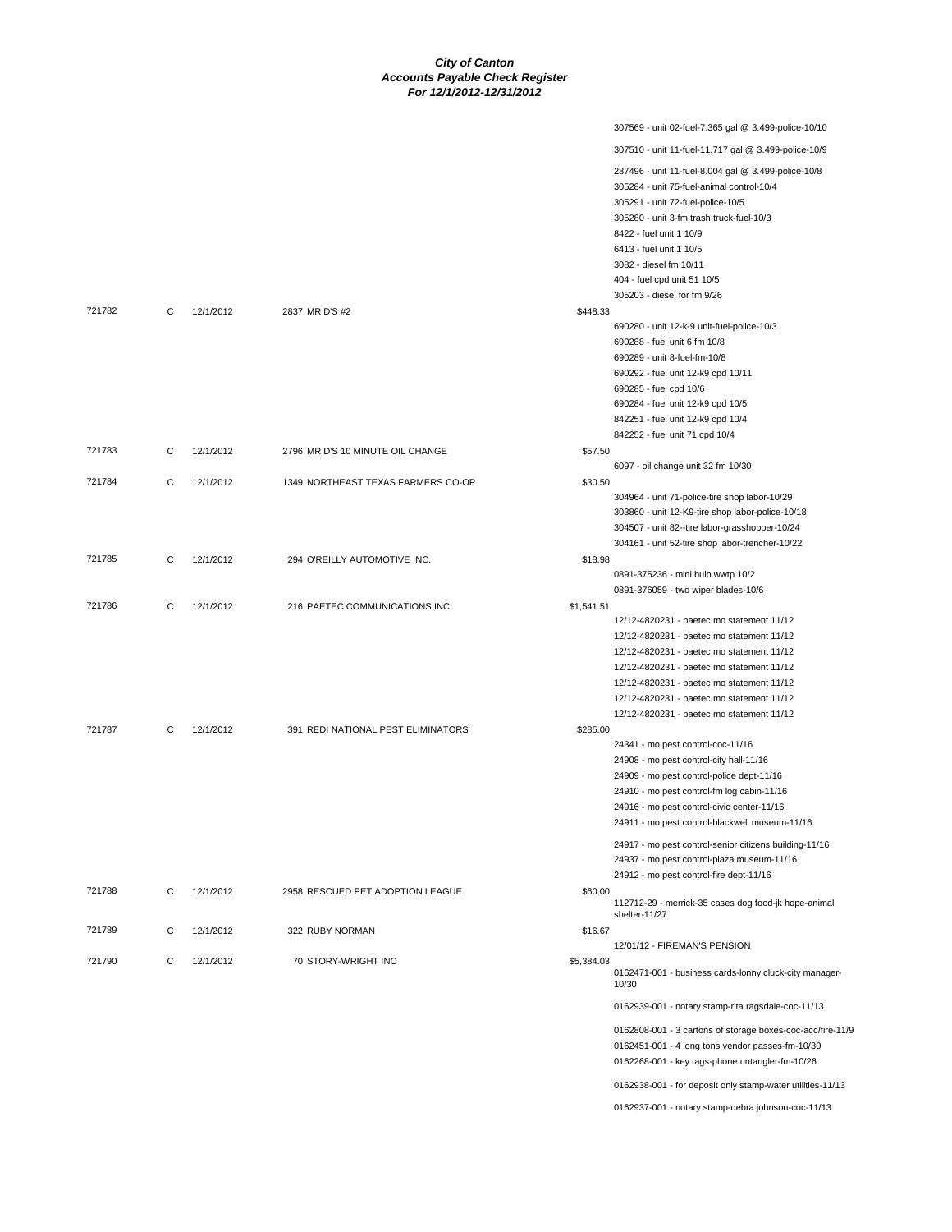| 307569 - unit 02-fuel-7.365 gal @ 3.499-police-10/10<br>307510 - unit 11-fuel-11.717 gal @ 3.499-police-10/9<br>287496 - unit 11-fuel-8.004 gal @ 3.499-police-10/8<br>305284 - unit 75-fuel-animal control-10/4<br>305291 - unit 72-fuel-police-10/5<br>305280 - unit 3-fm trash truck-fuel-10/3<br>8422 - fuel unit 1 10/9<br>6413 - fuel unit 1 10/5<br>3082 - diesel fm 10/11<br>404 - fuel cpd unit 51 10/5<br>305203 - diesel for fm 9/26<br>721782<br>C<br>12/1/2012<br>2837 MR D'S #2<br>\$448.33<br>690280 - unit 12-k-9 unit-fuel-police-10/3<br>690288 - fuel unit 6 fm 10/8<br>690289 - unit 8-fuel-fm-10/8<br>690292 - fuel unit 12-k9 cpd 10/11<br>690285 - fuel cpd 10/6<br>690284 - fuel unit 12-k9 cpd 10/5<br>842251 - fuel unit 12-k9 cpd 10/4<br>842252 - fuel unit 71 cpd 10/4<br>721783<br>C<br>12/1/2012<br>2796 MR D'S 10 MINUTE OIL CHANGE<br>\$57.50<br>6097 - oil change unit 32 fm 10/30<br>721784<br>C<br>12/1/2012<br>1349 NORTHEAST TEXAS FARMERS CO-OP<br>\$30.50<br>304964 - unit 71-police-tire shop labor-10/29<br>303860 - unit 12-K9-tire shop labor-police-10/18<br>304507 - unit 82--tire labor-grasshopper-10/24<br>304161 - unit 52-tire shop labor-trencher-10/22<br>721785<br>12/1/2012<br>C<br>294 O'REILLY AUTOMOTIVE INC.<br>\$18.98<br>0891-375236 - mini bulb wwtp 10/2<br>0891-376059 - two wiper blades-10/6<br>721786<br>C<br>12/1/2012<br>216 PAETEC COMMUNICATIONS INC<br>\$1,541.51<br>12/12-4820231 - paetec mo statement 11/12<br>12/12-4820231 - paetec mo statement 11/12<br>12/12-4820231 - paetec mo statement 11/12<br>12/12-4820231 - paetec mo statement 11/12<br>12/12-4820231 - paetec mo statement 11/12<br>12/12-4820231 - paetec mo statement 11/12<br>12/12-4820231 - paetec mo statement 11/12<br>721787<br>12/1/2012<br>391 REDI NATIONAL PEST ELIMINATORS<br>\$285.00<br>C<br>24341 - mo pest control-coc-11/16<br>24908 - mo pest control-city hall-11/16<br>24909 - mo pest control-police dept-11/16<br>24910 - mo pest control-fm log cabin-11/16<br>24916 - mo pest control-civic center-11/16<br>24911 - mo pest control-blackwell museum-11/16<br>24917 - mo pest control-senior citizens building-11/16<br>24937 - mo pest control-plaza museum-11/16<br>24912 - mo pest control-fire dept-11/16<br>721788<br>C<br>12/1/2012<br>2958 RESCUED PET ADOPTION LEAGUE<br>\$60.00<br>112712-29 - merrick-35 cases dog food-jk hope-animal<br>shelter-11/27<br>721789<br>C<br>12/1/2012<br>322 RUBY NORMAN<br>\$16.67<br>12/01/12 - FIREMAN'S PENSION<br>721790<br>C<br>12/1/2012<br>70 STORY-WRIGHT INC<br>\$5,384.03<br>0162471-001 - business cards-lonny cluck-city manager-<br>10/30<br>0162939-001 - notary stamp-rita ragsdale-coc-11/13<br>0162451-001 - 4 long tons vendor passes-fm-10/30<br>0162268-001 - key tags-phone untangler-fm-10/26<br>0162938-001 - for deposit only stamp-water utilities-11/13 |  |  |                                                            |
|-----------------------------------------------------------------------------------------------------------------------------------------------------------------------------------------------------------------------------------------------------------------------------------------------------------------------------------------------------------------------------------------------------------------------------------------------------------------------------------------------------------------------------------------------------------------------------------------------------------------------------------------------------------------------------------------------------------------------------------------------------------------------------------------------------------------------------------------------------------------------------------------------------------------------------------------------------------------------------------------------------------------------------------------------------------------------------------------------------------------------------------------------------------------------------------------------------------------------------------------------------------------------------------------------------------------------------------------------------------------------------------------------------------------------------------------------------------------------------------------------------------------------------------------------------------------------------------------------------------------------------------------------------------------------------------------------------------------------------------------------------------------------------------------------------------------------------------------------------------------------------------------------------------------------------------------------------------------------------------------------------------------------------------------------------------------------------------------------------------------------------------------------------------------------------------------------------------------------------------------------------------------------------------------------------------------------------------------------------------------------------------------------------------------------------------------------------------------------------------------------------------------------------------------------------------------------------------------------------------------------------------------------------------------------------------------------------------------------------------------------------------------------------------------------------------------------------------------------------------------------------------------------|--|--|------------------------------------------------------------|
|                                                                                                                                                                                                                                                                                                                                                                                                                                                                                                                                                                                                                                                                                                                                                                                                                                                                                                                                                                                                                                                                                                                                                                                                                                                                                                                                                                                                                                                                                                                                                                                                                                                                                                                                                                                                                                                                                                                                                                                                                                                                                                                                                                                                                                                                                                                                                                                                                                                                                                                                                                                                                                                                                                                                                                                                                                                                                               |  |  |                                                            |
|                                                                                                                                                                                                                                                                                                                                                                                                                                                                                                                                                                                                                                                                                                                                                                                                                                                                                                                                                                                                                                                                                                                                                                                                                                                                                                                                                                                                                                                                                                                                                                                                                                                                                                                                                                                                                                                                                                                                                                                                                                                                                                                                                                                                                                                                                                                                                                                                                                                                                                                                                                                                                                                                                                                                                                                                                                                                                               |  |  |                                                            |
|                                                                                                                                                                                                                                                                                                                                                                                                                                                                                                                                                                                                                                                                                                                                                                                                                                                                                                                                                                                                                                                                                                                                                                                                                                                                                                                                                                                                                                                                                                                                                                                                                                                                                                                                                                                                                                                                                                                                                                                                                                                                                                                                                                                                                                                                                                                                                                                                                                                                                                                                                                                                                                                                                                                                                                                                                                                                                               |  |  |                                                            |
|                                                                                                                                                                                                                                                                                                                                                                                                                                                                                                                                                                                                                                                                                                                                                                                                                                                                                                                                                                                                                                                                                                                                                                                                                                                                                                                                                                                                                                                                                                                                                                                                                                                                                                                                                                                                                                                                                                                                                                                                                                                                                                                                                                                                                                                                                                                                                                                                                                                                                                                                                                                                                                                                                                                                                                                                                                                                                               |  |  |                                                            |
|                                                                                                                                                                                                                                                                                                                                                                                                                                                                                                                                                                                                                                                                                                                                                                                                                                                                                                                                                                                                                                                                                                                                                                                                                                                                                                                                                                                                                                                                                                                                                                                                                                                                                                                                                                                                                                                                                                                                                                                                                                                                                                                                                                                                                                                                                                                                                                                                                                                                                                                                                                                                                                                                                                                                                                                                                                                                                               |  |  |                                                            |
|                                                                                                                                                                                                                                                                                                                                                                                                                                                                                                                                                                                                                                                                                                                                                                                                                                                                                                                                                                                                                                                                                                                                                                                                                                                                                                                                                                                                                                                                                                                                                                                                                                                                                                                                                                                                                                                                                                                                                                                                                                                                                                                                                                                                                                                                                                                                                                                                                                                                                                                                                                                                                                                                                                                                                                                                                                                                                               |  |  |                                                            |
|                                                                                                                                                                                                                                                                                                                                                                                                                                                                                                                                                                                                                                                                                                                                                                                                                                                                                                                                                                                                                                                                                                                                                                                                                                                                                                                                                                                                                                                                                                                                                                                                                                                                                                                                                                                                                                                                                                                                                                                                                                                                                                                                                                                                                                                                                                                                                                                                                                                                                                                                                                                                                                                                                                                                                                                                                                                                                               |  |  |                                                            |
|                                                                                                                                                                                                                                                                                                                                                                                                                                                                                                                                                                                                                                                                                                                                                                                                                                                                                                                                                                                                                                                                                                                                                                                                                                                                                                                                                                                                                                                                                                                                                                                                                                                                                                                                                                                                                                                                                                                                                                                                                                                                                                                                                                                                                                                                                                                                                                                                                                                                                                                                                                                                                                                                                                                                                                                                                                                                                               |  |  |                                                            |
|                                                                                                                                                                                                                                                                                                                                                                                                                                                                                                                                                                                                                                                                                                                                                                                                                                                                                                                                                                                                                                                                                                                                                                                                                                                                                                                                                                                                                                                                                                                                                                                                                                                                                                                                                                                                                                                                                                                                                                                                                                                                                                                                                                                                                                                                                                                                                                                                                                                                                                                                                                                                                                                                                                                                                                                                                                                                                               |  |  |                                                            |
|                                                                                                                                                                                                                                                                                                                                                                                                                                                                                                                                                                                                                                                                                                                                                                                                                                                                                                                                                                                                                                                                                                                                                                                                                                                                                                                                                                                                                                                                                                                                                                                                                                                                                                                                                                                                                                                                                                                                                                                                                                                                                                                                                                                                                                                                                                                                                                                                                                                                                                                                                                                                                                                                                                                                                                                                                                                                                               |  |  |                                                            |
|                                                                                                                                                                                                                                                                                                                                                                                                                                                                                                                                                                                                                                                                                                                                                                                                                                                                                                                                                                                                                                                                                                                                                                                                                                                                                                                                                                                                                                                                                                                                                                                                                                                                                                                                                                                                                                                                                                                                                                                                                                                                                                                                                                                                                                                                                                                                                                                                                                                                                                                                                                                                                                                                                                                                                                                                                                                                                               |  |  |                                                            |
|                                                                                                                                                                                                                                                                                                                                                                                                                                                                                                                                                                                                                                                                                                                                                                                                                                                                                                                                                                                                                                                                                                                                                                                                                                                                                                                                                                                                                                                                                                                                                                                                                                                                                                                                                                                                                                                                                                                                                                                                                                                                                                                                                                                                                                                                                                                                                                                                                                                                                                                                                                                                                                                                                                                                                                                                                                                                                               |  |  |                                                            |
|                                                                                                                                                                                                                                                                                                                                                                                                                                                                                                                                                                                                                                                                                                                                                                                                                                                                                                                                                                                                                                                                                                                                                                                                                                                                                                                                                                                                                                                                                                                                                                                                                                                                                                                                                                                                                                                                                                                                                                                                                                                                                                                                                                                                                                                                                                                                                                                                                                                                                                                                                                                                                                                                                                                                                                                                                                                                                               |  |  | 0162808-001 - 3 cartons of storage boxes-coc-acc/fire-11/9 |
|                                                                                                                                                                                                                                                                                                                                                                                                                                                                                                                                                                                                                                                                                                                                                                                                                                                                                                                                                                                                                                                                                                                                                                                                                                                                                                                                                                                                                                                                                                                                                                                                                                                                                                                                                                                                                                                                                                                                                                                                                                                                                                                                                                                                                                                                                                                                                                                                                                                                                                                                                                                                                                                                                                                                                                                                                                                                                               |  |  |                                                            |
|                                                                                                                                                                                                                                                                                                                                                                                                                                                                                                                                                                                                                                                                                                                                                                                                                                                                                                                                                                                                                                                                                                                                                                                                                                                                                                                                                                                                                                                                                                                                                                                                                                                                                                                                                                                                                                                                                                                                                                                                                                                                                                                                                                                                                                                                                                                                                                                                                                                                                                                                                                                                                                                                                                                                                                                                                                                                                               |  |  | 0162937-001 - notary stamp-debra johnson-coc-11/13         |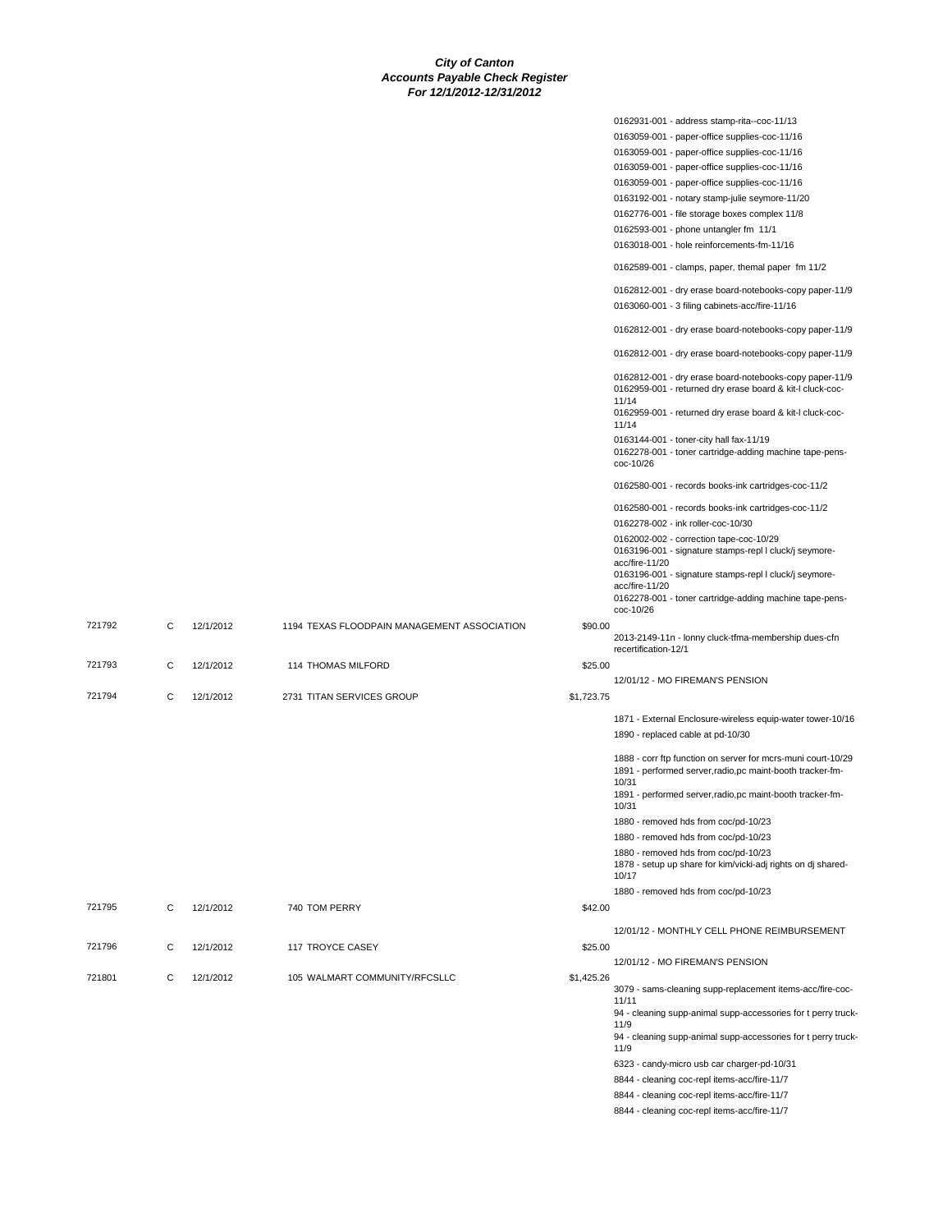|        |   |           |                                             |            | 0162931-001 - address stamp-rita--coc-11/13                                                                          |
|--------|---|-----------|---------------------------------------------|------------|----------------------------------------------------------------------------------------------------------------------|
|        |   |           |                                             |            | 0163059-001 - paper-office supplies-coc-11/16                                                                        |
|        |   |           |                                             |            | 0163059-001 - paper-office supplies-coc-11/16                                                                        |
|        |   |           |                                             |            | 0163059-001 - paper-office supplies-coc-11/16                                                                        |
|        |   |           |                                             |            |                                                                                                                      |
|        |   |           |                                             |            | 0163059-001 - paper-office supplies-coc-11/16                                                                        |
|        |   |           |                                             |            | 0163192-001 - notary stamp-julie seymore-11/20                                                                       |
|        |   |           |                                             |            | 0162776-001 - file storage boxes complex 11/8                                                                        |
|        |   |           |                                             |            | 0162593-001 - phone untangler fm 11/1                                                                                |
|        |   |           |                                             |            | 0163018-001 - hole reinforcements-fm-11/16                                                                           |
|        |   |           |                                             |            | 0162589-001 - clamps, paper, themal paper fm 11/2                                                                    |
|        |   |           |                                             |            | 0162812-001 - dry erase board-notebooks-copy paper-11/9                                                              |
|        |   |           |                                             |            | 0163060-001 - 3 filing cabinets-acc/fire-11/16                                                                       |
|        |   |           |                                             |            | 0162812-001 - dry erase board-notebooks-copy paper-11/9                                                              |
|        |   |           |                                             |            | 0162812-001 - dry erase board-notebooks-copy paper-11/9                                                              |
|        |   |           |                                             |            | 0162812-001 - dry erase board-notebooks-copy paper-11/9<br>0162959-001 - returned dry erase board & kit-I cluck-coc- |
|        |   |           |                                             |            | 11/14<br>0162959-001 - returned dry erase board & kit-I cluck-coc-                                                   |
|        |   |           |                                             |            | 11/14<br>0163144-001 - toner-city hall fax-11/19                                                                     |
|        |   |           |                                             |            | 0162278-001 - toner cartridge-adding machine tape-pens-<br>coc-10/26                                                 |
|        |   |           |                                             |            | 0162580-001 - records books-ink cartridges-coc-11/2                                                                  |
|        |   |           |                                             |            | 0162580-001 - records books-ink cartridges-coc-11/2<br>0162278-002 - ink roller-coc-10/30                            |
|        |   |           |                                             |            |                                                                                                                      |
|        |   |           |                                             |            | 0162002-002 - correction tape-coc-10/29<br>0163196-001 - signature stamps-repl I cluck/j seymore-                    |
|        |   |           |                                             |            | acc/fire-11/20                                                                                                       |
|        |   |           |                                             |            | 0163196-001 - signature stamps-repl I cluck/j seymore-                                                               |
|        |   |           |                                             |            | acc/fire-11/20                                                                                                       |
|        |   |           |                                             |            | 0162278-001 - toner cartridge-adding machine tape-pens-<br>coc-10/26                                                 |
|        |   |           |                                             |            |                                                                                                                      |
| 721792 | C | 12/1/2012 | 1194 TEXAS FLOODPAIN MANAGEMENT ASSOCIATION | \$90.00    | 2013-2149-11n - lonny cluck-tfma-membership dues-cfn<br>recertification-12/1                                         |
| 721793 | С | 12/1/2012 | 114 THOMAS MILFORD                          | \$25.00    |                                                                                                                      |
|        |   |           |                                             |            |                                                                                                                      |
|        |   |           |                                             |            |                                                                                                                      |
| 721794 | C |           |                                             |            | 12/01/12 - MO FIREMAN'S PENSION                                                                                      |
|        |   | 12/1/2012 | 2731 TITAN SERVICES GROUP                   | \$1,723.75 |                                                                                                                      |
|        |   |           |                                             |            | 1871 - External Enclosure-wireless equip-water tower-10/16                                                           |
|        |   |           |                                             |            | 1890 - replaced cable at pd-10/30                                                                                    |
|        |   |           |                                             |            | 1888 - corr ftp function on server for mcrs-muni court-10/29                                                         |
|        |   |           |                                             |            | 1891 - performed server, radio, pc maint-booth tracker-fm-                                                           |
|        |   |           |                                             |            | 10/31<br>1891 - performed server, radio, pc maint-booth tracker-fm-                                                  |
|        |   |           |                                             |            | 10/31                                                                                                                |
|        |   |           |                                             |            | 1880 - removed hds from coc/pd-10/23                                                                                 |
|        |   |           |                                             |            | 1880 - removed hds from coc/pd-10/23                                                                                 |
|        |   |           |                                             |            | 1880 - removed hds from coc/pd-10/23                                                                                 |
|        |   |           |                                             |            | 1878 - setup up share for kim/vicki-adj rights on dj shared-                                                         |
|        |   |           |                                             |            | 10/17                                                                                                                |
|        |   |           |                                             |            | 1880 - removed hds from coc/pd-10/23                                                                                 |
| 721795 | С | 12/1/2012 | 740 TOM PERRY                               | \$42.00    |                                                                                                                      |
|        |   |           |                                             |            |                                                                                                                      |
|        |   |           |                                             |            | 12/01/12 - MONTHLY CELL PHONE REIMBURSEMENT                                                                          |
| 721796 | С | 12/1/2012 | 117 TROYCE CASEY                            | \$25.00    |                                                                                                                      |
|        |   |           |                                             |            | 12/01/12 - MO FIREMAN'S PENSION                                                                                      |
| 721801 | С | 12/1/2012 | 105 WALMART COMMUNITY/RFCSLLC               | \$1,425.26 | 3079 - sams-cleaning supp-replacement items-acc/fire-coc-                                                            |
|        |   |           |                                             |            | 11/11<br>94 - cleaning supp-animal supp-accessories for t perry truck-                                               |
|        |   |           |                                             |            | 11/9                                                                                                                 |
|        |   |           |                                             |            | 94 - cleaning supp-animal supp-accessories for t perry truck-<br>11/9                                                |
|        |   |           |                                             |            | 6323 - candy-micro usb car charger-pd-10/31                                                                          |
|        |   |           |                                             |            | 8844 - cleaning coc-repl items-acc/fire-11/7                                                                         |
|        |   |           |                                             |            | 8844 - cleaning coc-repl items-acc/fire-11/7                                                                         |
|        |   |           |                                             |            | 8844 - cleaning coc-repl items-acc/fire-11/7                                                                         |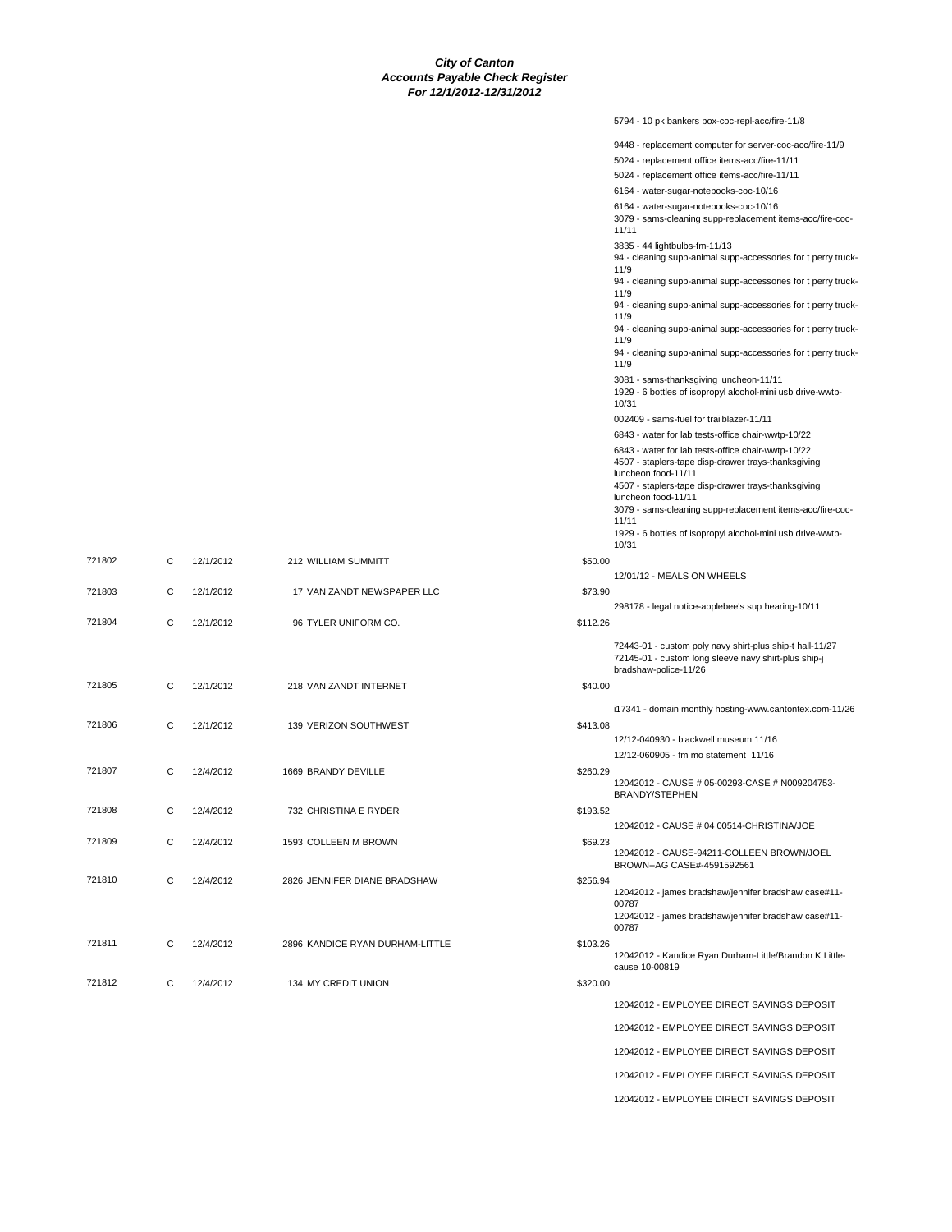|          | 5794 - 10 pk bankers box-coc-repl-acc/fire-11/8                                                                                           |
|----------|-------------------------------------------------------------------------------------------------------------------------------------------|
|          | 9448 - replacement computer for server-coc-acc/fire-11/9                                                                                  |
|          | 5024 - replacement office items-acc/fire-11/11                                                                                            |
|          | 5024 - replacement office items-acc/fire-11/11                                                                                            |
|          | 6164 - water-sugar-notebooks-coc-10/16                                                                                                    |
|          | 6164 - water-sugar-notebooks-coc-10/16                                                                                                    |
|          | 3079 - sams-cleaning supp-replacement items-acc/fire-coc-<br>11/11                                                                        |
|          | 3835 - 44 lightbulbs-fm-11/13                                                                                                             |
|          | 94 - cleaning supp-animal supp-accessories for t perry truck-<br>11/9                                                                     |
|          | 94 - cleaning supp-animal supp-accessories for t perry truck-<br>11/9                                                                     |
|          | 94 - cleaning supp-animal supp-accessories for t perry truck-<br>11/9                                                                     |
|          | 94 - cleaning supp-animal supp-accessories for t perry truck-<br>11/9                                                                     |
|          | 94 - cleaning supp-animal supp-accessories for t perry truck-<br>11/9                                                                     |
|          | 3081 - sams-thanksgiving luncheon-11/11<br>1929 - 6 bottles of isopropyl alcohol-mini usb drive-wwtp-<br>10/31                            |
|          | 002409 - sams-fuel for trailblazer-11/11                                                                                                  |
|          | 6843 - water for lab tests-office chair-wwtp-10/22                                                                                        |
|          | 6843 - water for lab tests-office chair-wwtp-10/22                                                                                        |
|          | 4507 - staplers-tape disp-drawer trays-thanksgiving<br>luncheon food-11/11                                                                |
|          | 4507 - staplers-tape disp-drawer trays-thanksgiving<br>luncheon food-11/11                                                                |
|          | 3079 - sams-cleaning supp-replacement items-acc/fire-coc-                                                                                 |
|          | 11/11<br>1929 - 6 bottles of isopropyl alcohol-mini usb drive-wwtp-                                                                       |
|          | 10/31                                                                                                                                     |
| \$50.00  |                                                                                                                                           |
|          | 12/01/12 - MEALS ON WHEELS                                                                                                                |
| \$73.90  |                                                                                                                                           |
| \$112.26 | 298178 - legal notice-applebee's sup hearing-10/11                                                                                        |
|          |                                                                                                                                           |
|          | 72443-01 - custom poly navy shirt-plus ship-t hall-11/27<br>72145-01 - custom long sleeve navy shirt-plus ship-j<br>bradshaw-police-11/26 |
| \$40.00  |                                                                                                                                           |
|          | i17341 - domain monthly hosting-www.cantontex.com-11/26                                                                                   |
| \$413.08 |                                                                                                                                           |
|          | 12/12-040930 - blackwell museum 11/16                                                                                                     |
|          | 12/12-060905 - fm mo statement 11/16                                                                                                      |
| \$260.29 |                                                                                                                                           |
|          | 12042012 - CAUSE # 05-00293-CASE # N009204753-                                                                                            |
|          | <b>BRANDY/STEPHEN</b>                                                                                                                     |
| \$193.52 |                                                                                                                                           |
|          | 12042012 - CAUSE # 04 00514-CHRISTINA/JOE                                                                                                 |
| \$69.23  | 12042012 - CAUSE-94211-COLLEEN BROWN/JOEL                                                                                                 |
|          | BROWN--AG CASE#-4591592561                                                                                                                |
| \$256.94 |                                                                                                                                           |
|          | 12042012 - james bradshaw/jennifer bradshaw case#11-                                                                                      |
|          | 00787<br>12042012 - james bradshaw/jennifer bradshaw case#11-                                                                             |
|          | 00787                                                                                                                                     |
| \$103.26 |                                                                                                                                           |
|          | 12042012 - Kandice Ryan Durham-Little/Brandon K Little-                                                                                   |
|          | cause 10-00819                                                                                                                            |
| \$320.00 |                                                                                                                                           |
|          | 12042012 - EMPLOYEE DIRECT SAVINGS DEPOSIT                                                                                                |
|          | 12042012 - EMPLOYEE DIRECT SAVINGS DEPOSIT                                                                                                |
|          | 12042012 - EMPLOYEE DIRECT SAVINGS DEPOSIT                                                                                                |
|          | 12042012 - EMPLOYEE DIRECT SAVINGS DEPOSIT                                                                                                |
|          | 12042012 - EMPLOYEE DIRECT SAVINGS DEPOSIT                                                                                                |

| 721802<br>C            | 12/1/2012                 | 212 WILLIAM SUMMITT             | \$50.00  |
|------------------------|---------------------------|---------------------------------|----------|
| 721803<br>$\mathbf{C}$ | 12/1/2012                 | 17 VAN ZANDT NEWSPAPER LLC      | \$73.90  |
| 721804<br>$\mathbf{C}$ | 12/1/2012                 | 96 TYLER UNIFORM CO.            | \$112.26 |
|                        |                           |                                 |          |
| $\mathbf{C}$<br>721805 | 12/1/2012                 | 218 VAN ZANDT INTERNET          | \$40.00  |
| 721806<br>$\mathsf{C}$ | 12/1/2012                 | 139 VERIZON SOUTHWEST           | \$413.08 |
| 721807<br>$\mathsf{C}$ | 12/4/2012                 | 1669 BRANDY DEVILLE             | \$260.29 |
| 721808<br>$\mathbf{C}$ | 12/4/2012                 | 732 CHRISTINA E RYDER           | \$193.52 |
| 721809<br>$\mathbf{C}$ | 12/4/2012                 | 1593 COLLEEN M BROWN            | \$69.23  |
| 721810<br>$\mathbf{C}$ | 12/4/2012                 | 2826 JENNIFER DIANE BRADSHAW    | \$256.94 |
| 721811<br>C            | 12/4/2012                 | 2896 KANDICE RYAN DURHAM-LITTLE | \$103.26 |
| 721812                 | $\mathbf{C}$<br>12/4/2012 | 134 MY CREDIT UNION             | \$320.00 |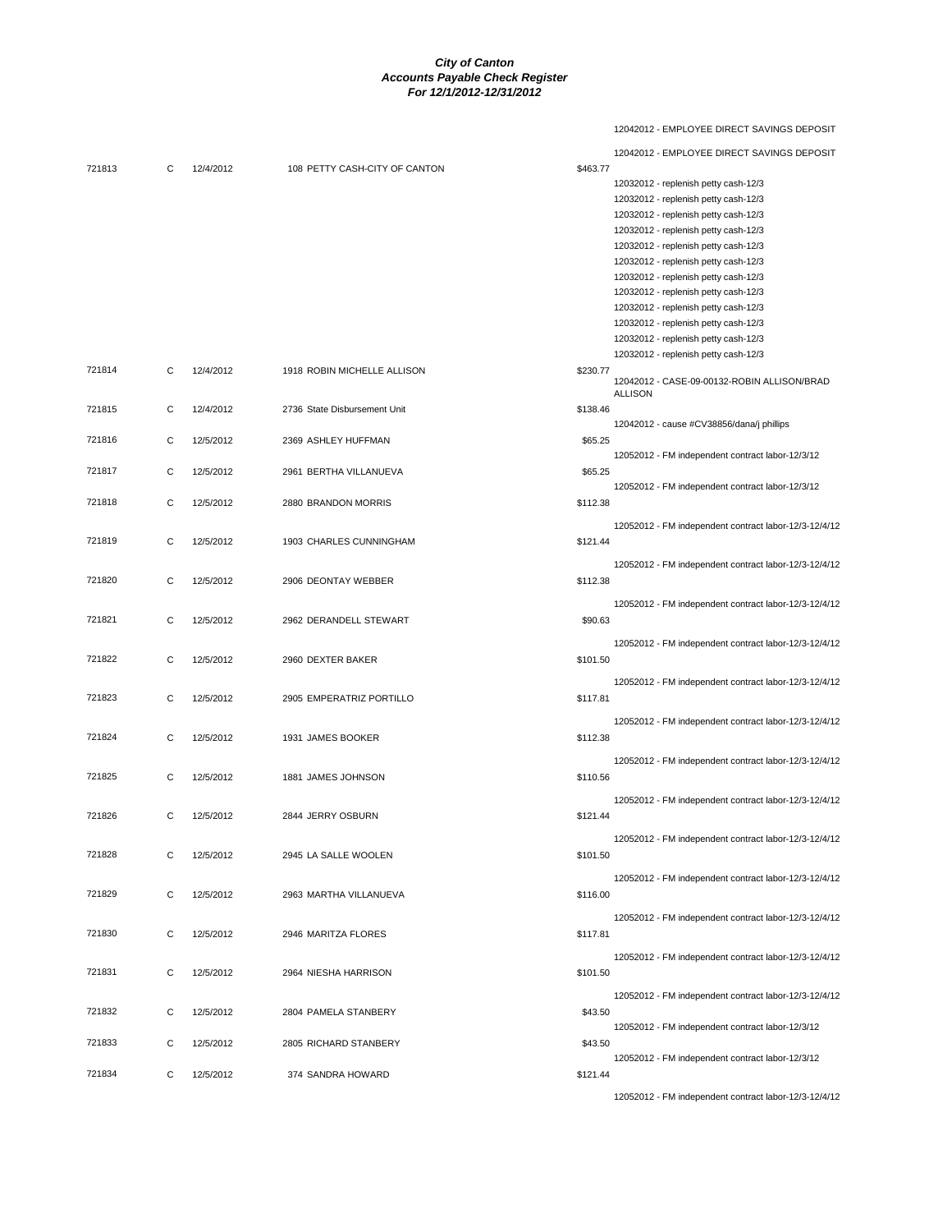# 12042012 - EMPLOYEE DIRECT SAVINGS DEPOSIT

|        |   |           |                               |          | 12042012 - EMPLOYEE DIRECT SAVINGS DEPOSIT            |
|--------|---|-----------|-------------------------------|----------|-------------------------------------------------------|
| 721813 | C | 12/4/2012 | 108 PETTY CASH-CITY OF CANTON | \$463.77 |                                                       |
|        |   |           |                               |          | 12032012 - replenish petty cash-12/3                  |
|        |   |           |                               |          | 12032012 - replenish petty cash-12/3                  |
|        |   |           |                               |          | 12032012 - replenish petty cash-12/3                  |
|        |   |           |                               |          | 12032012 - replenish petty cash-12/3                  |
|        |   |           |                               |          | 12032012 - replenish petty cash-12/3                  |
|        |   |           |                               |          | 12032012 - replenish petty cash-12/3                  |
|        |   |           |                               |          | 12032012 - replenish petty cash-12/3                  |
|        |   |           |                               |          | 12032012 - replenish petty cash-12/3                  |
|        |   |           |                               |          | 12032012 - replenish petty cash-12/3                  |
|        |   |           |                               |          | 12032012 - replenish petty cash-12/3                  |
|        |   |           |                               |          | 12032012 - replenish petty cash-12/3                  |
|        |   |           |                               |          | 12032012 - replenish petty cash-12/3                  |
| 721814 | C | 12/4/2012 | 1918 ROBIN MICHELLE ALLISON   | \$230.77 |                                                       |
|        |   |           |                               |          | 12042012 - CASE-09-00132-ROBIN ALLISON/BRAD           |
|        |   |           |                               |          | <b>ALLISON</b>                                        |
| 721815 | С | 12/4/2012 | 2736 State Disbursement Unit  | \$138.46 |                                                       |
|        |   |           |                               |          | 12042012 - cause #CV38856/dana/j phillips             |
| 721816 | С | 12/5/2012 | 2369 ASHLEY HUFFMAN           | \$65.25  |                                                       |
|        |   |           |                               |          | 12052012 - FM independent contract labor-12/3/12      |
| 721817 | С | 12/5/2012 | 2961 BERTHA VILLANUEVA        | \$65.25  |                                                       |
|        |   |           |                               |          | 12052012 - FM independent contract labor-12/3/12      |
| 721818 | C | 12/5/2012 | 2880 BRANDON MORRIS           | \$112.38 |                                                       |
|        |   |           |                               |          | 12052012 - FM independent contract labor-12/3-12/4/12 |
| 721819 | C | 12/5/2012 | 1903 CHARLES CUNNINGHAM       | \$121.44 |                                                       |
|        |   |           |                               |          |                                                       |
|        |   |           |                               |          | 12052012 - FM independent contract labor-12/3-12/4/12 |
| 721820 | С | 12/5/2012 | 2906 DEONTAY WEBBER           | \$112.38 |                                                       |
|        |   |           |                               |          | 12052012 - FM independent contract labor-12/3-12/4/12 |
| 721821 | С | 12/5/2012 | 2962 DERANDELL STEWART        | \$90.63  |                                                       |
|        |   |           |                               |          |                                                       |
|        |   |           |                               |          | 12052012 - FM independent contract labor-12/3-12/4/12 |
| 721822 | С | 12/5/2012 | 2960 DEXTER BAKER             | \$101.50 |                                                       |
|        |   |           |                               |          | 12052012 - FM independent contract labor-12/3-12/4/12 |
| 721823 | С | 12/5/2012 | 2905 EMPERATRIZ PORTILLO      | \$117.81 |                                                       |
|        |   |           |                               |          |                                                       |
|        |   |           |                               |          | 12052012 - FM independent contract labor-12/3-12/4/12 |
| 721824 | С | 12/5/2012 | 1931 JAMES BOOKER             | \$112.38 |                                                       |
|        |   |           |                               |          | 12052012 - FM independent contract labor-12/3-12/4/12 |
| 721825 |   |           |                               |          |                                                       |
|        | С | 12/5/2012 | 1881 JAMES JOHNSON            | \$110.56 |                                                       |
|        |   |           |                               |          | 12052012 - FM independent contract labor-12/3-12/4/12 |
| 721826 | С | 12/5/2012 | 2844 JERRY OSBURN             | \$121.44 |                                                       |
|        |   |           |                               |          |                                                       |
|        |   |           |                               |          | 12052012 - FM independent contract labor-12/3-12/4/12 |
| 721828 | С | 12/5/2012 | 2945 LA SALLE WOOLEN          | \$101.50 |                                                       |
|        |   |           |                               |          | 12052012 - FM independent contract labor-12/3-12/4/12 |
| 721829 | С | 12/5/2012 | 2963 MARTHA VILLANUEVA        | \$116.00 |                                                       |
|        |   |           |                               |          |                                                       |
|        |   |           |                               |          | 12052012 - FM independent contract labor-12/3-12/4/12 |
| 721830 | С | 12/5/2012 | 2946 MARITZA FLORES           | \$117.81 |                                                       |
|        |   |           |                               |          | 12052012 - FM independent contract labor-12/3-12/4/12 |
| 721831 | С | 12/5/2012 | 2964 NIESHA HARRISON          | \$101.50 |                                                       |
|        |   |           |                               |          |                                                       |
|        |   |           |                               |          | 12052012 - FM independent contract labor-12/3-12/4/12 |
| 721832 | С | 12/5/2012 | 2804 PAMELA STANBERY          | \$43.50  |                                                       |
|        |   |           |                               |          | 12052012 - FM independent contract labor-12/3/12      |
| 721833 | C | 12/5/2012 | 2805 RICHARD STANBERY         | \$43.50  |                                                       |
|        |   |           |                               |          | 12052012 - FM independent contract labor-12/3/12      |
| 721834 | С | 12/5/2012 | 374 SANDRA HOWARD             | \$121.44 |                                                       |
|        |   |           |                               |          |                                                       |

12052012 - FM independent contract labor-12/3-12/4/12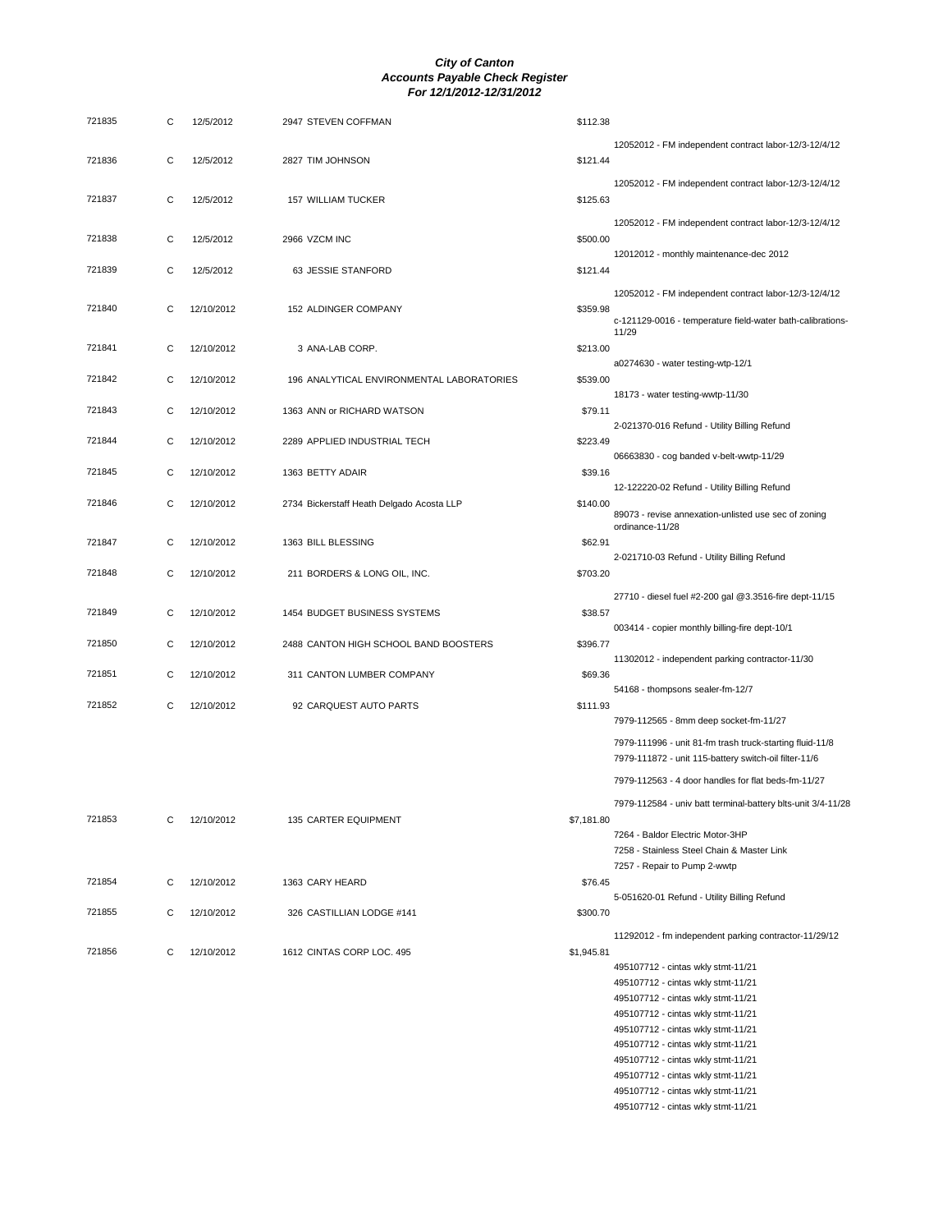| 721835 | С | 12/5/2012  | 2947 STEVEN COFFMAN                       | \$112.38   |                                                                                                                   |
|--------|---|------------|-------------------------------------------|------------|-------------------------------------------------------------------------------------------------------------------|
|        |   |            |                                           |            | 12052012 - FM independent contract labor-12/3-12/4/12                                                             |
| 721836 | C | 12/5/2012  | 2827 TIM JOHNSON                          | \$121.44   |                                                                                                                   |
|        |   |            |                                           |            | 12052012 - FM independent contract labor-12/3-12/4/12                                                             |
| 721837 | C | 12/5/2012  | 157 WILLIAM TUCKER                        | \$125.63   |                                                                                                                   |
|        |   |            |                                           |            | 12052012 - FM independent contract labor-12/3-12/4/12                                                             |
| 721838 | C | 12/5/2012  | 2966 VZCM INC                             | \$500.00   |                                                                                                                   |
|        |   |            |                                           |            | 12012012 - monthly maintenance-dec 2012                                                                           |
| 721839 | С | 12/5/2012  | 63 JESSIE STANFORD                        | \$121.44   |                                                                                                                   |
|        |   |            |                                           |            | 12052012 - FM independent contract labor-12/3-12/4/12                                                             |
| 721840 | C | 12/10/2012 | 152 ALDINGER COMPANY                      | \$359.98   | c-121129-0016 - temperature field-water bath-calibrations-                                                        |
|        |   |            |                                           |            | 11/29                                                                                                             |
| 721841 | С | 12/10/2012 | 3 ANA-LAB CORP.                           | \$213.00   |                                                                                                                   |
| 721842 | С | 12/10/2012 | 196 ANALYTICAL ENVIRONMENTAL LABORATORIES | \$539.00   | a0274630 - water testing-wtp-12/1                                                                                 |
|        |   |            |                                           |            | 18173 - water testing-wwtp-11/30                                                                                  |
| 721843 | С | 12/10/2012 | 1363 ANN or RICHARD WATSON                | \$79.11    |                                                                                                                   |
|        |   |            |                                           |            | 2-021370-016 Refund - Utility Billing Refund                                                                      |
| 721844 | С | 12/10/2012 | 2289 APPLIED INDUSTRIAL TECH              | \$223.49   |                                                                                                                   |
| 721845 | С | 12/10/2012 | 1363 BETTY ADAIR                          | \$39.16    | 06663830 - cog banded v-belt-wwtp-11/29                                                                           |
|        |   |            |                                           |            | 12-122220-02 Refund - Utility Billing Refund                                                                      |
| 721846 | С | 12/10/2012 | 2734 Bickerstaff Heath Delgado Acosta LLP | \$140.00   |                                                                                                                   |
|        |   |            |                                           |            | 89073 - revise annexation-unlisted use sec of zoning<br>ordinance-11/28                                           |
| 721847 | С | 12/10/2012 | 1363 BILL BLESSING                        | \$62.91    |                                                                                                                   |
|        |   |            |                                           |            | 2-021710-03 Refund - Utility Billing Refund                                                                       |
| 721848 | С | 12/10/2012 | 211 BORDERS & LONG OIL, INC.              | \$703.20   |                                                                                                                   |
|        |   |            |                                           |            | 27710 - diesel fuel #2-200 gal @3.3516-fire dept-11/15                                                            |
| 721849 | С | 12/10/2012 | 1454 BUDGET BUSINESS SYSTEMS              | \$38.57    |                                                                                                                   |
| 721850 | С | 12/10/2012 | 2488 CANTON HIGH SCHOOL BAND BOOSTERS     | \$396.77   | 003414 - copier monthly billing-fire dept-10/1                                                                    |
|        |   |            |                                           |            | 11302012 - independent parking contractor-11/30                                                                   |
| 721851 | С | 12/10/2012 | 311 CANTON LUMBER COMPANY                 | \$69.36    |                                                                                                                   |
|        |   |            |                                           |            | 54168 - thompsons sealer-fm-12/7                                                                                  |
| 721852 | С | 12/10/2012 | 92 CARQUEST AUTO PARTS                    | \$111.93   | 7979-112565 - 8mm deep socket-fm-11/27                                                                            |
|        |   |            |                                           |            |                                                                                                                   |
|        |   |            |                                           |            | 7979-111996 - unit 81-fm trash truck-starting fluid-11/8<br>7979-111872 - unit 115-battery switch-oil filter-11/6 |
|        |   |            |                                           |            |                                                                                                                   |
|        |   |            |                                           |            | 7979-112563 - 4 door handles for flat beds-fm-11/27                                                               |
|        |   |            |                                           |            | 7979-112584 - univ batt terminal-battery blts-unit 3/4-11/28                                                      |
| 721853 | С | 12/10/2012 | 135 CARTER EQUIPMENT                      | \$7,181.80 | 7264 - Baldor Electric Motor-3HP                                                                                  |
|        |   |            |                                           |            | 7258 - Stainless Steel Chain & Master Link                                                                        |
|        |   |            |                                           |            | 7257 - Repair to Pump 2-wwtp                                                                                      |
| 721854 | C | 12/10/2012 | 1363 CARY HEARD                           | \$76.45    |                                                                                                                   |
|        |   |            |                                           |            | 5-051620-01 Refund - Utility Billing Refund                                                                       |
| 721855 | С | 12/10/2012 | 326 CASTILLIAN LODGE #141                 | \$300.70   |                                                                                                                   |
|        |   |            |                                           |            | 11292012 - fm independent parking contractor-11/29/12                                                             |
| 721856 | С | 12/10/2012 | 1612 CINTAS CORP LOC. 495                 | \$1,945.81 | 495107712 - cintas wkly stmt-11/21                                                                                |
|        |   |            |                                           |            | 495107712 - cintas wkly stmt-11/21                                                                                |
|        |   |            |                                           |            | 495107712 - cintas wkly stmt-11/21                                                                                |
|        |   |            |                                           |            | 495107712 - cintas wkly stmt-11/21                                                                                |
|        |   |            |                                           |            | 495107712 - cintas wkly stmt-11/21                                                                                |
|        |   |            |                                           |            | 495107712 - cintas wkly stmt-11/21                                                                                |
|        |   |            |                                           |            | 495107712 - cintas wkly stmt-11/21                                                                                |
|        |   |            |                                           |            |                                                                                                                   |

495107712 - cintas wkly stmt-11/21 495107712 - cintas wkly stmt-11/21

495107712 - cintas wkly stmt-11/21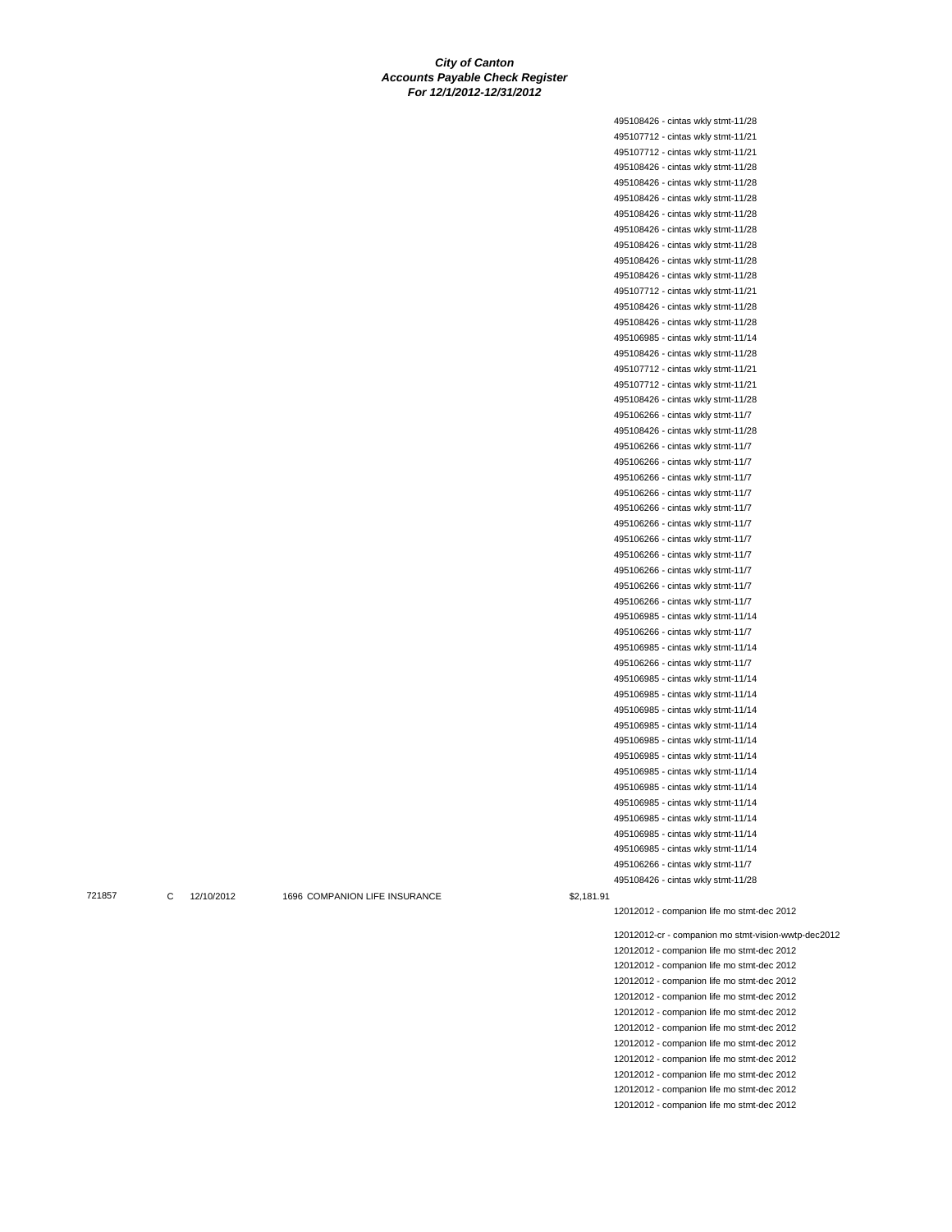495108426 - cintas wkly stmt-11/28 495107712 - cintas wkly stmt-11/21 495107712 - cintas wkly stmt-11/21 495108426 - cintas wkly stmt-11/28 495108426 - cintas wkly stmt-11/28 495108426 - cintas wkly stmt-11/28 495108426 - cintas wkly stmt-11/28 495108426 - cintas wkly stmt-11/28 495108426 - cintas wkly stmt-11/28 495108426 - cintas wkly stmt-11/28 495108426 - cintas wkly stmt-11/28 495107712 - cintas wkly stmt-11/21 495108426 - cintas wkly stmt-11/28 495108426 - cintas wkly stmt-11/28 495106985 - cintas wkly stmt-11/14 495108426 - cintas wkly stmt-11/28 495107712 - cintas wkly stmt-11/21 495107712 - cintas wkly stmt-11/21 495108426 - cintas wkly stmt-11/28 495106266 - cintas wkly stmt-11/7 495108426 - cintas wkly stmt-11/28 495106266 - cintas wkly stmt-11/7 495106266 - cintas wkly stmt-11/7 495106266 - cintas wkly stmt-11/7 495106266 - cintas wkly stmt-11/7 495106266 - cintas wkly stmt-11/7 495106266 - cintas wkly stmt-11/7 495106266 - cintas wkly stmt-11/7 495106266 - cintas wkly stmt-11/7 495106266 - cintas wkly stmt-11/7 495106266 - cintas wkly stmt-11/7 495106266 - cintas wkly stmt-11/7 495106985 - cintas wkly stmt-11/14 495106266 - cintas wkly stmt-11/7 495106985 - cintas wkly stmt-11/14 495106266 - cintas wkly stmt-11/7 495106985 - cintas wkly stmt-11/14 495106985 - cintas wkly stmt-11/14 495106985 - cintas wkly stmt-11/14 495106985 - cintas wkly stmt-11/14 495106985 - cintas wkly stmt-11/14 495106985 - cintas wkly stmt-11/14 495106985 - cintas wkly stmt-11/14 495106985 - cintas wkly stmt-11/14 495106985 - cintas wkly stmt-11/14 495106985 - cintas wkly stmt-11/14 495106985 - cintas wkly stmt-11/14 495106985 - cintas wkly stmt-11/14 495106266 - cintas wkly stmt-11/7 495108426 - cintas wkly stmt-11/28

721857 C 12/10/2012 1696 COMPANION LIFE INSURANCE \$2,181.91

12012012 - companion life mo stmt-dec 2012

12012012-cr - companion mo stmt-vision-wwtp-dec2012 12012012 - companion life mo stmt-dec 2012 12012012 - companion life mo stmt-dec 2012 12012012 - companion life mo stmt-dec 2012 12012012 - companion life mo stmt-dec 2012 12012012 - companion life mo stmt-dec 2012 12012012 - companion life mo stmt-dec 2012 12012012 - companion life mo stmt-dec 2012 12012012 - companion life mo stmt-dec 2012 12012012 - companion life mo stmt-dec 2012 12012012 - companion life mo stmt-dec 2012 12012012 - companion life mo stmt-dec 2012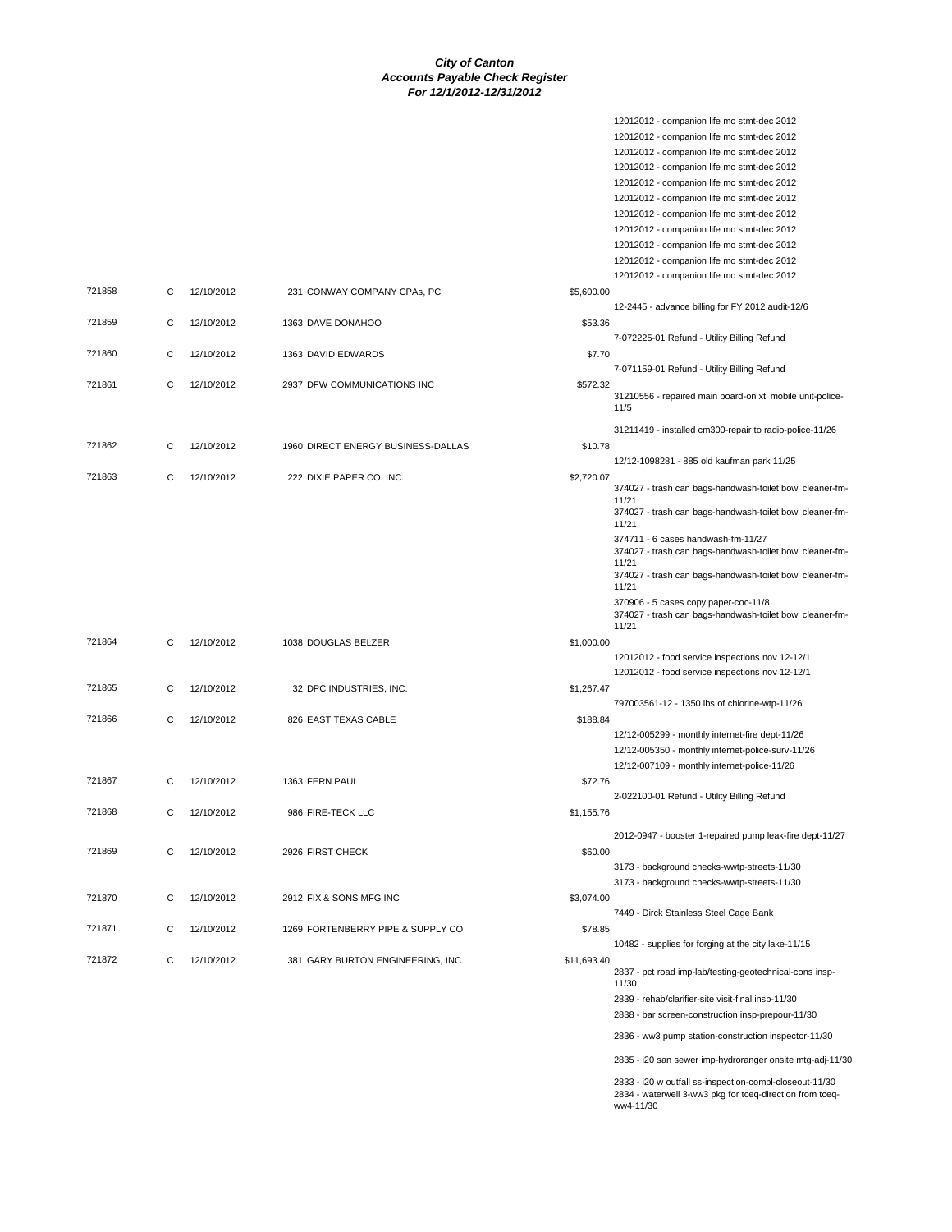|        |   |            |                                    |             | 12012012 - companion life mo stmt-dec 2012<br>12012012 - companion life mo stmt-dec 2012<br>12012012 - companion life mo stmt-dec 2012<br>12012012 - companion life mo stmt-dec 2012<br>12012012 - companion life mo stmt-dec 2012<br>12012012 - companion life mo stmt-dec 2012<br>12012012 - companion life mo stmt-dec 2012<br>12012012 - companion life mo stmt-dec 2012<br>12012012 - companion life mo stmt-dec 2012<br>12012012 - companion life mo stmt-dec 2012 |
|--------|---|------------|------------------------------------|-------------|--------------------------------------------------------------------------------------------------------------------------------------------------------------------------------------------------------------------------------------------------------------------------------------------------------------------------------------------------------------------------------------------------------------------------------------------------------------------------|
| 721858 | С | 12/10/2012 | 231 CONWAY COMPANY CPAs, PC        | \$5,600.00  | 12012012 - companion life mo stmt-dec 2012                                                                                                                                                                                                                                                                                                                                                                                                                               |
| 721859 | С | 12/10/2012 | 1363 DAVE DONAHOO                  | \$53.36     | 12-2445 - advance billing for FY 2012 audit-12/6<br>7-072225-01 Refund - Utility Billing Refund                                                                                                                                                                                                                                                                                                                                                                          |
| 721860 | С | 12/10/2012 | 1363 DAVID EDWARDS                 | \$7.70      | 7-071159-01 Refund - Utility Billing Refund                                                                                                                                                                                                                                                                                                                                                                                                                              |
| 721861 | C | 12/10/2012 | 2937 DFW COMMUNICATIONS INC        | \$572.32    | 31210556 - repaired main board-on xtl mobile unit-police-<br>11/5                                                                                                                                                                                                                                                                                                                                                                                                        |
| 721862 | С | 12/10/2012 | 1960 DIRECT ENERGY BUSINESS-DALLAS | \$10.78     | 31211419 - installed cm300-repair to radio-police-11/26                                                                                                                                                                                                                                                                                                                                                                                                                  |
|        |   | 12/10/2012 |                                    |             | 12/12-1098281 - 885 old kaufman park 11/25                                                                                                                                                                                                                                                                                                                                                                                                                               |
| 721863 | C |            | 222 DIXIE PAPER CO. INC.           | \$2,720.07  | 374027 - trash can bags-handwash-toilet bowl cleaner-fm-<br>11/21<br>374027 - trash can bags-handwash-toilet bowl cleaner-fm-<br>11/21<br>374711 - 6 cases handwash-fm-11/27<br>374027 - trash can bags-handwash-toilet bowl cleaner-fm-<br>11/21<br>374027 - trash can bags-handwash-toilet bowl cleaner-fm-<br>11/21<br>370906 - 5 cases copy paper-coc-11/8<br>374027 - trash can bags-handwash-toilet bowl cleaner-fm-<br>11/21                                      |
| 721864 | С | 12/10/2012 | 1038 DOUGLAS BELZER                | \$1,000.00  | 12012012 - food service inspections nov 12-12/1<br>12012012 - food service inspections nov 12-12/1                                                                                                                                                                                                                                                                                                                                                                       |
| 721865 | С | 12/10/2012 | 32 DPC INDUSTRIES, INC.            | \$1,267.47  | 797003561-12 - 1350 lbs of chlorine-wtp-11/26                                                                                                                                                                                                                                                                                                                                                                                                                            |
| 721866 | C | 12/10/2012 | 826 EAST TEXAS CABLE               | \$188.84    | 12/12-005299 - monthly internet-fire dept-11/26<br>12/12-005350 - monthly internet-police-surv-11/26<br>12/12-007109 - monthly internet-police-11/26                                                                                                                                                                                                                                                                                                                     |
| 721867 | С | 12/10/2012 | 1363 FERN PAUL                     | \$72.76     | 2-022100-01 Refund - Utility Billing Refund                                                                                                                                                                                                                                                                                                                                                                                                                              |
| 721868 | С | 12/10/2012 | 986 FIRE-TECK LLC                  | \$1,155.76  |                                                                                                                                                                                                                                                                                                                                                                                                                                                                          |
| 721869 | C | 12/10/2012 | 2926 FIRST CHECK                   | \$60.00     | 2012-0947 - booster 1-repaired pump leak-fire dept-11/27<br>3173 - background checks-wwtp-streets-11/30<br>3173 - background checks-wwtp-streets-11/30                                                                                                                                                                                                                                                                                                                   |
| 721870 | С | 12/10/2012 | 2912 FIX & SONS MFG INC            | \$3,074.00  |                                                                                                                                                                                                                                                                                                                                                                                                                                                                          |
| 721871 | C | 12/10/2012 | 1269 FORTENBERRY PIPE & SUPPLY CO  | \$78.85     | 7449 - Dirck Stainless Steel Cage Bank                                                                                                                                                                                                                                                                                                                                                                                                                                   |
| 721872 | C | 12/10/2012 | 381 GARY BURTON ENGINEERING, INC.  | \$11,693.40 | 10482 - supplies for forging at the city lake-11/15<br>2837 - pct road imp-lab/testing-geotechnical-cons insp-<br>11/30<br>2839 - rehab/clarifier-site visit-final insp-11/30<br>2838 - bar screen-construction insp-prepour-11/30<br>2836 - ww3 pump station-construction inspector-11/30                                                                                                                                                                               |
|        |   |            |                                    |             | 2835 - i20 san sewer imp-hydroranger onsite mtg-adj-11/30<br>2023 in wortfoll on increasing complete one 14/20                                                                                                                                                                                                                                                                                                                                                           |

2833 - i20 w outfall ss-inspection-compl-closeout-11/30 2834 - waterwell 3-ww3 pkg for tceq-direction from tceq-ww4-11/30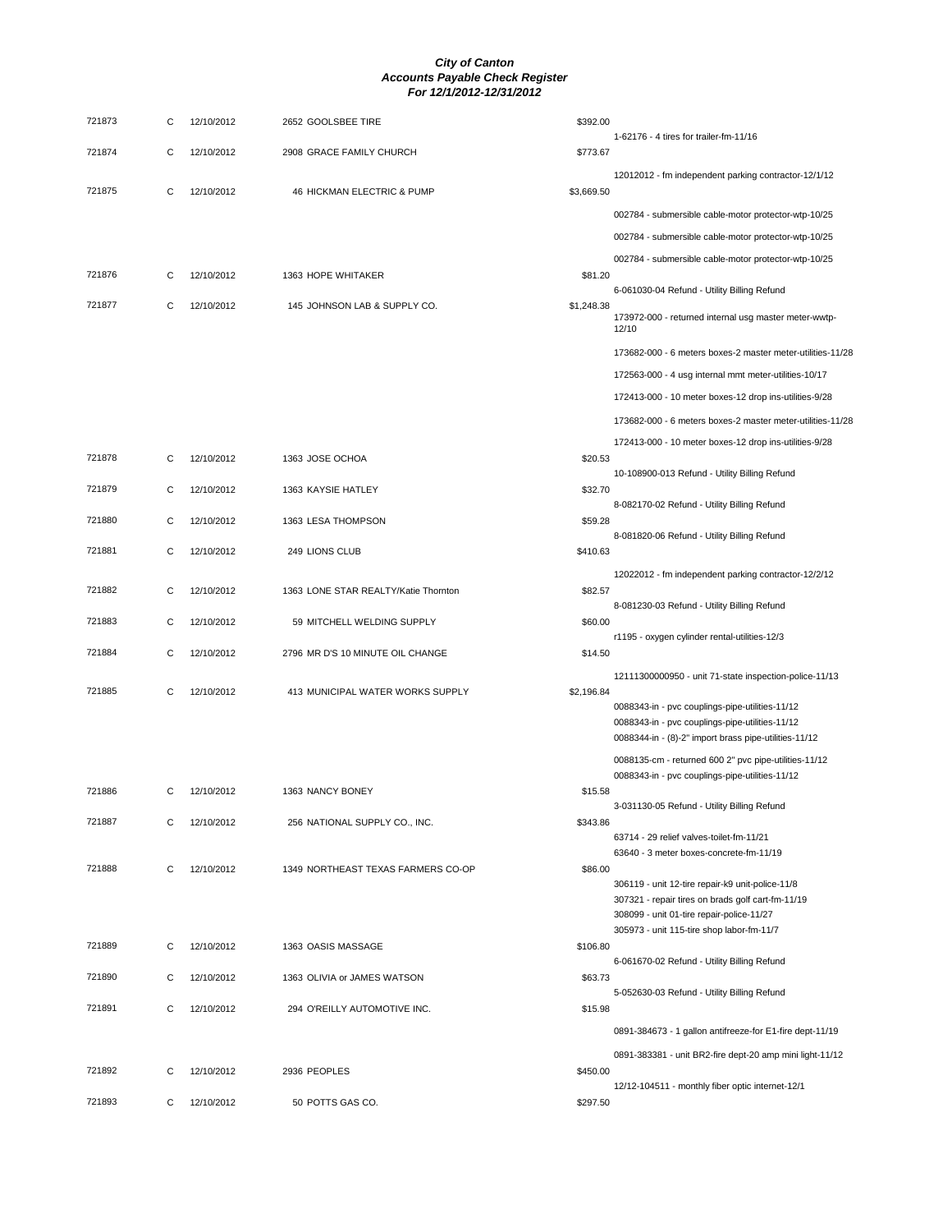| 721873 | С | 12/10/2012 | 2652 GOOLSBEE TIRE                   | \$392.00<br>1-62176 - 4 tires for trailer-fm-11/16                                                       |
|--------|---|------------|--------------------------------------|----------------------------------------------------------------------------------------------------------|
| 721874 | C | 12/10/2012 | 2908 GRACE FAMILY CHURCH             | \$773.67                                                                                                 |
| 721875 | C | 12/10/2012 | 46 HICKMAN ELECTRIC & PUMP           | 12012012 - fm independent parking contractor-12/1/12<br>\$3,669.50                                       |
|        |   |            |                                      | 002784 - submersible cable-motor protector-wtp-10/25                                                     |
|        |   |            |                                      | 002784 - submersible cable-motor protector-wtp-10/25                                                     |
|        |   |            |                                      | 002784 - submersible cable-motor protector-wtp-10/25                                                     |
| 721876 | C | 12/10/2012 | 1363 HOPE WHITAKER                   | \$81.20                                                                                                  |
| 721877 | C | 12/10/2012 | 145 JOHNSON LAB & SUPPLY CO.         | 6-061030-04 Refund - Utility Billing Refund<br>\$1,248.38                                                |
|        |   |            |                                      | 173972-000 - returned internal usg master meter-wwtp-<br>12/10                                           |
|        |   |            |                                      | 173682-000 - 6 meters boxes-2 master meter-utilities-11/28                                               |
|        |   |            |                                      | 172563-000 - 4 usg internal mmt meter-utilities-10/17                                                    |
|        |   |            |                                      | 172413-000 - 10 meter boxes-12 drop ins-utilities-9/28                                                   |
|        |   |            |                                      | 173682-000 - 6 meters boxes-2 master meter-utilities-11/28                                               |
|        |   |            |                                      | 172413-000 - 10 meter boxes-12 drop ins-utilities-9/28                                                   |
| 721878 | С | 12/10/2012 | 1363 JOSE OCHOA                      | \$20.53<br>10-108900-013 Refund - Utility Billing Refund                                                 |
| 721879 | C | 12/10/2012 | 1363 KAYSIE HATLEY                   | \$32.70                                                                                                  |
|        |   |            |                                      | 8-082170-02 Refund - Utility Billing Refund                                                              |
| 721880 | С | 12/10/2012 | 1363 LESA THOMPSON                   | \$59.28<br>8-081820-06 Refund - Utility Billing Refund                                                   |
| 721881 | C | 12/10/2012 | 249 LIONS CLUB                       | \$410.63                                                                                                 |
|        |   |            |                                      | 12022012 - fm independent parking contractor-12/2/12                                                     |
| 721882 | C | 12/10/2012 | 1363 LONE STAR REALTY/Katie Thornton | \$82.57<br>8-081230-03 Refund - Utility Billing Refund                                                   |
| 721883 | C | 12/10/2012 | 59 MITCHELL WELDING SUPPLY           | \$60.00                                                                                                  |
|        |   |            |                                      | r1195 - oxygen cylinder rental-utilities-12/3                                                            |
| 721884 | C | 12/10/2012 | 2796 MR D'S 10 MINUTE OIL CHANGE     | \$14.50                                                                                                  |
| 721885 | C | 12/10/2012 | 413 MUNICIPAL WATER WORKS SUPPLY     | 12111300000950 - unit 71-state inspection-police-11/13<br>\$2,196.84                                     |
|        |   |            |                                      | 0088343-in - pvc couplings-pipe-utilities-11/12                                                          |
|        |   |            |                                      | 0088343-in - pvc couplings-pipe-utilities-11/12<br>0088344-in - (8)-2" import brass pipe-utilities-11/12 |
|        |   |            |                                      |                                                                                                          |
|        |   |            |                                      | 0088135-cm - returned 600 2" pvc pipe-utilities-11/12<br>0088343-in - pvc couplings-pipe-utilities-11/12 |
| 721886 | C | 12/10/2012 | 1363 NANCY BONEY                     | \$15.58                                                                                                  |
| 721887 | С | 12/10/2012 | 256 NATIONAL SUPPLY CO., INC.        | 3-031130-05 Refund - Utility Billing Refund<br>\$343.86                                                  |
|        |   |            |                                      | 63714 - 29 relief valves-toilet-fm-11/21                                                                 |
| 721888 | С | 12/10/2012 |                                      | 63640 - 3 meter boxes-concrete-fm-11/19                                                                  |
|        |   |            | 1349 NORTHEAST TEXAS FARMERS CO-OP   | \$86.00<br>306119 - unit 12-tire repair-k9 unit-police-11/8                                              |
|        |   |            |                                      | 307321 - repair tires on brads golf cart-fm-11/19                                                        |
|        |   |            |                                      | 308099 - unit 01-tire repair-police-11/27<br>305973 - unit 115-tire shop labor-fm-11/7                   |
| 721889 | С | 12/10/2012 | 1363 OASIS MASSAGE                   | \$106.80                                                                                                 |
| 721890 |   | 12/10/2012 |                                      | 6-061670-02 Refund - Utility Billing Refund                                                              |
|        | С |            | 1363 OLIVIA or JAMES WATSON          | \$63.73<br>5-052630-03 Refund - Utility Billing Refund                                                   |
| 721891 | C | 12/10/2012 | 294 O'REILLY AUTOMOTIVE INC.         | \$15.98                                                                                                  |
|        |   |            |                                      | 0891-384673 - 1 gallon antifreeze-for E1-fire dept-11/19                                                 |
|        |   |            |                                      | 0891-383381 - unit BR2-fire dept-20 amp mini light-11/12                                                 |
| 721892 | С | 12/10/2012 | 2936 PEOPLES                         | \$450.00<br>12/12-104511 - monthly fiber optic internet-12/1                                             |
| 721893 | С | 12/10/2012 | 50 POTTS GAS CO.                     | \$297.50                                                                                                 |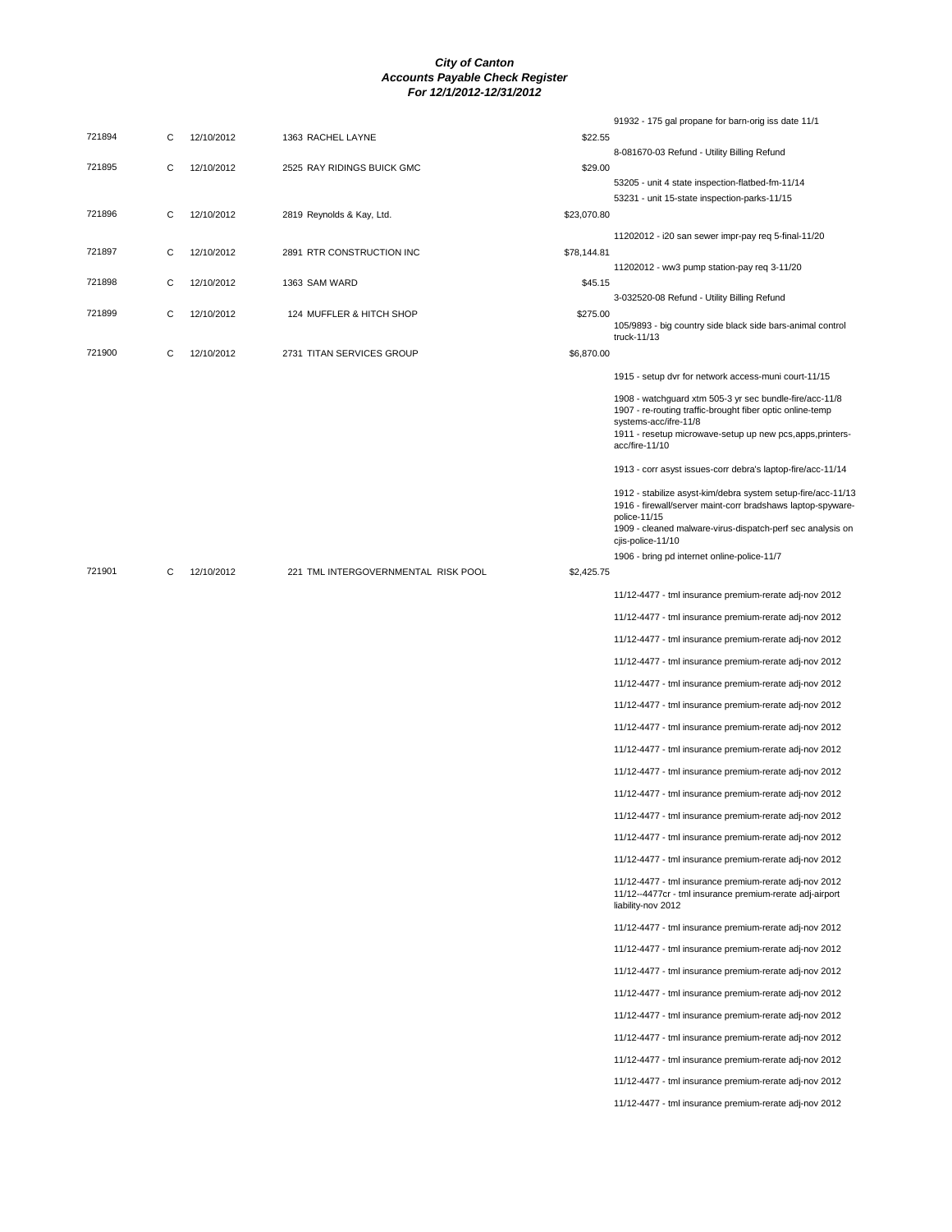|        |   |            |                                     |             | 91932 - 175 gal propane for barn-orig iss date 11/1                                                                                                                                                                            |
|--------|---|------------|-------------------------------------|-------------|--------------------------------------------------------------------------------------------------------------------------------------------------------------------------------------------------------------------------------|
| 721894 | С | 12/10/2012 | 1363 RACHEL LAYNE                   | \$22.55     | 8-081670-03 Refund - Utility Billing Refund                                                                                                                                                                                    |
| 721895 | C | 12/10/2012 | 2525 RAY RIDINGS BUICK GMC          | \$29.00     |                                                                                                                                                                                                                                |
|        |   |            |                                     |             | 53205 - unit 4 state inspection-flatbed-fm-11/14                                                                                                                                                                               |
| 721896 | С | 12/10/2012 | 2819 Reynolds & Kay, Ltd.           | \$23,070.80 | 53231 - unit 15-state inspection-parks-11/15                                                                                                                                                                                   |
|        |   |            |                                     |             | 11202012 - i20 san sewer impr-pay reg 5-final-11/20                                                                                                                                                                            |
| 721897 | С | 12/10/2012 | 2891 RTR CONSTRUCTION INC           | \$78,144.81 |                                                                                                                                                                                                                                |
|        |   |            |                                     |             | 11202012 - ww3 pump station-pay req 3-11/20                                                                                                                                                                                    |
| 721898 | С | 12/10/2012 | 1363 SAM WARD                       | \$45.15     | 3-032520-08 Refund - Utility Billing Refund                                                                                                                                                                                    |
| 721899 | С | 12/10/2012 | 124 MUFFLER & HITCH SHOP            | \$275.00    | 105/9893 - big country side black side bars-animal control                                                                                                                                                                     |
| 721900 | С | 12/10/2012 | 2731 TITAN SERVICES GROUP           | \$6,870.00  | truck-11/13                                                                                                                                                                                                                    |
|        |   |            |                                     |             | 1915 - setup dvr for network access-muni court-11/15                                                                                                                                                                           |
|        |   |            |                                     |             | 1908 - watchguard xtm 505-3 yr sec bundle-fire/acc-11/8<br>1907 - re-routing traffic-brought fiber optic online-temp<br>systems-acc/ifre-11/8<br>1911 - resetup microwave-setup up new pcs, apps, printers-<br>acc/fire-11/10  |
|        |   |            |                                     |             | 1913 - corr asyst issues-corr debra's laptop-fire/acc-11/14                                                                                                                                                                    |
|        |   |            |                                     |             | 1912 - stabilize asyst-kim/debra system setup-fire/acc-11/13<br>1916 - firewall/server maint-corr bradshaws laptop-spyware-<br>police-11/15<br>1909 - cleaned malware-virus-dispatch-perf sec analysis on<br>cjis-police-11/10 |
|        |   |            |                                     |             | 1906 - bring pd internet online-police-11/7                                                                                                                                                                                    |
| 721901 | С | 12/10/2012 | 221 TML INTERGOVERNMENTAL RISK POOL | \$2,425.75  |                                                                                                                                                                                                                                |
|        |   |            |                                     |             | 11/12-4477 - tml insurance premium-rerate adj-nov 2012                                                                                                                                                                         |
|        |   |            |                                     |             | 11/12-4477 - tml insurance premium-rerate adj-nov 2012                                                                                                                                                                         |
|        |   |            |                                     |             | 11/12-4477 - tml insurance premium-rerate adj-nov 2012                                                                                                                                                                         |
|        |   |            |                                     |             | 11/12-4477 - tml insurance premium-rerate adj-nov 2012                                                                                                                                                                         |
|        |   |            |                                     |             | 11/12-4477 - tml insurance premium-rerate adj-nov 2012                                                                                                                                                                         |
|        |   |            |                                     |             | 11/12-4477 - tml insurance premium-rerate adj-nov 2012                                                                                                                                                                         |
|        |   |            |                                     |             | 11/12-4477 - tml insurance premium-rerate adj-nov 2012                                                                                                                                                                         |
|        |   |            |                                     |             | 11/12-4477 - tml insurance premium-rerate adj-nov 2012                                                                                                                                                                         |
|        |   |            |                                     |             | 11/12-4477 - tml insurance premium-rerate adj-nov 2012                                                                                                                                                                         |
|        |   |            |                                     |             | 11/12-4477 - tml insurance premium-rerate adj-nov 2012                                                                                                                                                                         |
|        |   |            |                                     |             | 11/12-4477 - tml insurance premium-rerate adj-nov 2012                                                                                                                                                                         |
|        |   |            |                                     |             | 11/12-4477 - tml insurance premium-rerate adj-nov 2012                                                                                                                                                                         |
|        |   |            |                                     |             | 11/12-4477 - tml insurance premium-rerate adj-nov 2012                                                                                                                                                                         |
|        |   |            |                                     |             | 11/12-4477 - tml insurance premium-rerate adj-nov 2012<br>11/12--4477cr - tml insurance premium-rerate adj-airport<br>liability-nov 2012                                                                                       |
|        |   |            |                                     |             | 11/12-4477 - tml insurance premium-rerate adj-nov 2012                                                                                                                                                                         |
|        |   |            |                                     |             | 11/12-4477 - tml insurance premium-rerate adj-nov 2012                                                                                                                                                                         |
|        |   |            |                                     |             | 11/12-4477 - tml insurance premium-rerate adj-nov 2012                                                                                                                                                                         |
|        |   |            |                                     |             | 11/12-4477 - tml insurance premium-rerate adj-nov 2012                                                                                                                                                                         |
|        |   |            |                                     |             | 11/12-4477 - tml insurance premium-rerate adj-nov 2012                                                                                                                                                                         |
|        |   |            |                                     |             | 11/12-4477 - tml insurance premium-rerate adj-nov 2012                                                                                                                                                                         |
|        |   |            |                                     |             | 11/12-4477 - tml insurance premium-rerate adj-nov 2012                                                                                                                                                                         |
|        |   |            |                                     |             | 11/12-4477 - tml insurance premium-rerate adj-nov 2012                                                                                                                                                                         |
|        |   |            |                                     |             | 11/12-4477 - tml insurance premium-rerate adj-nov 2012                                                                                                                                                                         |
|        |   |            |                                     |             |                                                                                                                                                                                                                                |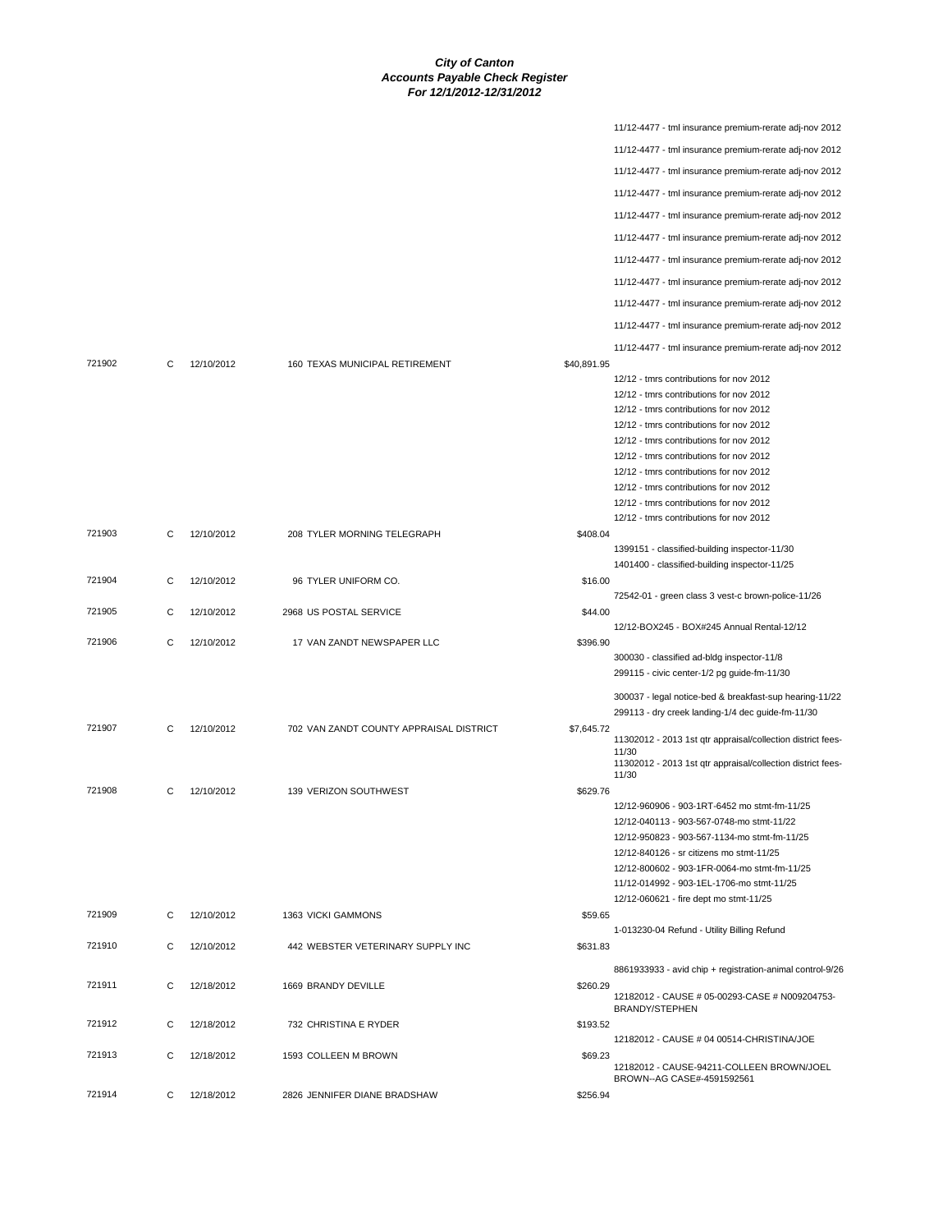|        |   |            |                                         |             | 11/12-4477 - tml insurance premium-rerate adj-nov 2012                                         |
|--------|---|------------|-----------------------------------------|-------------|------------------------------------------------------------------------------------------------|
|        |   |            |                                         |             | 11/12-4477 - tml insurance premium-rerate adj-nov 2012                                         |
|        |   |            |                                         |             | 11/12-4477 - tml insurance premium-rerate adj-nov 2012                                         |
|        |   |            |                                         |             | 11/12-4477 - tml insurance premium-rerate adj-nov 2012                                         |
|        |   |            |                                         |             | 11/12-4477 - tml insurance premium-rerate adj-nov 2012                                         |
|        |   |            |                                         |             | 11/12-4477 - tml insurance premium-rerate adj-nov 2012                                         |
|        |   |            |                                         |             |                                                                                                |
|        |   |            |                                         |             | 11/12-4477 - tml insurance premium-rerate adj-nov 2012                                         |
|        |   |            |                                         |             | 11/12-4477 - tml insurance premium-rerate adj-nov 2012                                         |
|        |   |            |                                         |             | 11/12-4477 - tml insurance premium-rerate adj-nov 2012                                         |
|        |   |            |                                         |             | 11/12-4477 - tml insurance premium-rerate adj-nov 2012                                         |
|        |   |            |                                         |             | 11/12-4477 - tml insurance premium-rerate adj-nov 2012                                         |
| 721902 | С | 12/10/2012 | 160 TEXAS MUNICIPAL RETIREMENT          | \$40,891.95 |                                                                                                |
|        |   |            |                                         |             | 12/12 - tmrs contributions for nov 2012                                                        |
|        |   |            |                                         |             | 12/12 - tmrs contributions for nov 2012<br>12/12 - tmrs contributions for nov 2012             |
|        |   |            |                                         |             | 12/12 - tmrs contributions for nov 2012                                                        |
|        |   |            |                                         |             | 12/12 - tmrs contributions for nov 2012                                                        |
|        |   |            |                                         |             | 12/12 - tmrs contributions for nov 2012                                                        |
|        |   |            |                                         |             | 12/12 - tmrs contributions for nov 2012                                                        |
|        |   |            |                                         |             | 12/12 - tmrs contributions for nov 2012                                                        |
|        |   |            |                                         |             | 12/12 - tmrs contributions for nov 2012                                                        |
|        |   |            |                                         |             | 12/12 - tmrs contributions for nov 2012                                                        |
| 721903 | C | 12/10/2012 | 208 TYLER MORNING TELEGRAPH             | \$408.04    |                                                                                                |
|        |   |            |                                         |             | 1399151 - classified-building inspector-11/30<br>1401400 - classified-building inspector-11/25 |
| 721904 | С | 12/10/2012 | 96 TYLER UNIFORM CO.                    | \$16.00     |                                                                                                |
|        |   |            |                                         |             | 72542-01 - green class 3 vest-c brown-police-11/26                                             |
| 721905 | C | 12/10/2012 | 2968 US POSTAL SERVICE                  | \$44.00     |                                                                                                |
|        |   |            |                                         |             | 12/12-BOX245 - BOX#245 Annual Rental-12/12                                                     |
| 721906 | C | 12/10/2012 | 17 VAN ZANDT NEWSPAPER LLC              | \$396.90    | 300030 - classified ad-bldg inspector-11/8                                                     |
|        |   |            |                                         |             | 299115 - civic center-1/2 pg guide-fm-11/30                                                    |
|        |   |            |                                         |             |                                                                                                |
|        |   |            |                                         |             |                                                                                                |
|        |   |            |                                         |             | 300037 - legal notice-bed & breakfast-sup hearing-11/22                                        |
| 721907 | С | 12/10/2012 | 702 VAN ZANDT COUNTY APPRAISAL DISTRICT | \$7,645.72  | 299113 - dry creek landing-1/4 dec guide-fm-11/30                                              |
|        |   |            |                                         |             | 11302012 - 2013 1st qtr appraisal/collection district fees-                                    |
|        |   |            |                                         |             | 11/30                                                                                          |
|        |   |            |                                         |             | 11302012 - 2013 1st qtr appraisal/collection district fees-<br>11/30                           |
| 721908 | С | 12/10/2012 | 139 VERIZON SOUTHWEST                   | \$629.76    |                                                                                                |
|        |   |            |                                         |             | 12/12-960906 - 903-1RT-6452 mo stmt-fm-11/25                                                   |
|        |   |            |                                         |             | 12/12-040113 - 903-567-0748-mo stmt-11/22                                                      |
|        |   |            |                                         |             | 12/12-950823 - 903-567-1134-mo stmt-fm-11/25                                                   |
|        |   |            |                                         |             | 12/12-840126 - sr citizens mo stmt-11/25                                                       |
|        |   |            |                                         |             | 12/12-800602 - 903-1FR-0064-mo stmt-fm-11/25                                                   |
|        |   |            |                                         |             | 11/12-014992 - 903-1EL-1706-mo stmt-11/25<br>12/12-060621 - fire dept mo stmt-11/25            |
| 721909 | С | 12/10/2012 | 1363 VICKI GAMMONS                      | \$59.65     |                                                                                                |
|        |   |            |                                         |             | 1-013230-04 Refund - Utility Billing Refund                                                    |
| 721910 | C | 12/10/2012 | 442 WEBSTER VETERINARY SUPPLY INC       | \$631.83    |                                                                                                |
|        |   |            |                                         |             | 8861933933 - avid chip + registration-animal control-9/26                                      |
| 721911 | C | 12/18/2012 | 1669 BRANDY DEVILLE                     | \$260.29    |                                                                                                |
|        |   |            |                                         |             | 12182012 - CAUSE # 05-00293-CASE # N009204753-<br><b>BRANDY/STEPHEN</b>                        |
| 721912 | С | 12/18/2012 | 732 CHRISTINA E RYDER                   | \$193.52    |                                                                                                |
|        |   |            |                                         |             | 12182012 - CAUSE # 04 00514-CHRISTINA/JOE                                                      |
| 721913 | C | 12/18/2012 | 1593 COLLEEN M BROWN                    | \$69.23     |                                                                                                |
|        |   |            |                                         |             | 12182012 - CAUSE-94211-COLLEEN BROWN/JOEL<br>BROWN--AG CASE#-4591592561                        |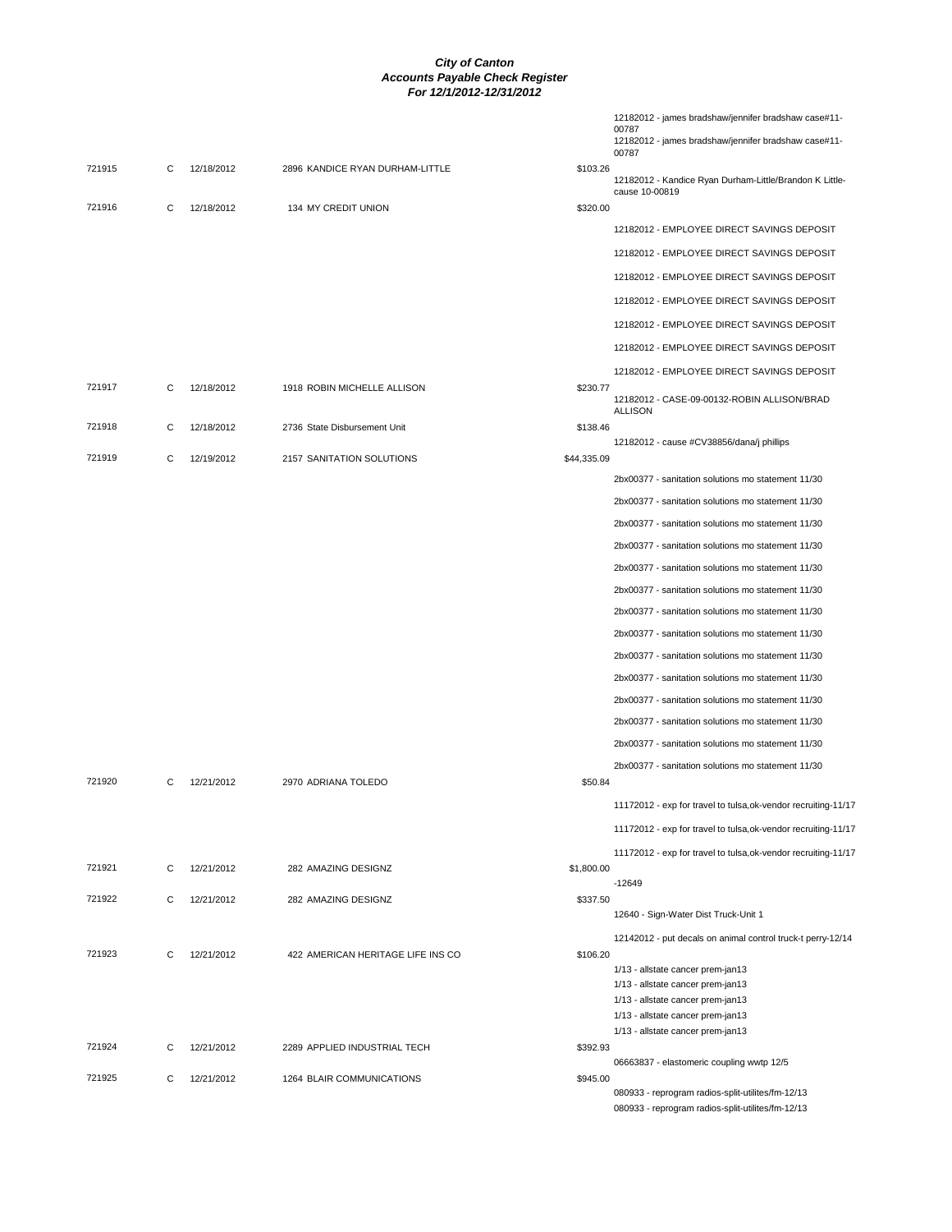|        |   |            |                                   | 12182012 - james bradshaw/jennifer bradshaw case#11-<br>00787<br>12182012 - james bradshaw/jennifer bradshaw case#11-<br>00787 |
|--------|---|------------|-----------------------------------|--------------------------------------------------------------------------------------------------------------------------------|
| 721915 | С | 12/18/2012 | 2896 KANDICE RYAN DURHAM-LITTLE   | \$103.26<br>12182012 - Kandice Ryan Durham-Little/Brandon K Little-<br>cause 10-00819                                          |
| 721916 | C | 12/18/2012 | 134 MY CREDIT UNION               | \$320.00                                                                                                                       |
|        |   |            |                                   | 12182012 - EMPLOYEE DIRECT SAVINGS DEPOSIT                                                                                     |
|        |   |            |                                   | 12182012 - EMPLOYEE DIRECT SAVINGS DEPOSIT                                                                                     |
|        |   |            |                                   | 12182012 - EMPLOYEE DIRECT SAVINGS DEPOSIT                                                                                     |
|        |   |            |                                   | 12182012 - EMPLOYEE DIRECT SAVINGS DEPOSIT                                                                                     |
|        |   |            |                                   | 12182012 - EMPLOYEE DIRECT SAVINGS DEPOSIT                                                                                     |
|        |   |            |                                   | 12182012 - EMPLOYEE DIRECT SAVINGS DEPOSIT                                                                                     |
|        |   |            |                                   | 12182012 - EMPLOYEE DIRECT SAVINGS DEPOSIT                                                                                     |
| 721917 | C | 12/18/2012 | 1918 ROBIN MICHELLE ALLISON       | \$230.77                                                                                                                       |
|        |   |            |                                   | 12182012 - CASE-09-00132-ROBIN ALLISON/BRAD<br><b>ALLISON</b>                                                                  |
| 721918 | С | 12/18/2012 | 2736 State Disbursement Unit      | \$138.46<br>12182012 - cause #CV38856/dana/j phillips                                                                          |
| 721919 | C | 12/19/2012 | 2157 SANITATION SOLUTIONS         | \$44,335.09                                                                                                                    |
|        |   |            |                                   | 2bx00377 - sanitation solutions mo statement 11/30                                                                             |
|        |   |            |                                   | 2bx00377 - sanitation solutions mo statement 11/30                                                                             |
|        |   |            |                                   | 2bx00377 - sanitation solutions mo statement 11/30                                                                             |
|        |   |            |                                   | 2bx00377 - sanitation solutions mo statement 11/30                                                                             |
|        |   |            |                                   | 2bx00377 - sanitation solutions mo statement 11/30                                                                             |
|        |   |            |                                   | 2bx00377 - sanitation solutions mo statement 11/30                                                                             |
|        |   |            |                                   | 2bx00377 - sanitation solutions mo statement 11/30                                                                             |
|        |   |            |                                   | 2bx00377 - sanitation solutions mo statement 11/30                                                                             |
|        |   |            |                                   | 2bx00377 - sanitation solutions mo statement 11/30                                                                             |
|        |   |            |                                   | 2bx00377 - sanitation solutions mo statement 11/30                                                                             |
|        |   |            |                                   | 2bx00377 - sanitation solutions mo statement 11/30                                                                             |
|        |   |            |                                   | 2bx00377 - sanitation solutions mo statement 11/30                                                                             |
|        |   |            |                                   | 2bx00377 - sanitation solutions mo statement 11/30                                                                             |
|        |   |            |                                   | 2bx00377 - sanitation solutions mo statement 11/30                                                                             |
| 721920 | C | 12/21/2012 | 2970 ADRIANA TOLEDO               | \$50.84                                                                                                                        |
|        |   |            |                                   | 11172012 - exp for travel to tulsa, ok-vendor recruiting-11/17                                                                 |
|        |   |            |                                   | 11172012 - exp for travel to tulsa, ok-vendor recruiting-11/17                                                                 |
|        |   |            |                                   | 11172012 - exp for travel to tulsa, ok-vendor recruiting-11/17                                                                 |
| 721921 | С | 12/21/2012 | 282 AMAZING DESIGNZ               | \$1,800.00<br>$-12649$                                                                                                         |
| 721922 | С | 12/21/2012 | 282 AMAZING DESIGNZ               | \$337.50                                                                                                                       |
|        |   |            |                                   | 12640 - Sign-Water Dist Truck-Unit 1                                                                                           |
| 721923 | С | 12/21/2012 | 422 AMERICAN HERITAGE LIFE INS CO | 12142012 - put decals on animal control truck-t perry-12/14<br>\$106.20                                                        |
|        |   |            |                                   | 1/13 - allstate cancer prem-jan13                                                                                              |
|        |   |            |                                   | 1/13 - allstate cancer prem-jan13                                                                                              |
|        |   |            |                                   | 1/13 - allstate cancer prem-jan13<br>1/13 - allstate cancer prem-jan13                                                         |
|        |   |            |                                   | 1/13 - allstate cancer prem-jan13                                                                                              |
| 721924 | С | 12/21/2012 | 2289 APPLIED INDUSTRIAL TECH      | \$392.93                                                                                                                       |
| 721925 | С | 12/21/2012 | 1264 BLAIR COMMUNICATIONS         | 06663837 - elastomeric coupling wwtp 12/5<br>\$945.00                                                                          |
|        |   |            |                                   | 080933 - reprogram radios-split-utilites/fm-12/13                                                                              |
|        |   |            |                                   | 080933 - reprogram radios-split-utilites/fm-12/13                                                                              |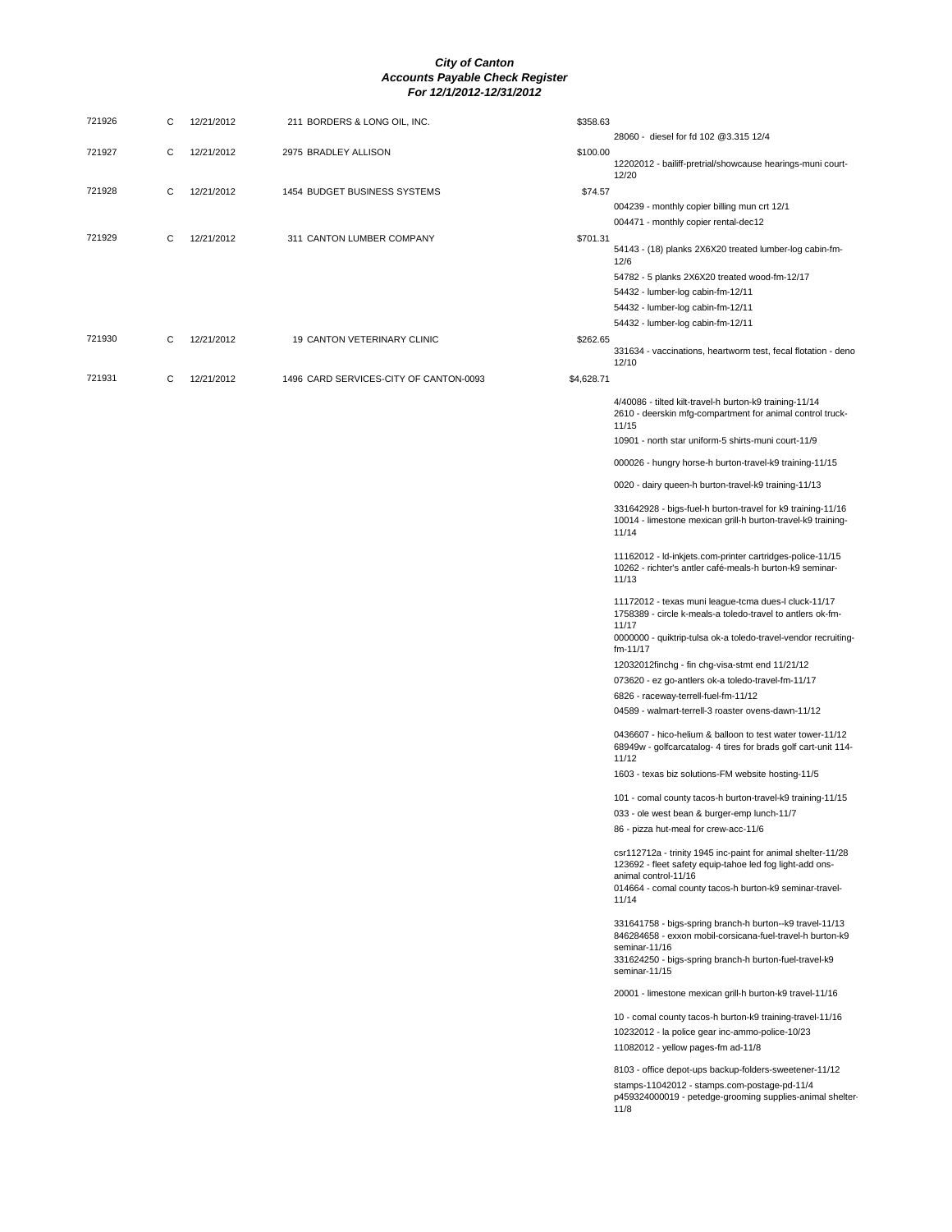| 721926 | С | 12/21/2012 | 211 BORDERS & LONG OIL, INC.           | \$358.63   |                                                                                                                                                                                                             |
|--------|---|------------|----------------------------------------|------------|-------------------------------------------------------------------------------------------------------------------------------------------------------------------------------------------------------------|
| 721927 | С | 12/21/2012 | 2975 BRADLEY ALLISON                   | \$100.00   | 28060 - diesel for fd 102 @3.315 12/4<br>12202012 - bailiff-pretrial/showcause hearings-muni court-                                                                                                         |
| 721928 | С | 12/21/2012 | 1454 BUDGET BUSINESS SYSTEMS           | \$74.57    | 12/20<br>004239 - monthly copier billing mun crt 12/1                                                                                                                                                       |
| 721929 | С | 12/21/2012 | 311 CANTON LUMBER COMPANY              | \$701.31   | 004471 - monthly copier rental-dec12                                                                                                                                                                        |
|        |   |            |                                        |            | 54143 - (18) planks 2X6X20 treated lumber-log cabin-fm-<br>12/6                                                                                                                                             |
|        |   |            |                                        |            | 54782 - 5 planks 2X6X20 treated wood-fm-12/17<br>54432 - lumber-log cabin-fm-12/11                                                                                                                          |
|        |   |            |                                        |            | 54432 - lumber-log cabin-fm-12/11<br>54432 - lumber-log cabin-fm-12/11                                                                                                                                      |
| 721930 | С | 12/21/2012 | 19 CANTON VETERINARY CLINIC            | \$262.65   | 331634 - vaccinations, heartworm test, fecal flotation - deno<br>12/10                                                                                                                                      |
| 721931 | С | 12/21/2012 | 1496 CARD SERVICES-CITY OF CANTON-0093 | \$4,628.71 |                                                                                                                                                                                                             |
|        |   |            |                                        |            | 4/40086 - tilted kilt-travel-h burton-k9 training-11/14<br>2610 - deerskin mfg-compartment for animal control truck-<br>11/15                                                                               |
|        |   |            |                                        |            | 10901 - north star uniform-5 shirts-muni court-11/9                                                                                                                                                         |
|        |   |            |                                        |            | 000026 - hungry horse-h burton-travel-k9 training-11/15                                                                                                                                                     |
|        |   |            |                                        |            | 0020 - dairy queen-h burton-travel-k9 training-11/13                                                                                                                                                        |
|        |   |            |                                        |            | 331642928 - bigs-fuel-h burton-travel for k9 training-11/16<br>10014 - limestone mexican grill-h burton-travel-k9 training-<br>11/14                                                                        |
|        |   |            |                                        |            | 11162012 - Id-inkjets.com-printer cartridges-police-11/15<br>10262 - richter's antler café-meals-h burton-k9 seminar-<br>11/13                                                                              |
|        |   |            |                                        |            | 11172012 - texas muni league-tcma dues-l cluck-11/17<br>1758389 - circle k-meals-a toledo-travel to antlers ok-fm-<br>11/17                                                                                 |
|        |   |            |                                        |            | 0000000 - quiktrip-tulsa ok-a toledo-travel-vendor recruiting-<br>fm-11/17                                                                                                                                  |
|        |   |            |                                        |            | 12032012finchg - fin chg-visa-stmt end 11/21/12                                                                                                                                                             |
|        |   |            |                                        |            | 073620 - ez go-antlers ok-a toledo-travel-fm-11/17<br>6826 - raceway-terrell-fuel-fm-11/12                                                                                                                  |
|        |   |            |                                        |            | 04589 - walmart-terrell-3 roaster ovens-dawn-11/12                                                                                                                                                          |
|        |   |            |                                        |            | 0436607 - hico-helium & balloon to test water tower-11/12<br>68949w - golfcarcatalog- 4 tires for brads golf cart-unit 114-<br>11/12                                                                        |
|        |   |            |                                        |            | 1603 - texas biz solutions-FM website hosting-11/5                                                                                                                                                          |
|        |   |            |                                        |            | 101 - comal county tacos-h burton-travel-k9 training-11/15<br>033 - ole west bean & burger-emp lunch-11/7                                                                                                   |
|        |   |            |                                        |            | 86 - pizza hut-meal for crew-acc-11/6                                                                                                                                                                       |
|        |   |            |                                        |            | csr112712a - trinity 1945 inc-paint for animal shelter-11/28<br>123692 - fleet safety equip-tahoe led fog light-add ons-<br>animal control-11/16<br>014664 - comal county tacos-h burton-k9 seminar-travel- |
|        |   |            |                                        |            | 11/14<br>331641758 - bigs-spring branch-h burton--k9 travel-11/13<br>846284658 - exxon mobil-corsicana-fuel-travel-h burton-k9                                                                              |
|        |   |            |                                        |            | seminar-11/16<br>331624250 - bigs-spring branch-h burton-fuel-travel-k9<br>seminar-11/15                                                                                                                    |
|        |   |            |                                        |            | 20001 - limestone mexican grill-h burton-k9 travel-11/16                                                                                                                                                    |
|        |   |            |                                        |            | 10 - comal county tacos-h burton-k9 training-travel-11/16<br>10232012 - la police gear inc-ammo-police-10/23<br>11082012 - yellow pages-fm ad-11/8                                                          |
|        |   |            |                                        |            | 8103 - office depot-ups backup-folders-sweetener-11/12<br>stamps-11042012 - stamps.com-postage-pd-11/4<br>p459324000019 - petedge-grooming supplies-animal shelter-<br>11/8                                 |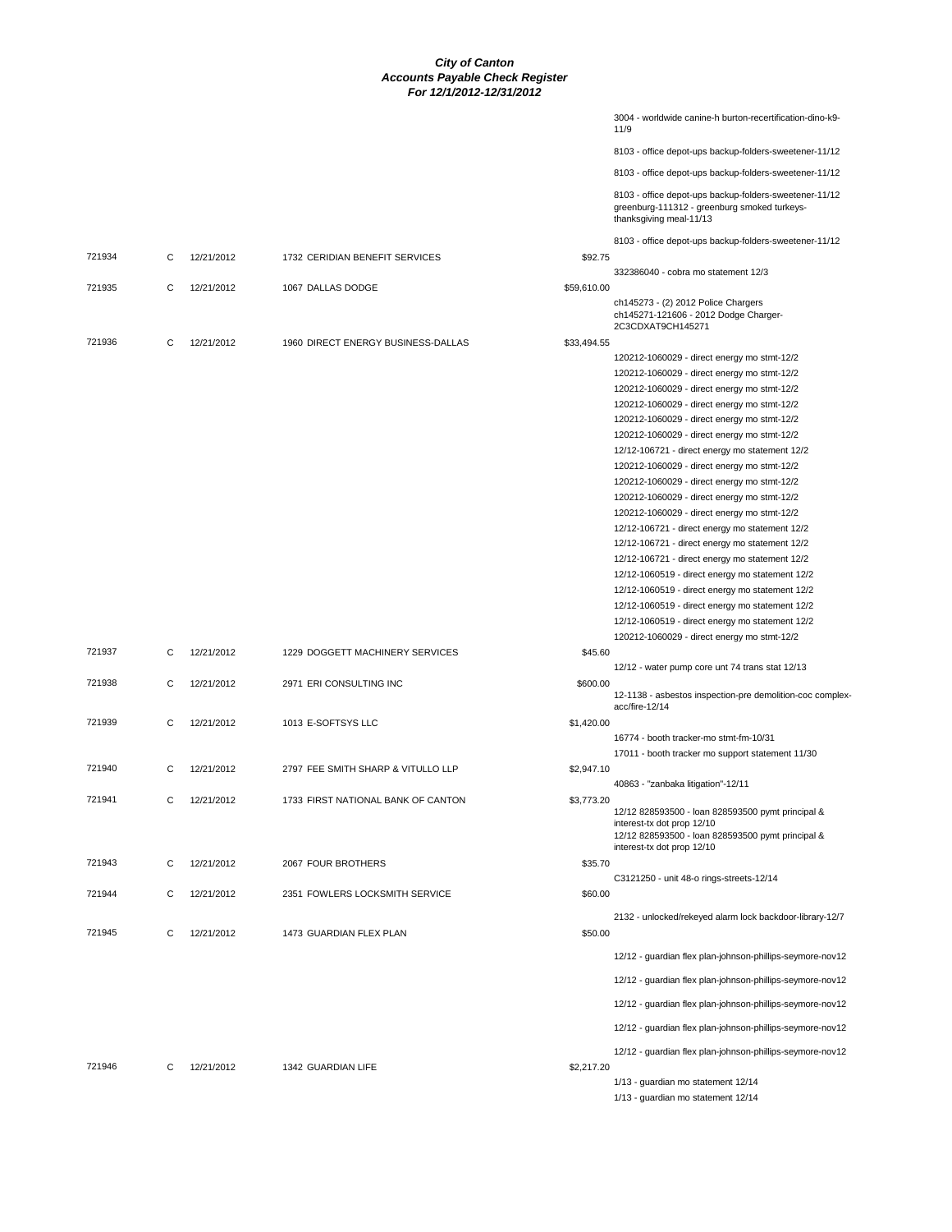|        |   |            |                                    |             | 3004 - worldwide canine-h burton-recertification-dino-k9-<br>11/9                                                                                                  |
|--------|---|------------|------------------------------------|-------------|--------------------------------------------------------------------------------------------------------------------------------------------------------------------|
|        |   |            |                                    |             | 8103 - office depot-ups backup-folders-sweetener-11/12                                                                                                             |
|        |   |            |                                    |             | 8103 - office depot-ups backup-folders-sweetener-11/12                                                                                                             |
|        |   |            |                                    |             | 8103 - office depot-ups backup-folders-sweetener-11/12<br>greenburg-111312 - greenburg smoked turkeys-<br>thanksgiving meal-11/13                                  |
|        |   |            |                                    |             | 8103 - office depot-ups backup-folders-sweetener-11/12                                                                                                             |
| 721934 | С | 12/21/2012 | 1732 CERIDIAN BENEFIT SERVICES     | \$92.75     | 332386040 - cobra mo statement 12/3                                                                                                                                |
| 721935 | С | 12/21/2012 | 1067 DALLAS DODGE                  | \$59,610.00 |                                                                                                                                                                    |
|        |   |            |                                    |             | ch145273 - (2) 2012 Police Chargers<br>ch145271-121606 - 2012 Dodge Charger-<br>2C3CDXAT9CH145271                                                                  |
| 721936 | C | 12/21/2012 | 1960 DIRECT ENERGY BUSINESS-DALLAS | \$33,494.55 |                                                                                                                                                                    |
|        |   |            |                                    |             | 120212-1060029 - direct energy mo stmt-12/2                                                                                                                        |
|        |   |            |                                    |             | 120212-1060029 - direct energy mo stmt-12/2<br>120212-1060029 - direct energy mo stmt-12/2                                                                         |
|        |   |            |                                    |             | 120212-1060029 - direct energy mo stmt-12/2                                                                                                                        |
|        |   |            |                                    |             | 120212-1060029 - direct energy mo stmt-12/2                                                                                                                        |
|        |   |            |                                    |             | 120212-1060029 - direct energy mo stmt-12/2                                                                                                                        |
|        |   |            |                                    |             | 12/12-106721 - direct energy mo statement 12/2                                                                                                                     |
|        |   |            |                                    |             | 120212-1060029 - direct energy mo stmt-12/2                                                                                                                        |
|        |   |            |                                    |             | 120212-1060029 - direct energy mo stmt-12/2                                                                                                                        |
|        |   |            |                                    |             | 120212-1060029 - direct energy mo stmt-12/2                                                                                                                        |
|        |   |            |                                    |             | 120212-1060029 - direct energy mo stmt-12/2                                                                                                                        |
|        |   |            |                                    |             | 12/12-106721 - direct energy mo statement 12/2                                                                                                                     |
|        |   |            |                                    |             | 12/12-106721 - direct energy mo statement 12/2                                                                                                                     |
|        |   |            |                                    |             | 12/12-106721 - direct energy mo statement 12/2                                                                                                                     |
|        |   |            |                                    |             | 12/12-1060519 - direct energy mo statement 12/2                                                                                                                    |
|        |   |            |                                    |             | 12/12-1060519 - direct energy mo statement 12/2<br>12/12-1060519 - direct energy mo statement 12/2                                                                 |
|        |   |            |                                    |             | 12/12-1060519 - direct energy mo statement 12/2                                                                                                                    |
|        |   |            |                                    |             | 120212-1060029 - direct energy mo stmt-12/2                                                                                                                        |
| 721937 | С | 12/21/2012 | 1229 DOGGETT MACHINERY SERVICES    | \$45.60     |                                                                                                                                                                    |
|        |   |            |                                    |             | 12/12 - water pump core unt 74 trans stat 12/13                                                                                                                    |
| 721938 | С | 12/21/2012 | 2971 ERI CONSULTING INC            | \$600.00    | 12-1138 - asbestos inspection-pre demolition-coc complex-<br>acc/fire-12/14                                                                                        |
| 721939 | C | 12/21/2012 | 1013 E-SOFTSYS LLC                 | \$1,420.00  |                                                                                                                                                                    |
|        |   |            |                                    |             | 16774 - booth tracker-mo stmt-fm-10/31                                                                                                                             |
|        |   |            |                                    |             | 17011 - booth tracker mo support statement 11/30                                                                                                                   |
| 721940 | С | 12/21/2012 | 2797 FEE SMITH SHARP & VITULLO LLP | \$2,947.10  | 40863 - "zanbaka litigation"-12/11                                                                                                                                 |
| 721941 | С | 12/21/2012 | 1733 FIRST NATIONAL BANK OF CANTON | \$3,773.20  |                                                                                                                                                                    |
|        |   |            |                                    |             | 12/12 828593500 - Ioan 828593500 pymt principal &<br>interest-tx dot prop 12/10<br>12/12 828593500 - Ioan 828593500 pymt principal &<br>interest-tx dot prop 12/10 |
| 721943 | С | 12/21/2012 | 2067 FOUR BROTHERS                 | \$35.70     |                                                                                                                                                                    |
| 721944 | С | 12/21/2012 | 2351 FOWLERS LOCKSMITH SERVICE     | \$60.00     | C3121250 - unit 48-o rings-streets-12/14                                                                                                                           |
|        |   |            |                                    |             | 2132 - unlocked/rekeyed alarm lock backdoor-library-12/7                                                                                                           |
| 721945 | С | 12/21/2012 | 1473 GUARDIAN FLEX PLAN            | \$50.00     |                                                                                                                                                                    |
|        |   |            |                                    |             | 12/12 - guardian flex plan-johnson-phillips-seymore-nov12                                                                                                          |
|        |   |            |                                    |             | 12/12 - guardian flex plan-johnson-phillips-seymore-nov12                                                                                                          |
|        |   |            |                                    |             | 12/12 - guardian flex plan-johnson-phillips-seymore-nov12                                                                                                          |
|        |   |            |                                    |             | 12/12 - guardian flex plan-johnson-phillips-seymore-nov12                                                                                                          |
|        |   |            |                                    |             | 12/12 - guardian flex plan-johnson-phillips-seymore-nov12                                                                                                          |
| 721946 | С | 12/21/2012 | 1342 GUARDIAN LIFE                 | \$2,217.20  | 1/13 - guardian mo statement 12/14                                                                                                                                 |
|        |   |            |                                    |             | 1/13 - guardian mo statement 12/14                                                                                                                                 |
|        |   |            |                                    |             |                                                                                                                                                                    |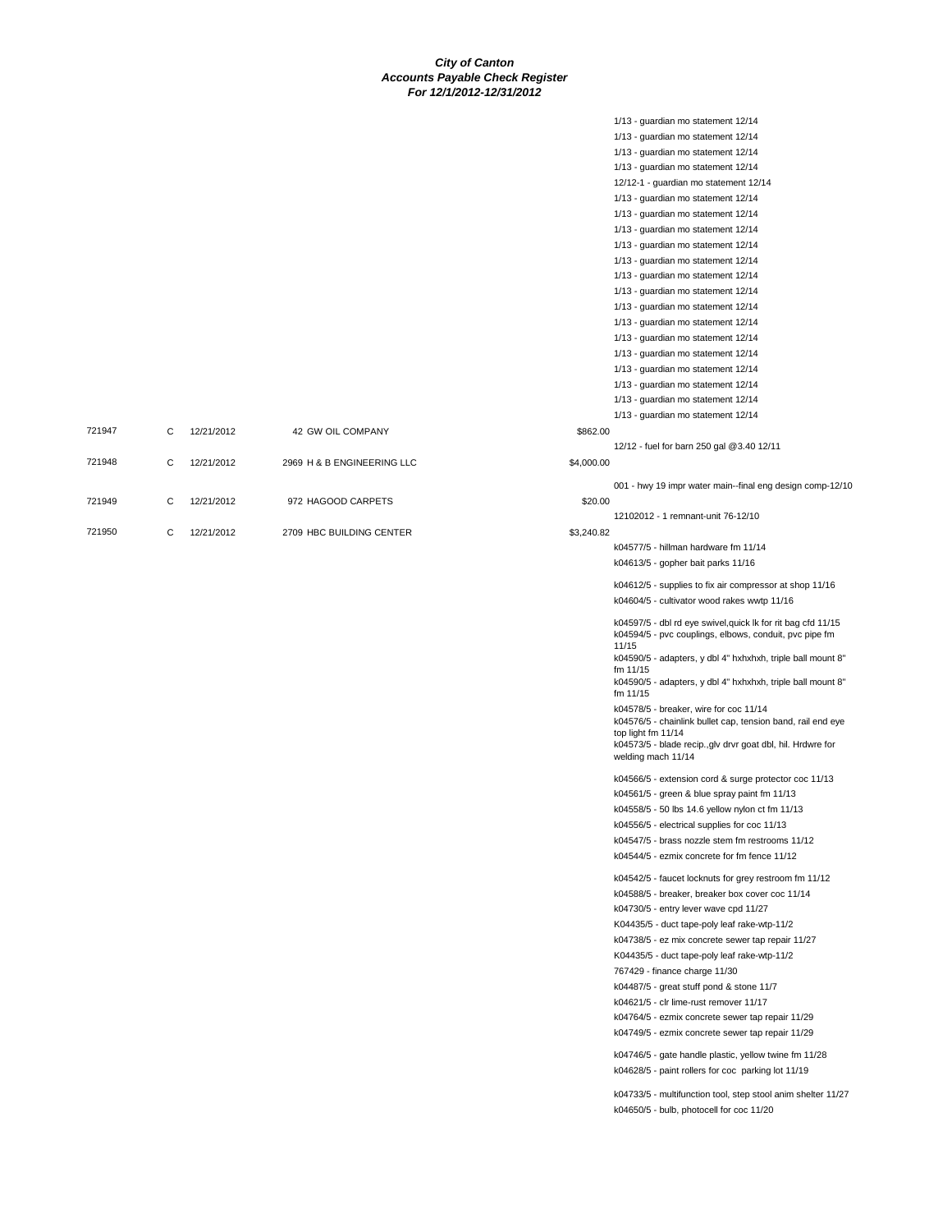721947 C 12/21/2012 42 GW OIL COMPANY

721949 C 12/21/2012 972 HAGOOD CARPETS

721950 C 12/21/2012 2709 HBC BUILDING CENTER

721948 C 12/21/2012 2969 H & B ENGINEERING LLC

|            | 1/13 - guardian mo statement 12/14                                      |
|------------|-------------------------------------------------------------------------|
|            | 1/13 - guardian mo statement 12/14                                      |
|            | 1/13 - guardian mo statement 12/14                                      |
|            | 1/13 - guardian mo statement 12/14                                      |
|            |                                                                         |
|            | 12/12-1 - guardian mo statement 12/14                                   |
|            | 1/13 - guardian mo statement 12/14                                      |
|            | 1/13 - guardian mo statement 12/14                                      |
|            | 1/13 - guardian mo statement 12/14                                      |
|            | 1/13 - guardian mo statement 12/14                                      |
|            | 1/13 - guardian mo statement 12/14                                      |
|            | 1/13 - guardian mo statement 12/14                                      |
|            | 1/13 - guardian mo statement 12/14                                      |
|            | 1/13 - guardian mo statement 12/14                                      |
|            | 1/13 - quardian mo statement 12/14                                      |
|            |                                                                         |
|            | 1/13 - guardian mo statement 12/14                                      |
|            | 1/13 - guardian mo statement 12/14                                      |
|            | 1/13 - guardian mo statement 12/14                                      |
|            | 1/13 - guardian mo statement 12/14                                      |
|            | 1/13 - guardian mo statement 12/14                                      |
|            | 1/13 - guardian mo statement 12/14                                      |
| \$862.00   |                                                                         |
|            | 12/12 - fuel for barn 250 gal @3.40 12/11                               |
| \$4,000.00 |                                                                         |
|            |                                                                         |
|            | 001 - hwy 19 impr water main--final eng design comp-12/10               |
| \$20.00    |                                                                         |
|            | 12102012 - 1 remnant-unit 76-12/10                                      |
| \$3.240.82 |                                                                         |
|            | k04577/5 - hillman hardware fm 11/14                                    |
|            | k04613/5 - gopher bait parks 11/16                                      |
|            |                                                                         |
|            | k04612/5 - supplies to fix air compressor at shop 11/16                 |
|            | k04604/5 - cultivator wood rakes wwtp 11/16                             |
|            | k04597/5 - dbl rd eye swivel, quick lk for rit bag cfd 11/15            |
|            | k04594/5 - pvc couplings, elbows, conduit, pvc pipe fm                  |
|            | 11/15                                                                   |
|            | k04590/5 - adapters, y dbl 4" hxhxhxh, triple ball mount 8"             |
|            | fm 11/15                                                                |
|            | k04590/5 - adapters, y dbl 4" hxhxhxh, triple ball mount 8"<br>fm 11/15 |
|            | k04578/5 - breaker, wire for coc 11/14                                  |
|            | k04576/5 - chainlink bullet cap, tension band, rail end eye             |
|            | top light fm 11/14                                                      |
|            | k04573/5 - blade recip., glv drvr goat dbl, hil. Hrdwre for             |
|            | welding mach 11/14                                                      |
|            | k04566/5 - extension cord & surge protector coc 11/13                   |
|            | k04561/5 - green & blue spray paint fm 11/13                            |
|            |                                                                         |
|            | k04558/5 - 50 lbs 14.6 yellow nylon ct fm 11/13                         |
|            | k04556/5 - electrical supplies for coc 11/13                            |
|            | k04547/5 - brass nozzle stem fm restrooms 11/12                         |
|            | k04544/5 - ezmix concrete for fm fence 11/12                            |
|            | k04542/5 - faucet locknuts for grey restroom fm 11/12                   |
|            | k04588/5 - breaker, breaker box cover coc 11/14                         |
|            | k04730/5 - entry lever wave cpd 11/27                                   |
|            |                                                                         |
|            | K04435/5 - duct tape-poly leaf rake-wtp-11/2                            |
|            | k04738/5 - ez mix concrete sewer tap repair 11/27                       |
|            | K04435/5 - duct tape-poly leaf rake-wtp-11/2                            |
|            | 767429 - finance charge 11/30                                           |
|            | k04487/5 - great stuff pond & stone 11/7                                |
|            | k04621/5 - clr lime-rust remover 11/17                                  |
|            | k04764/5 - ezmix concrete sewer tap repair 11/29                        |
|            | k04749/5 - ezmix concrete sewer tap repair 11/29                        |
|            |                                                                         |
|            | k04746/5 - gate handle plastic, yellow twine fm 11/28                   |
|            | k04628/5 - paint rollers for coc parking lot 11/19                      |

k04733/5 - multifunction tool, step stool anim shelter 11/27 k04650/5 - bulb, photocell for coc 11/20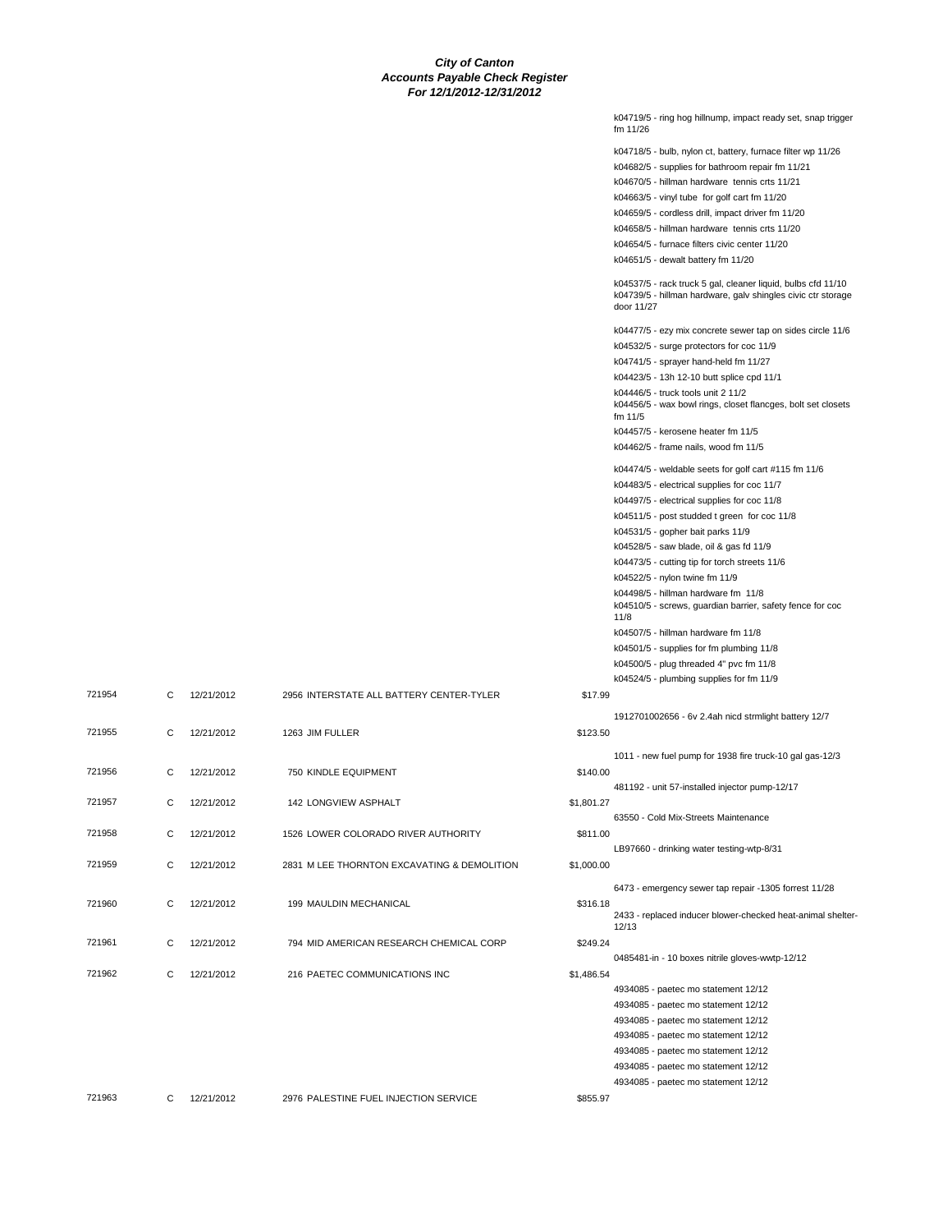|          | k04719/5 - ring hog hillnump, impact ready set, snap trigger<br>fm 11/26                                                                   |
|----------|--------------------------------------------------------------------------------------------------------------------------------------------|
|          | k04718/5 - bulb, nylon ct, battery, furnace filter wp 11/26                                                                                |
|          | k04682/5 - supplies for bathroom repair fm 11/21                                                                                           |
|          | k04670/5 - hillman hardware tennis crts 11/21                                                                                              |
|          | k04663/5 - vinyl tube for golf cart fm 11/20                                                                                               |
|          | k04659/5 - cordless drill, impact driver fm 11/20                                                                                          |
|          | k04658/5 - hillman hardware tennis crts 11/20                                                                                              |
|          | k04654/5 - furnace filters civic center 11/20                                                                                              |
|          | k04651/5 - dewalt battery fm 11/20                                                                                                         |
|          |                                                                                                                                            |
|          | k04537/5 - rack truck 5 gal, cleaner liquid, bulbs cfd 11/10<br>k04739/5 - hillman hardware, galv shingles civic ctr storage<br>door 11/27 |
|          | k04477/5 - ezy mix concrete sewer tap on sides circle 11/6                                                                                 |
|          | k04532/5 - surge protectors for coc 11/9                                                                                                   |
|          | k04741/5 - sprayer hand-held fm 11/27                                                                                                      |
|          | k04423/5 - 13h 12-10 butt splice cpd 11/1                                                                                                  |
|          | k04446/5 - truck tools unit 2 11/2                                                                                                         |
|          | k04456/5 - wax bowl rings, closet flancges, bolt set closets<br>fm 11/5                                                                    |
|          | k04457/5 - kerosene heater fm 11/5                                                                                                         |
|          | k04462/5 - frame nails, wood fm 11/5                                                                                                       |
|          | k04474/5 - weldable seets for golf cart #115 fm 11/6                                                                                       |
|          | k04483/5 - electrical supplies for coc 11/7                                                                                                |
|          | k04497/5 - electrical supplies for coc 11/8                                                                                                |
|          | k04511/5 - post studded t green for coc 11/8                                                                                               |
|          | k04531/5 - gopher bait parks 11/9                                                                                                          |
|          | k04528/5 - saw blade, oil & gas fd 11/9                                                                                                    |
|          | k04473/5 - cutting tip for torch streets 11/6                                                                                              |
|          | k04522/5 - nylon twine fm 11/9                                                                                                             |
|          | k04498/5 - hillman hardware fm 11/8                                                                                                        |
|          | k04510/5 - screws, guardian barrier, safety fence for coc<br>11/8                                                                          |
|          | k04507/5 - hillman hardware fm 11/8                                                                                                        |
|          | k04501/5 - supplies for fm plumbing 11/8                                                                                                   |
|          | k04500/5 - plug threaded 4" pvc fm 11/8                                                                                                    |
|          | k04524/5 - plumbing supplies for fm 11/9                                                                                                   |
| \$17.99  |                                                                                                                                            |
|          | 1912701002656 - 6v 2.4ah nicd strmlight battery 12/7                                                                                       |
| \$123.50 |                                                                                                                                            |
|          |                                                                                                                                            |
|          | 1011 - new fuel pump for 1938 fire truck-10 gal gas-12/3                                                                                   |
| \$140.00 |                                                                                                                                            |
|          | 481192 - unit 57-installed injector pump-12/17                                                                                             |
| 1,801.27 |                                                                                                                                            |
|          | 63550 - Cold Mix-Streets Maintenance                                                                                                       |
| \$811.00 |                                                                                                                                            |
|          | LB97660 - drinking water testing-wtp-8/31                                                                                                  |
| 1,000.00 |                                                                                                                                            |
|          | 6473 - emergency sewer tap repair -1305 forrest 11/28                                                                                      |
| \$316.18 |                                                                                                                                            |
|          | 2433 - replaced inducer blower-checked heat-animal shelter-                                                                                |
|          | 12/13                                                                                                                                      |
| \$249.24 |                                                                                                                                            |
|          | 0485481-in - 10 boxes nitrile gloves-wwtp-12/12                                                                                            |
| 1,486.54 |                                                                                                                                            |
|          | 4934085 - paetec mo statement 12/12                                                                                                        |
|          | 4934085 - paetec mo statement 12/12                                                                                                        |
|          | 4934085 - paetec mo statement 12/12                                                                                                        |
|          | 4934085 - paetec mo statement 12/12                                                                                                        |
|          | 4934085 - paetec mo statement 12/12                                                                                                        |
|          | 4934085 - paetec mo statement 12/12                                                                                                        |
|          | 4934085 - paetec mo statement 12/12                                                                                                        |
| \$855.97 |                                                                                                                                            |
|          |                                                                                                                                            |

| 721954 | C | 12/21/2012 | 2956 INTERSTATE ALL BATTERY CENTER-TYLER    | \$17.99    |                                                                 |
|--------|---|------------|---------------------------------------------|------------|-----------------------------------------------------------------|
| 721955 | C | 12/21/2012 | 1263 JIM FULLER                             | \$123.50   | 1912701002656 - 6                                               |
| 721956 | C | 12/21/2012 | 750 KINDLE EQUIPMENT                        | \$140.00   | 1011 - new fuel pum<br>481192 - unit 57-ins                     |
| 721957 | C | 12/21/2012 | <b>142 LONGVIEW ASPHALT</b>                 | \$1,801.27 | 63550 - Cold Mix-St                                             |
| 721958 | C | 12/21/2012 | 1526 LOWER COLORADO RIVER AUTHORITY         | \$811.00   | LB97660 - drinking                                              |
| 721959 | C | 12/21/2012 | 2831 M LEE THORNTON EXCAVATING & DEMOLITION | \$1,000.00 |                                                                 |
| 721960 | C | 12/21/2012 | 199 MAULDIN MECHANICAL                      | \$316.18   | 6473 - emergency s<br>2433 - replaced indu<br>12/13             |
| 721961 | C | 12/21/2012 | 794 MID AMERICAN RESEARCH CHEMICAL CORP     | \$249.24   |                                                                 |
| 721962 | C | 12/21/2012 | 216 PAETEC COMMUNICATIONS INC               | \$1,486.54 | 0485481-in - 10 box<br>4934085 - paetec m<br>4934085 - paetec m |
|        |   |            |                                             |            | 4934085 - paetec m                                              |

721963 C 12/21/2012 2976 PALESTINE FUEL INJECTION SERVICE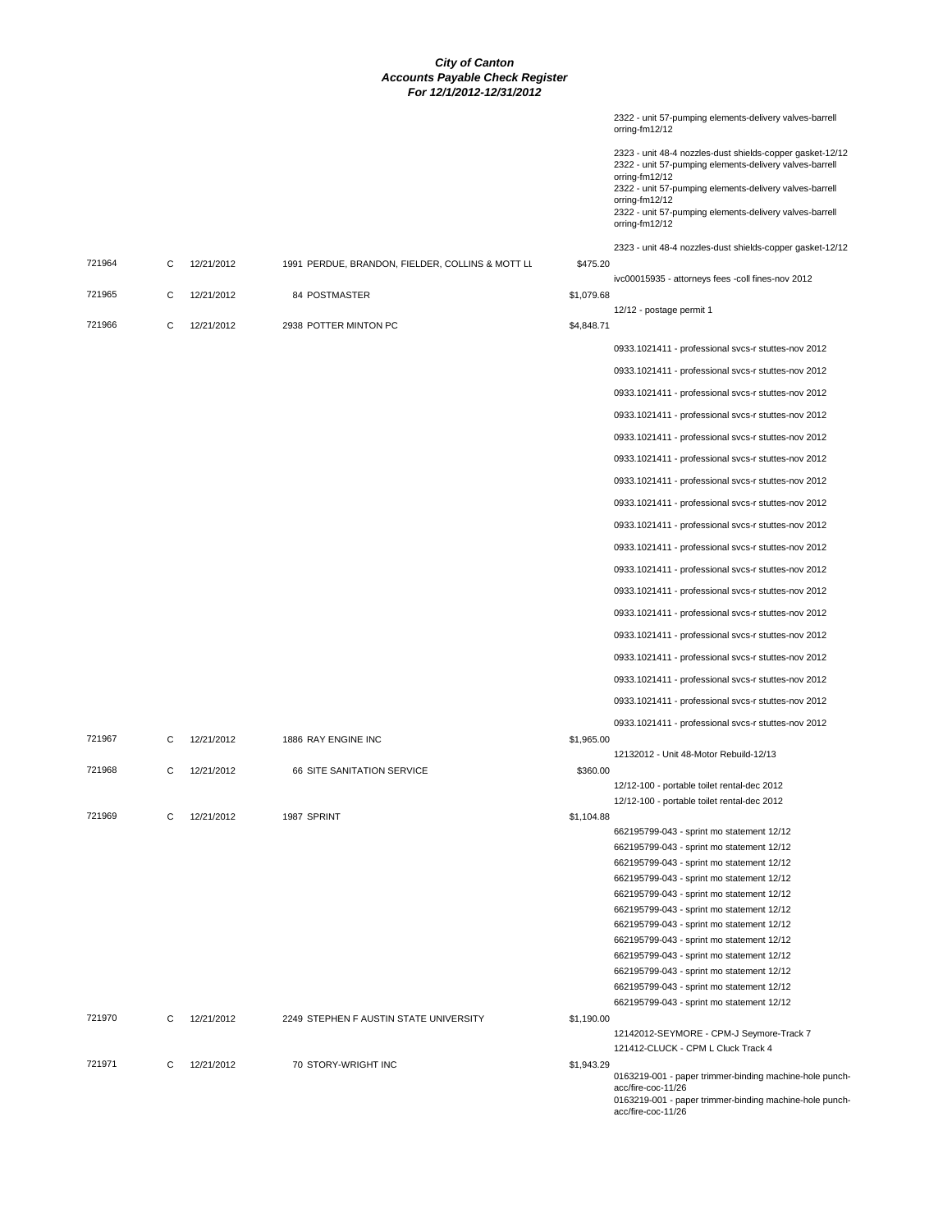|        |   |            |                                                  |            | 2322 - unit 57-pumping elements-delivery valves-barrell<br>orring-fm12/12                                                                                                                                                                                                                        |
|--------|---|------------|--------------------------------------------------|------------|--------------------------------------------------------------------------------------------------------------------------------------------------------------------------------------------------------------------------------------------------------------------------------------------------|
|        |   |            |                                                  |            | 2323 - unit 48-4 nozzles-dust shields-copper gasket-12/12<br>2322 - unit 57-pumping elements-delivery valves-barrell<br>orring-fm12/12<br>2322 - unit 57-pumping elements-delivery valves-barrell<br>orring-fm12/12<br>2322 - unit 57-pumping elements-delivery valves-barrell<br>orring-fm12/12 |
|        |   |            |                                                  |            | 2323 - unit 48-4 nozzles-dust shields-copper gasket-12/12                                                                                                                                                                                                                                        |
| 721964 | C | 12/21/2012 | 1991 PERDUE, BRANDON, FIELDER, COLLINS & MOTT LL | \$475.20   | ivc00015935 - attorneys fees -coll fines-nov 2012                                                                                                                                                                                                                                                |
| 721965 | C | 12/21/2012 | <b>84 POSTMASTER</b>                             | \$1,079.68 | 12/12 - postage permit 1                                                                                                                                                                                                                                                                         |
| 721966 | C | 12/21/2012 | 2938 POTTER MINTON PC                            | \$4,848.71 |                                                                                                                                                                                                                                                                                                  |
|        |   |            |                                                  |            | 0933.1021411 - professional svcs-r stuttes-nov 2012                                                                                                                                                                                                                                              |
|        |   |            |                                                  |            | 0933.1021411 - professional svcs-r stuttes-nov 2012                                                                                                                                                                                                                                              |
|        |   |            |                                                  |            | 0933.1021411 - professional svcs-r stuttes-nov 2012                                                                                                                                                                                                                                              |
|        |   |            |                                                  |            | 0933.1021411 - professional svcs-r stuttes-nov 2012                                                                                                                                                                                                                                              |
|        |   |            |                                                  |            | 0933.1021411 - professional svcs-r stuttes-nov 2012                                                                                                                                                                                                                                              |
|        |   |            |                                                  |            | 0933.1021411 - professional svcs-r stuttes-nov 2012                                                                                                                                                                                                                                              |
|        |   |            |                                                  |            | 0933.1021411 - professional svcs-r stuttes-nov 2012                                                                                                                                                                                                                                              |
|        |   |            |                                                  |            | 0933.1021411 - professional svcs-r stuttes-nov 2012                                                                                                                                                                                                                                              |
|        |   |            |                                                  |            | 0933.1021411 - professional svcs-r stuttes-nov 2012                                                                                                                                                                                                                                              |
|        |   |            |                                                  |            | 0933.1021411 - professional svcs-r stuttes-nov 2012                                                                                                                                                                                                                                              |
|        |   |            |                                                  |            | 0933.1021411 - professional svcs-r stuttes-nov 2012                                                                                                                                                                                                                                              |
|        |   |            |                                                  |            | 0933.1021411 - professional svcs-r stuttes-nov 2012                                                                                                                                                                                                                                              |
|        |   |            |                                                  |            | 0933.1021411 - professional svcs-r stuttes-nov 2012                                                                                                                                                                                                                                              |
|        |   |            |                                                  |            | 0933.1021411 - professional svcs-r stuttes-nov 2012                                                                                                                                                                                                                                              |
|        |   |            |                                                  |            | 0933.1021411 - professional svcs-r stuttes-nov 2012                                                                                                                                                                                                                                              |
|        |   |            |                                                  |            | 0933.1021411 - professional svcs-r stuttes-nov 2012                                                                                                                                                                                                                                              |
|        |   |            |                                                  |            | 0933.1021411 - professional svcs-r stuttes-nov 2012                                                                                                                                                                                                                                              |
|        |   |            |                                                  |            | 0933.1021411 - professional svcs-r stuttes-nov 2012                                                                                                                                                                                                                                              |
| 721967 | C | 12/21/2012 | 1886 RAY ENGINE INC                              | \$1,965.00 |                                                                                                                                                                                                                                                                                                  |
| 721968 | C | 12/21/2012 | 66 SITE SANITATION SERVICE                       | \$360.00   | 12132012 - Unit 48-Motor Rebuild-12/13                                                                                                                                                                                                                                                           |
|        |   |            |                                                  |            | 12/12-100 - portable toilet rental-dec 2012                                                                                                                                                                                                                                                      |
|        |   |            |                                                  |            | 12/12-100 - portable toilet rental-dec 2012                                                                                                                                                                                                                                                      |
| 721969 | С | 12/21/2012 | 1987 SPRINT                                      | \$1,104.88 | 662195799-043 - sprint mo statement 12/12                                                                                                                                                                                                                                                        |
|        |   |            |                                                  |            | 662195799-043 - sprint mo statement 12/12                                                                                                                                                                                                                                                        |
|        |   |            |                                                  |            | 662195799-043 - sprint mo statement 12/12                                                                                                                                                                                                                                                        |
|        |   |            |                                                  |            | 662195799-043 - sprint mo statement 12/12                                                                                                                                                                                                                                                        |
|        |   |            |                                                  |            | 662195799-043 - sprint mo statement 12/12                                                                                                                                                                                                                                                        |
|        |   |            |                                                  |            | 662195799-043 - sprint mo statement 12/12<br>662195799-043 - sprint mo statement 12/12                                                                                                                                                                                                           |
|        |   |            |                                                  |            | 662195799-043 - sprint mo statement 12/12                                                                                                                                                                                                                                                        |
|        |   |            |                                                  |            | 662195799-043 - sprint mo statement 12/12                                                                                                                                                                                                                                                        |
|        |   |            |                                                  |            | 662195799-043 - sprint mo statement 12/12                                                                                                                                                                                                                                                        |
|        |   |            |                                                  |            | 662195799-043 - sprint mo statement 12/12                                                                                                                                                                                                                                                        |
| 721970 | C | 12/21/2012 | 2249 STEPHEN F AUSTIN STATE UNIVERSITY           | \$1,190.00 | 662195799-043 - sprint mo statement 12/12                                                                                                                                                                                                                                                        |
|        |   |            |                                                  |            | 12142012-SEYMORE - CPM-J Seymore-Track 7                                                                                                                                                                                                                                                         |
|        |   |            |                                                  |            | 121412-CLUCK - CPM L Cluck Track 4                                                                                                                                                                                                                                                               |
| 721971 | C | 12/21/2012 | 70 STORY-WRIGHT INC                              | \$1,943.29 | 0163219-001 - paper trimmer-binding machine-hole punch-                                                                                                                                                                                                                                          |
|        |   |            |                                                  |            | acc/fire-coc-11/26<br>0163219-001 - paper trimmer-binding machine-hole punch-<br>acc/fire-coc-11/26                                                                                                                                                                                              |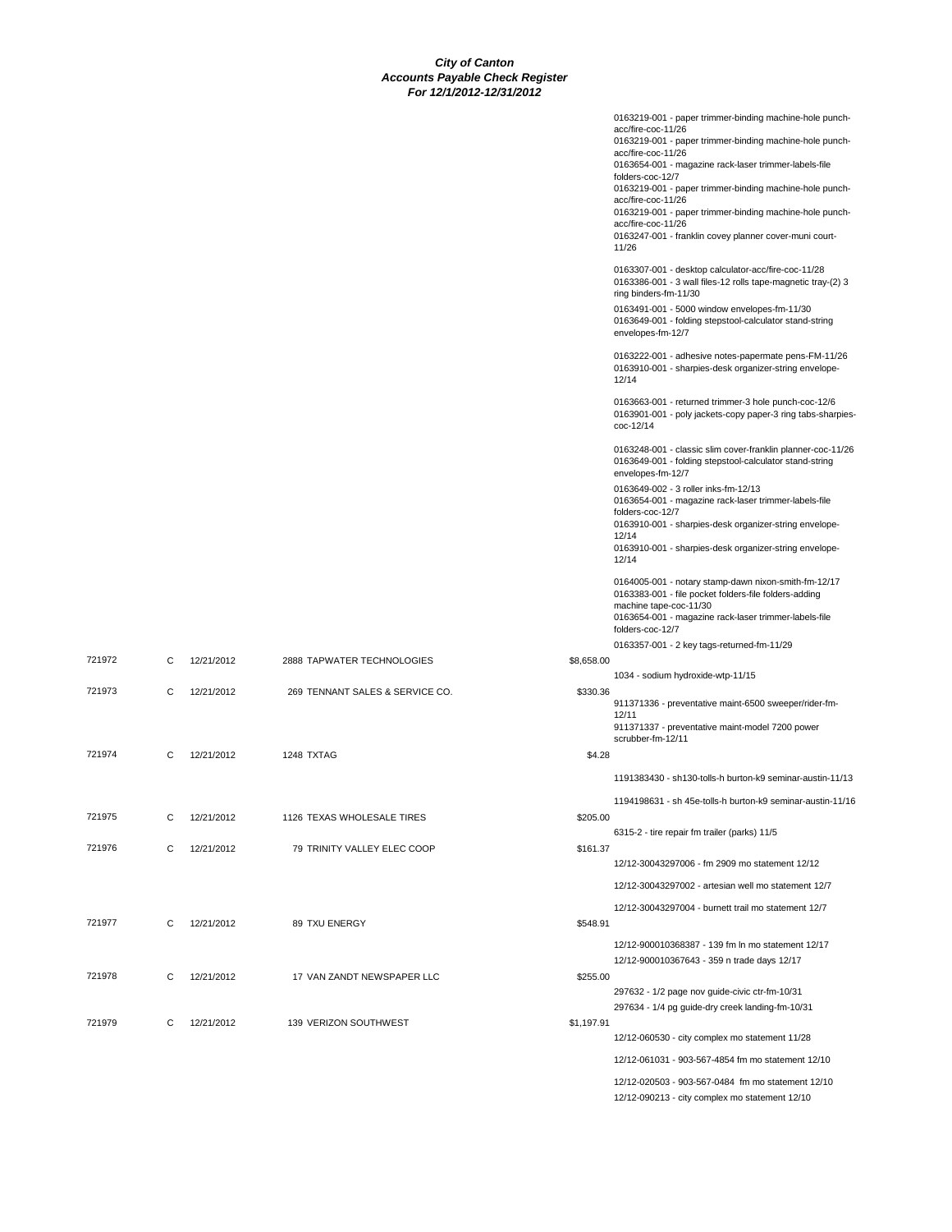|            | 0163219-001 - paper trimmer-binding machine-hole punch-<br>acc/fire-coc-11/26<br>0163219-001 - paper trimmer-binding machine-hole punch-<br>acc/fire-coc-11/26<br>0163654-001 - magazine rack-laser trimmer-labels-file<br>folders-coc-12/7<br>0163219-001 - paper trimmer-binding machine-hole punch-<br>acc/fire-coc-11/26<br>0163219-001 - paper trimmer-binding machine-hole punch-<br>acc/fire-coc-11/26<br>0163247-001 - franklin covey planner cover-muni court-<br>11/26 |
|------------|----------------------------------------------------------------------------------------------------------------------------------------------------------------------------------------------------------------------------------------------------------------------------------------------------------------------------------------------------------------------------------------------------------------------------------------------------------------------------------|
|            | 0163307-001 - desktop calculator-acc/fire-coc-11/28<br>0163386-001 - 3 wall files-12 rolls tape-magnetic tray-(2) 3<br>ring binders-fm-11/30<br>0163491-001 - 5000 window envelopes-fm-11/30<br>0163649-001 - folding stepstool-calculator stand-string<br>envelopes-fm-12/7                                                                                                                                                                                                     |
|            | 0163222-001 - adhesive notes-papermate pens-FM-11/26<br>0163910-001 - sharpies-desk organizer-string envelope-<br>12/14                                                                                                                                                                                                                                                                                                                                                          |
|            | 0163663-001 - returned trimmer-3 hole punch-coc-12/6<br>0163901-001 - poly jackets-copy paper-3 ring tabs-sharpies-<br>coc-12/14                                                                                                                                                                                                                                                                                                                                                 |
|            | 0163248-001 - classic slim cover-franklin planner-coc-11/26<br>0163649-001 - folding stepstool-calculator stand-string<br>envelopes-fm-12/7                                                                                                                                                                                                                                                                                                                                      |
|            | 0163649-002 - 3 roller inks-fm-12/13<br>0163654-001 - magazine rack-laser trimmer-labels-file<br>folders-coc-12/7<br>0163910-001 - sharpies-desk organizer-string envelope-                                                                                                                                                                                                                                                                                                      |
|            | 12/14<br>0163910-001 - sharpies-desk organizer-string envelope-<br>12/14                                                                                                                                                                                                                                                                                                                                                                                                         |
|            | 0164005-001 - notary stamp-dawn nixon-smith-fm-12/17<br>0163383-001 - file pocket folders-file folders-adding<br>machine tape-coc-11/30<br>0163654-001 - magazine rack-laser trimmer-labels-file                                                                                                                                                                                                                                                                                 |
|            | folders-coc-12/7<br>0163357-001 - 2 key tags-returned-fm-11/29                                                                                                                                                                                                                                                                                                                                                                                                                   |
| \$8,658.00 |                                                                                                                                                                                                                                                                                                                                                                                                                                                                                  |
|            | 1034 - sodium hydroxide-wtp-11/15                                                                                                                                                                                                                                                                                                                                                                                                                                                |
| \$330.36   | 911371336 - preventative maint-6500 sweeper/rider-fm-                                                                                                                                                                                                                                                                                                                                                                                                                            |
|            | 12/11<br>911371337 - preventative maint-model 7200 power<br>scrubber-fm-12/11                                                                                                                                                                                                                                                                                                                                                                                                    |
| \$4.28     |                                                                                                                                                                                                                                                                                                                                                                                                                                                                                  |
|            | 1191383430 - sh130-tolls-h burton-k9 seminar-austin-11/13                                                                                                                                                                                                                                                                                                                                                                                                                        |
|            | 1194198631 - sh 45e-tolls-h burton-k9 seminar-austin-11/16                                                                                                                                                                                                                                                                                                                                                                                                                       |
| \$205.00   | 6315-2 - tire repair fm trailer (parks) 11/5                                                                                                                                                                                                                                                                                                                                                                                                                                     |
| \$161.37   |                                                                                                                                                                                                                                                                                                                                                                                                                                                                                  |
|            | 12/12-30043297006 - fm 2909 mo statement 12/12                                                                                                                                                                                                                                                                                                                                                                                                                                   |
|            | 12/12-30043297002 - artesian well mo statement 12/7                                                                                                                                                                                                                                                                                                                                                                                                                              |
| \$548.91   | 12/12-30043297004 - burnett trail mo statement 12/7                                                                                                                                                                                                                                                                                                                                                                                                                              |
|            | 12/12-900010368387 - 139 fm ln mo statement 12/17<br>12/12-900010367643 - 359 n trade days 12/17                                                                                                                                                                                                                                                                                                                                                                                 |
| \$255.00   |                                                                                                                                                                                                                                                                                                                                                                                                                                                                                  |
|            | 297632 - 1/2 page nov guide-civic ctr-fm-10/31<br>297634 - 1/4 pg guide-dry creek landing-fm-10/31                                                                                                                                                                                                                                                                                                                                                                               |
| \$1,197.91 |                                                                                                                                                                                                                                                                                                                                                                                                                                                                                  |
|            | 12/12-060530 - city complex mo statement 11/28<br>12/12-061031 - 903-567-4854 fm mo statement 12/10                                                                                                                                                                                                                                                                                                                                                                              |
|            | 12/12-020503 - 903-567-0484 fm mo statement 12/10                                                                                                                                                                                                                                                                                                                                                                                                                                |
|            | 12/12-090213 - city complex mo statement 12/10                                                                                                                                                                                                                                                                                                                                                                                                                                   |

|                                                                             | \$330.36 |
|-----------------------------------------------------------------------------|----------|
| 721974<br>1248 TXTAG<br>$\mathbf{C}$<br>12/21/2012                          | \$4.28   |
| 721975<br>1126 TEXAS WHOLESALE TIRES<br>12/21/2012<br>C                     | \$205.00 |
| 79 TRINITY VALLEY ELEC COOP<br>721976<br>$\mathbf{C}$<br>12/21/2012         | \$161.37 |
|                                                                             |          |
| 721977<br>12/21/2012<br>89 TXU ENERGY<br>$\mathbf{C}$                       | \$548.91 |
| 721978<br>12/21/2012<br>17 VAN ZANDT NEWSPAPER LLC<br>$\mathbf{C}$          | \$255.00 |
| 721979<br>139 VERIZON SOUTHWEST<br>\$1,197.91<br>$\mathbf{C}$<br>12/21/2012 |          |

721972 C 12/21/2012 2888 TAPWATER TECHNOLOGIES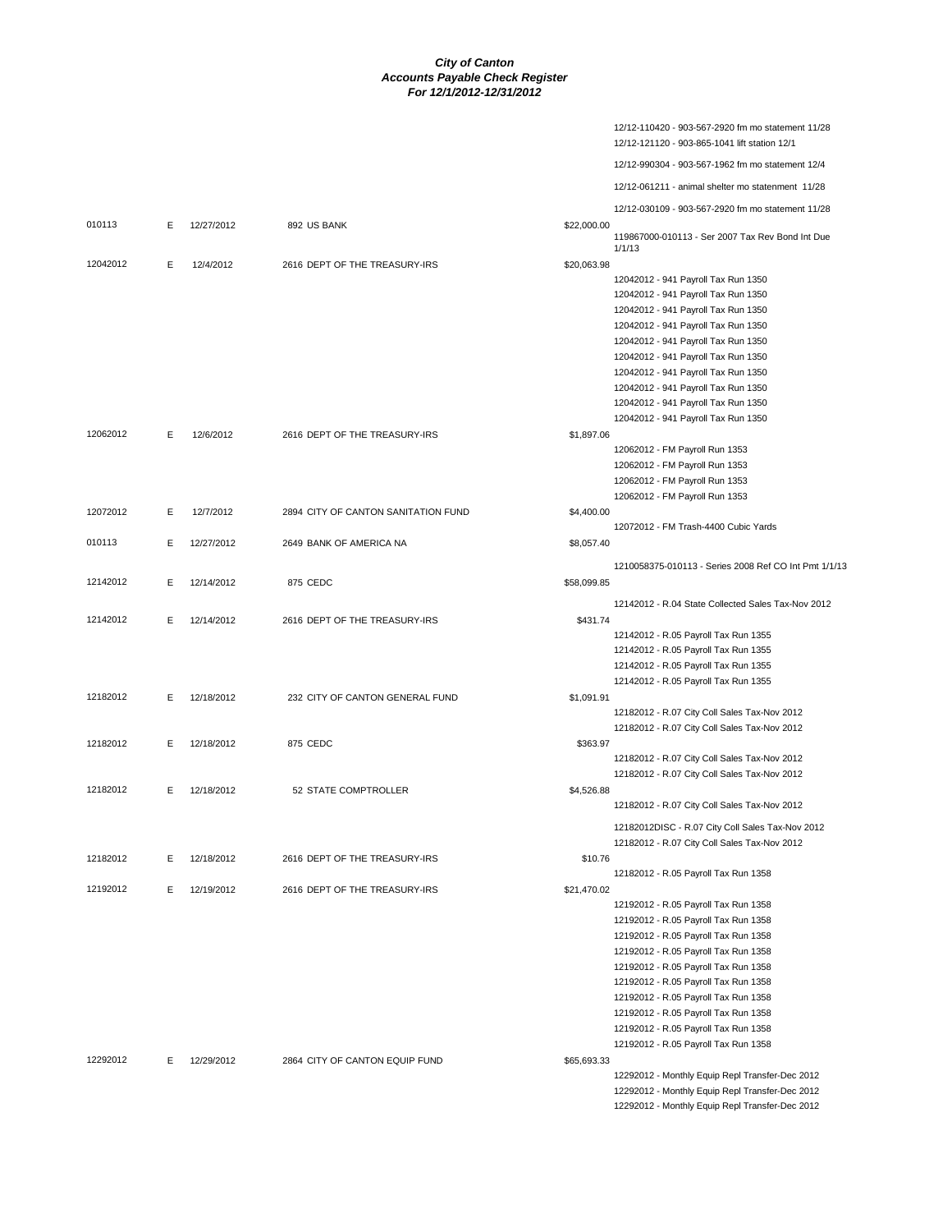|          |   |            |                                     |             | 12/12-110420 - 903-567-2920 fm mo statement 11/28<br>12/12-121120 - 903-865-1041 lift station 12/1 |
|----------|---|------------|-------------------------------------|-------------|----------------------------------------------------------------------------------------------------|
|          |   |            |                                     |             | 12/12-990304 - 903-567-1962 fm mo statement 12/4                                                   |
|          |   |            |                                     |             | 12/12-061211 - animal shelter mo statenment 11/28                                                  |
|          |   |            |                                     |             | 12/12-030109 - 903-567-2920 fm mo statement 11/28                                                  |
| 010113   | Е | 12/27/2012 | 892 US BANK                         | \$22,000.00 |                                                                                                    |
|          |   |            |                                     |             | 119867000-010113 - Ser 2007 Tax Rev Bond Int Due<br>1/1/13                                         |
| 12042012 | E | 12/4/2012  | 2616 DEPT OF THE TREASURY-IRS       | \$20,063.98 |                                                                                                    |
|          |   |            |                                     |             | 12042012 - 941 Payroll Tax Run 1350                                                                |
|          |   |            |                                     |             | 12042012 - 941 Payroll Tax Run 1350                                                                |
|          |   |            |                                     |             | 12042012 - 941 Payroll Tax Run 1350                                                                |
|          |   |            |                                     |             | 12042012 - 941 Payroll Tax Run 1350                                                                |
|          |   |            |                                     |             | 12042012 - 941 Payroll Tax Run 1350                                                                |
|          |   |            |                                     |             | 12042012 - 941 Payroll Tax Run 1350                                                                |
|          |   |            |                                     |             | 12042012 - 941 Payroll Tax Run 1350                                                                |
|          |   |            |                                     |             | 12042012 - 941 Payroll Tax Run 1350                                                                |
|          |   |            |                                     |             | 12042012 - 941 Payroll Tax Run 1350                                                                |
|          |   |            |                                     |             | 12042012 - 941 Payroll Tax Run 1350                                                                |
| 12062012 | E | 12/6/2012  | 2616 DEPT OF THE TREASURY-IRS       | \$1,897.06  |                                                                                                    |
|          |   |            |                                     |             | 12062012 - FM Payroll Run 1353<br>12062012 - FM Payroll Run 1353                                   |
|          |   |            |                                     |             | 12062012 - FM Payroll Run 1353                                                                     |
|          |   |            |                                     |             | 12062012 - FM Payroll Run 1353                                                                     |
| 12072012 | E | 12/7/2012  | 2894 CITY OF CANTON SANITATION FUND | \$4,400.00  |                                                                                                    |
|          |   |            |                                     |             | 12072012 - FM Trash-4400 Cubic Yards                                                               |
| 010113   | E | 12/27/2012 | 2649 BANK OF AMERICA NA             | \$8,057.40  |                                                                                                    |
|          |   |            |                                     |             |                                                                                                    |
|          |   |            |                                     |             | 1210058375-010113 - Series 2008 Ref CO Int Pmt 1/1/13                                              |
| 12142012 | E | 12/14/2012 | 875 CEDC                            | \$58,099.85 |                                                                                                    |
|          |   |            |                                     |             | 12142012 - R.04 State Collected Sales Tax-Nov 2012                                                 |
| 12142012 | E | 12/14/2012 | 2616 DEPT OF THE TREASURY-IRS       | \$431.74    |                                                                                                    |
|          |   |            |                                     |             | 12142012 - R.05 Payroll Tax Run 1355                                                               |
|          |   |            |                                     |             | 12142012 - R.05 Payroll Tax Run 1355                                                               |
|          |   |            |                                     |             | 12142012 - R.05 Payroll Tax Run 1355                                                               |
| 12182012 | E | 12/18/2012 | 232 CITY OF CANTON GENERAL FUND     | \$1,091.91  | 12142012 - R.05 Payroll Tax Run 1355                                                               |
|          |   |            |                                     |             | 12182012 - R.07 City Coll Sales Tax-Nov 2012                                                       |
|          |   |            |                                     |             | 12182012 - R.07 City Coll Sales Tax-Nov 2012                                                       |
| 12182012 | E | 12/18/2012 | 875 CEDC                            | \$363.97    |                                                                                                    |
|          |   |            |                                     |             | 12182012 - R.07 City Coll Sales Tax-Nov 2012                                                       |
|          |   |            |                                     |             | 12182012 - R.07 City Coll Sales Tax-Nov 2012                                                       |
| 12182012 | E | 12/18/2012 | 52 STATE COMPTROLLER                | \$4,526.88  |                                                                                                    |
|          |   |            |                                     |             | 12182012 - R.07 City Coll Sales Tax-Nov 2012                                                       |
|          |   |            |                                     |             | 12182012DISC - R.07 City Coll Sales Tax-Nov 2012                                                   |
|          |   |            |                                     |             | 12182012 - R.07 City Coll Sales Tax-Nov 2012                                                       |
| 12182012 | Е | 12/18/2012 | 2616 DEPT OF THE TREASURY-IRS       | \$10.76     |                                                                                                    |
|          |   |            |                                     |             | 12182012 - R.05 Payroll Tax Run 1358                                                               |
| 12192012 | Е | 12/19/2012 | 2616 DEPT OF THE TREASURY-IRS       | \$21,470.02 |                                                                                                    |
|          |   |            |                                     |             | 12192012 - R.05 Payroll Tax Run 1358                                                               |
|          |   |            |                                     |             | 12192012 - R.05 Payroll Tax Run 1358                                                               |
|          |   |            |                                     |             | 12192012 - R.05 Payroll Tax Run 1358                                                               |
|          |   |            |                                     |             | 12192012 - R.05 Payroll Tax Run 1358                                                               |
|          |   |            |                                     |             | 12192012 - R.05 Payroll Tax Run 1358                                                               |
|          |   |            |                                     |             | 12192012 - R.05 Payroll Tax Run 1358                                                               |
|          |   |            |                                     |             | 12192012 - R.05 Payroll Tax Run 1358                                                               |
|          |   |            |                                     |             | 12192012 - R.05 Payroll Tax Run 1358                                                               |
|          |   |            |                                     |             | 12192012 - R.05 Payroll Tax Run 1358                                                               |
|          |   |            |                                     |             | 12192012 - R.05 Payroll Tax Run 1358                                                               |
| 12292012 | E | 12/29/2012 | 2864 CITY OF CANTON EQUIP FUND      | \$65,693.33 |                                                                                                    |
|          |   |            |                                     |             | 12292012 - Monthly Equip Repl Transfer-Dec 2012                                                    |
|          |   |            |                                     |             | 12292012 - Monthly Equip Repl Transfer-Dec 2012                                                    |
|          |   |            |                                     |             | 12292012 - Monthly Equip Repl Transfer-Dec 2012                                                    |